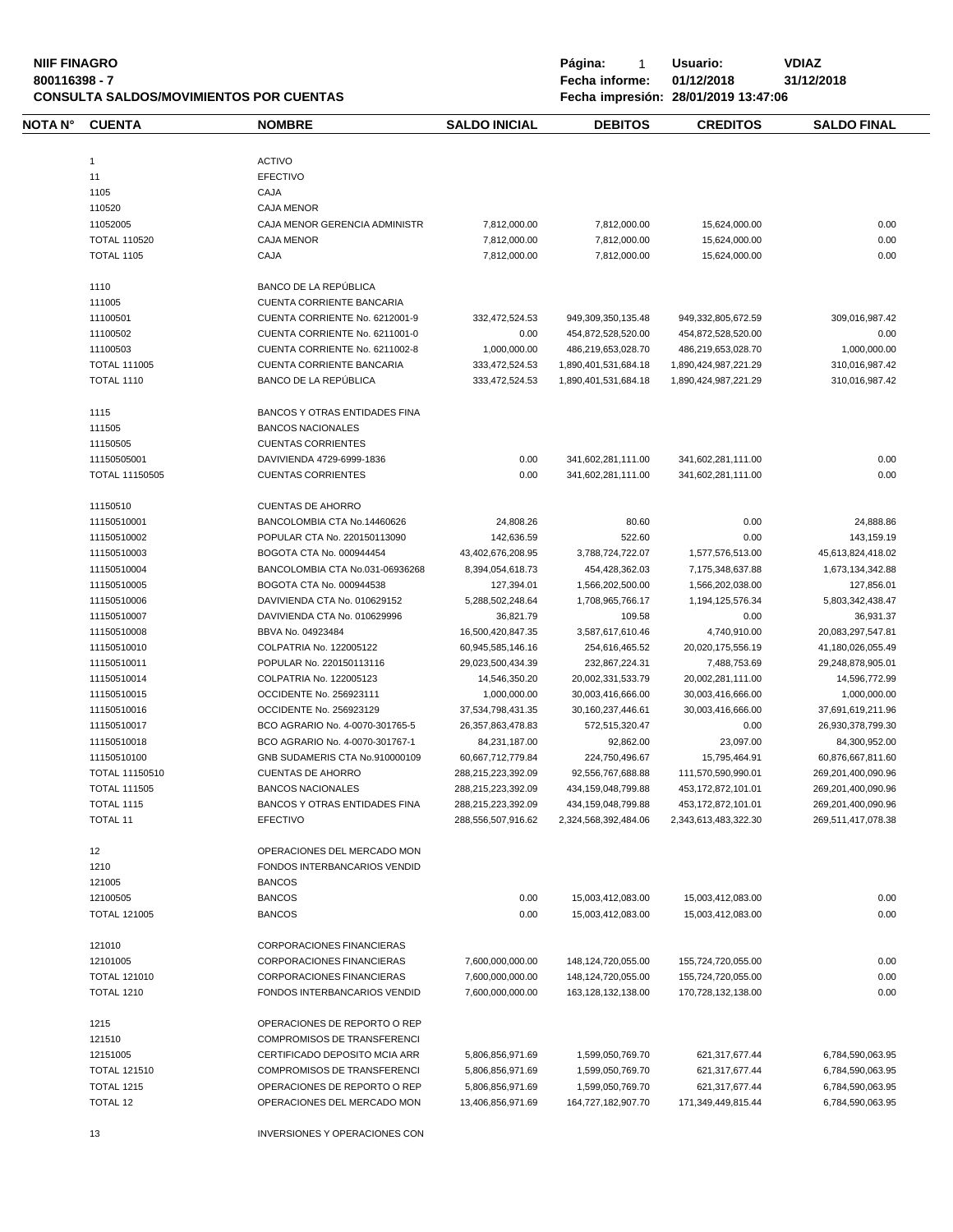**NIIF FINAGRO P á g i n a :** 1 **U s u a r i o : VDIAZ CONSULTA SALDOS/MOVIMIENTOS POR CUENTAS** 

| NOTA N° | <b>CUENTA</b>         | <b>NOMBRE</b>                       | <b>SALDO INICIAL</b> | <b>DEBITOS</b>        | <b>CREDITOS</b>       | <b>SALDO FINAL</b> |
|---------|-----------------------|-------------------------------------|----------------------|-----------------------|-----------------------|--------------------|
|         |                       |                                     |                      |                       |                       |                    |
|         | 1                     | <b>ACTIVO</b>                       |                      |                       |                       |                    |
|         | 11                    | <b>EFECTIVO</b>                     |                      |                       |                       |                    |
|         | 1105                  | CAJA                                |                      |                       |                       |                    |
|         | 110520                | <b>CAJA MENOR</b>                   |                      |                       |                       |                    |
|         | 11052005              | CAJA MENOR GERENCIA ADMINISTR       | 7,812,000.00         | 7,812,000.00          | 15,624,000.00         | 0.00               |
|         | <b>TOTAL 110520</b>   | <b>CAJA MENOR</b>                   | 7,812,000.00         | 7,812,000.00          | 15,624,000.00         | 0.00               |
|         | <b>TOTAL 1105</b>     | CAJA                                | 7,812,000.00         | 7,812,000.00          | 15,624,000.00         | 0.00               |
|         | 1110                  | BANCO DE LA REPÚBLICA               |                      |                       |                       |                    |
|         | 111005                | CUENTA CORRIENTE BANCARIA           |                      |                       |                       |                    |
|         | 11100501              | CUENTA CORRIENTE No. 6212001-9      | 332,472,524.53       | 949,309,350,135.48    | 949,332,805,672.59    | 309,016,987.42     |
|         | 11100502              | CUENTA CORRIENTE No. 6211001-0      | 0.00                 | 454,872,528,520.00    | 454,872,528,520.00    | 0.00               |
|         | 11100503              | CUENTA CORRIENTE No. 6211002-8      | 1,000,000.00         | 486,219,653,028.70    | 486,219,653,028.70    | 1,000,000.00       |
|         | <b>TOTAL 111005</b>   | CUENTA CORRIENTE BANCARIA           | 333,472,524.53       | 1,890,401,531,684.18  | 1,890,424,987,221.29  | 310,016,987.42     |
|         | <b>TOTAL 1110</b>     | BANCO DE LA REPÚBLICA               | 333,472,524.53       | 1,890,401,531,684.18  | 1,890,424,987,221.29  | 310,016,987.42     |
|         | 1115                  | BANCOS Y OTRAS ENTIDADES FINA       |                      |                       |                       |                    |
|         |                       | <b>BANCOS NACIONALES</b>            |                      |                       |                       |                    |
|         | 111505<br>11150505    | <b>CUENTAS CORRIENTES</b>           |                      |                       |                       |                    |
|         |                       | DAVIVIENDA 4729-6999-1836           |                      |                       |                       |                    |
|         | 11150505001           |                                     | 0.00                 | 341,602,281,111.00    | 341,602,281,111.00    | 0.00               |
|         | <b>TOTAL 11150505</b> | <b>CUENTAS CORRIENTES</b>           | 0.00                 | 341,602,281,111.00    | 341,602,281,111.00    | 0.00               |
|         | 11150510              | <b>CUENTAS DE AHORRO</b>            |                      |                       |                       |                    |
|         | 11150510001           | BANCOLOMBIA CTA No.14460626         | 24,808.26            | 80.60                 | 0.00                  | 24,888.86          |
|         | 11150510002           | POPULAR CTA No. 220150113090        | 142,636.59           | 522.60                | 0.00                  | 143,159.19         |
|         | 11150510003           | BOGOTA CTA No. 000944454            | 43,402,676,208.95    | 3,788,724,722.07      | 1,577,576,513.00      | 45,613,824,418.02  |
|         | 11150510004           | BANCOLOMBIA CTA No.031-06936268     | 8,394,054,618.73     | 454,428,362.03        | 7,175,348,637.88      | 1,673,134,342.88   |
|         | 11150510005           | BOGOTA CTA No. 000944538            | 127,394.01           | 1,566,202,500.00      | 1,566,202,038.00      | 127,856.01         |
|         | 11150510006           | DAVIVIENDA CTA No. 010629152        | 5,288,502,248.64     | 1,708,965,766.17      | 1,194,125,576.34      | 5,803,342,438.47   |
|         | 11150510007           | DAVIVIENDA CTA No. 010629996        | 36,821.79            | 109.58                | 0.00                  | 36,931.37          |
|         | 11150510008           | BBVA No. 04923484                   | 16,500,420,847.35    | 3,587,617,610.46      | 4,740,910.00          | 20,083,297,547.81  |
|         | 11150510010           | COLPATRIA No. 122005122             | 60,945,585,146.16    | 254,616,465.52        | 20,020,175,556.19     | 41,180,026,055.49  |
|         | 11150510011           | POPULAR No. 220150113116            | 29,023,500,434.39    | 232,867,224.31        | 7,488,753.69          | 29,248,878,905.01  |
|         | 11150510014           | COLPATRIA No. 122005123             | 14,546,350.20        | 20,002,331,533.79     | 20,002,281,111.00     | 14,596,772.99      |
|         | 11150510015           | OCCIDENTE No. 256923111             | 1,000,000.00         | 30,003,416,666.00     | 30,003,416,666.00     | 1,000,000.00       |
|         | 11150510016           | OCCIDENTE No. 256923129             | 37,534,798,431.35    | 30, 160, 237, 446.61  | 30,003,416,666.00     | 37,691,619,211.96  |
|         | 11150510017           | BCO AGRARIO No. 4-0070-301765-5     | 26,357,863,478.83    | 572,515,320.47        | 0.00                  | 26,930,378,799.30  |
|         | 11150510018           | BCO AGRARIO No. 4-0070-301767-1     | 84,231,187.00        | 92,862.00             | 23,097.00             | 84,300,952.00      |
|         | 11150510100           | GNB SUDAMERIS CTA No.910000109      | 60,667,712,779.84    | 224,750,496.67        | 15,795,464.91         | 60,876,667,811.60  |
|         | <b>TOTAL 11150510</b> | <b>CUENTAS DE AHORRO</b>            | 288,215,223,392.09   | 92,556,767,688.88     | 111,570,590,990.01    | 269,201,400,090.96 |
|         | <b>TOTAL 111505</b>   | <b>BANCOS NACIONALES</b>            | 288,215,223,392.09   | 434, 159, 048, 799.88 | 453,172,872,101.01    | 269,201,400,090.96 |
|         | <b>TOTAL 1115</b>     | BANCOS Y OTRAS ENTIDADES FINA       | 288,215,223,392.09   | 434, 159, 048, 799.88 | 453, 172, 872, 101.01 | 269,201,400,090.96 |
|         | <b>TOTAL 11</b>       | <b>EFECTIVO</b>                     | 288,556,507,916.62   | 2,324,568,392,484.06  | 2,343,613,483,322.30  | 269,511,417,078.38 |
|         |                       |                                     |                      |                       |                       |                    |
|         | 12                    | OPERACIONES DEL MERCADO MON         |                      |                       |                       |                    |
|         | 1210                  | FONDOS INTERBANCARIOS VENDID        |                      |                       |                       |                    |
|         | 121005                | <b>BANCOS</b>                       |                      |                       |                       |                    |
|         | 12100505              | <b>BANCOS</b>                       | 0.00                 | 15,003,412,083.00     | 15,003,412,083.00     | 0.00               |
|         | <b>TOTAL 121005</b>   | <b>BANCOS</b>                       | 0.00                 | 15,003,412,083.00     | 15,003,412,083.00     | 0.00               |
|         | 121010                | <b>CORPORACIONES FINANCIERAS</b>    |                      |                       |                       |                    |
|         | 12101005              | <b>CORPORACIONES FINANCIERAS</b>    | 7,600,000,000.00     | 148, 124, 720, 055.00 | 155,724,720,055.00    | 0.00               |
|         | <b>TOTAL 121010</b>   | CORPORACIONES FINANCIERAS           | 7,600,000,000.00     | 148,124,720,055.00    | 155,724,720,055.00    | 0.00               |
|         | <b>TOTAL 1210</b>     | <b>FONDOS INTERBANCARIOS VENDID</b> | 7,600,000,000.00     | 163, 128, 132, 138.00 | 170,728,132,138.00    | 0.00               |
|         |                       |                                     |                      |                       |                       |                    |
|         | 1215                  | OPERACIONES DE REPORTO O REP        |                      |                       |                       |                    |
|         | 121510                | COMPROMISOS DE TRANSFERENCI         |                      |                       |                       |                    |
|         | 12151005              | CERTIFICADO DEPOSITO MCIA ARR       | 5,806,856,971.69     | 1,599,050,769.70      | 621,317,677.44        | 6,784,590,063.95   |
|         | <b>TOTAL 121510</b>   | COMPROMISOS DE TRANSFERENCI         | 5,806,856,971.69     | 1,599,050,769.70      | 621,317,677.44        | 6,784,590,063.95   |
|         | <b>TOTAL 1215</b>     | OPERACIONES DE REPORTO O REP        | 5,806,856,971.69     | 1,599,050,769.70      | 621,317,677.44        | 6,784,590,063.95   |
|         | TOTAL 12              | OPERACIONES DEL MERCADO MON         | 13,406,856,971.69    | 164,727,182,907.70    | 171,349,449,815.44    | 6,784,590,063.95   |
|         | 13                    | INVERSIONES Y OPERACIONES CON       |                      |                       |                       |                    |
|         |                       |                                     |                      |                       |                       |                    |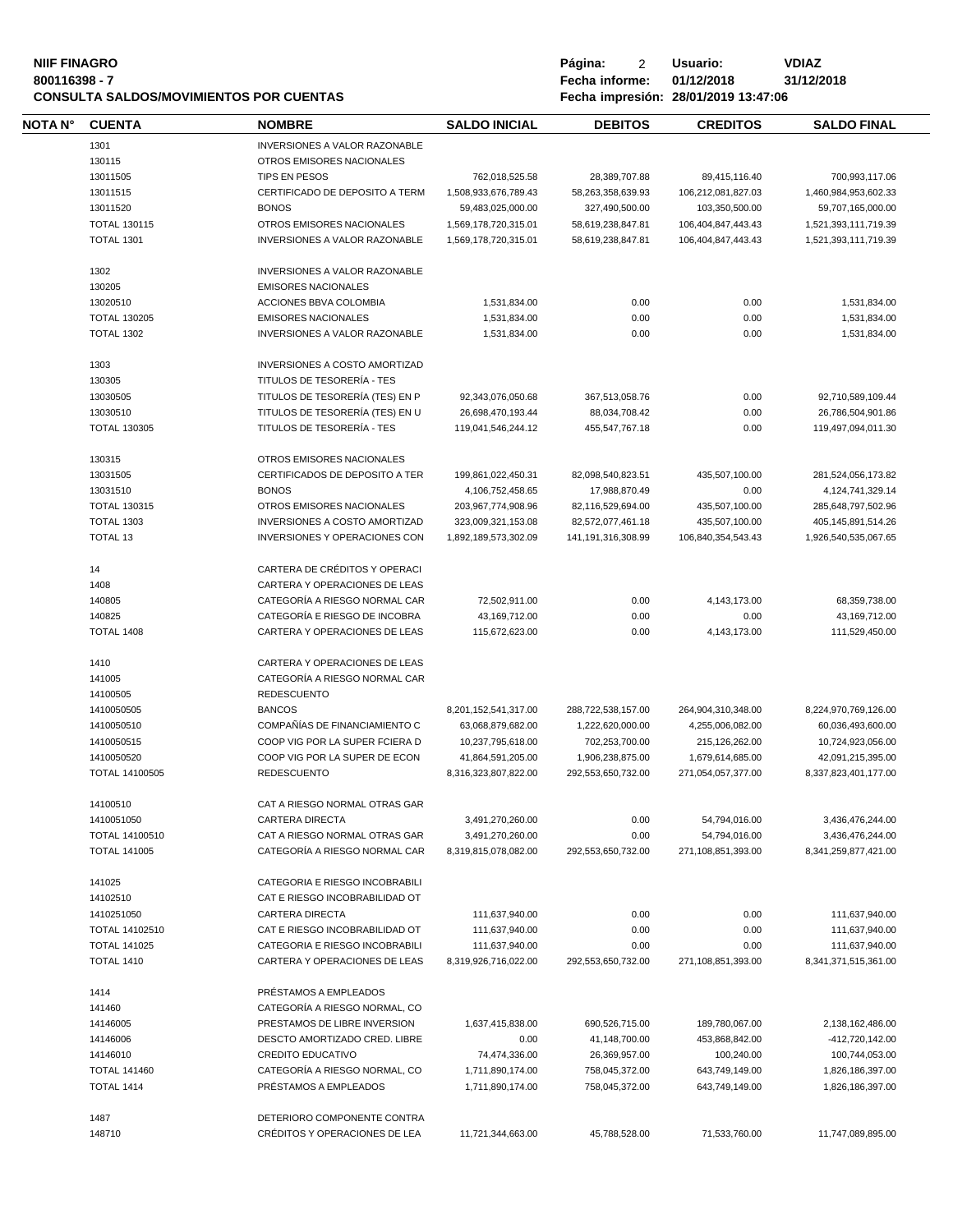| <b>NIIF FINAGRO</b><br>800116398 - 7 |                     | <b>CONSULTA SALDOS/MOVIMIENTOS POR CUENTAS</b> |                      | Página:<br>2<br>Fecha informe:<br>Fecha impresión: 28/01/2019 13:47:06 | Usuario:<br>01/12/2018 | <b>VDIAZ</b><br>31/12/2018 |
|--------------------------------------|---------------------|------------------------------------------------|----------------------|------------------------------------------------------------------------|------------------------|----------------------------|
| <b>NOTA N°</b>                       | <b>CUENTA</b>       | <b>NOMBRE</b>                                  | <b>SALDO INICIAL</b> | <b>DEBITOS</b>                                                         | <b>CREDITOS</b>        | <b>SALDO FINAL</b>         |
|                                      | 1301                | <b>INVERSIONES A VALOR RAZONABLE</b>           |                      |                                                                        |                        |                            |
|                                      | 130115              | OTROS EMISORES NACIONALES                      |                      |                                                                        |                        |                            |
|                                      | 13011505            | TIPS EN PESOS                                  | 762,018,525.58       | 28,389,707.88                                                          | 89,415,116.40          | 700,993,117.06             |
|                                      | 13011515            | CERTIFICADO DE DEPOSITO A TERM                 | 1,508,933,676,789.43 | 58,263,358,639.93                                                      | 106,212,081,827.03     | 1,460,984,953,602.33       |
|                                      | 13011520            | <b>BONOS</b>                                   | 59,483,025,000.00    | 327,490,500.00                                                         | 103,350,500.00         | 59,707,165,000.00          |
|                                      | <b>TOTAL 130115</b> | OTROS EMISORES NACIONALES                      | 1,569,178,720,315.01 | 58,619,238,847.81                                                      | 106,404,847,443.43     | 1,521,393,111,719.39       |
|                                      | <b>TOTAL 1301</b>   | INVERSIONES A VALOR RAZONABLE                  | 1,569,178,720,315.01 | 58,619,238,847.81                                                      | 106,404,847,443.43     | 1,521,393,111,719.39       |
|                                      | 1302                | <b>INVERSIONES A VALOR RAZONABLE</b>           |                      |                                                                        |                        |                            |
|                                      | 130205              | <b>EMISORES NACIONALES</b>                     |                      |                                                                        |                        |                            |
|                                      | 13020510            | ACCIONES BBVA COLOMBIA                         | 1,531,834.00         | 0.00                                                                   | 0.00                   | 1,531,834.00               |
|                                      | <b>TOTAL 130205</b> | <b>EMISORES NACIONALES</b>                     | 1,531,834.00         | 0.00                                                                   | 0.00                   | 1,531,834.00               |
|                                      | <b>TOTAL 1302</b>   | INVERSIONES A VALOR RAZONABLE                  | 1,531,834.00         | 0.00                                                                   | 0.00                   | 1,531,834.00               |
|                                      | 1303                | <b>INVERSIONES A COSTO AMORTIZAD</b>           |                      |                                                                        |                        |                            |
|                                      | 130305              | TITULOS DE TESORERÍA - TES                     |                      |                                                                        |                        |                            |
|                                      | 13030505            | TITULOS DE TESORERÍA (TES) EN P                | 92,343,076,050.68    | 367,513,058.76                                                         | 0.00                   | 92,710,589,109.44          |
|                                      | 13030510            | TITULOS DE TESORERÍA (TES) EN U                | 26,698,470,193.44    | 88,034,708.42                                                          | 0.00                   | 26,786,504,901.86          |
|                                      | <b>TOTAL 130305</b> | TITULOS DE TESORERÍA - TES                     | 119,041,546,244.12   | 455,547,767.18                                                         | 0.00                   | 119,497,094,011.30         |
|                                      | 130315              | OTROS EMISORES NACIONALES                      |                      |                                                                        |                        |                            |
|                                      | 13031505            | CERTIFICADOS DE DEPOSITO A TER                 | 199,861,022,450.31   | 82,098,540,823.51                                                      | 435,507,100.00         | 281,524,056,173.82         |
|                                      | 13031510            | <b>BONOS</b>                                   | 4,106,752,458.65     | 17,988,870.49                                                          | 0.00                   | 4,124,741,329.14           |
|                                      | <b>TOTAL 130315</b> | OTROS EMISORES NACIONALES                      | 203,967,774,908.96   | 82,116,529,694.00                                                      | 435,507,100.00         | 285,648,797,502.96         |
|                                      | <b>TOTAL 1303</b>   | INVERSIONES A COSTO AMORTIZAD                  | 323,009,321,153.08   | 82,572,077,461.18                                                      | 435,507,100.00         | 405,145,891,514.26         |
|                                      | TOTAL 13            | INVERSIONES Y OPERACIONES CON                  | 1,892,189,573,302.09 | 141, 191, 316, 308. 99                                                 | 106,840,354,543.43     | 1,926,540,535,067.65       |
|                                      | 14                  | CARTERA DE CRÉDITOS Y OPERACI                  |                      |                                                                        |                        |                            |
|                                      | 1408                | CARTERA Y OPERACIONES DE LEAS                  |                      |                                                                        |                        |                            |
|                                      | 140805              | CATEGORÍA A RIESGO NORMAL CAR                  | 72,502,911.00        | 0.00                                                                   | 4,143,173.00           | 68,359,738.00              |
|                                      | 140825              | CATEGORÍA E RIESGO DE INCOBRA                  | 43,169,712.00        | 0.00                                                                   | 0.00                   | 43,169,712.00              |
|                                      | <b>TOTAL 1408</b>   | CARTERA Y OPERACIONES DE LEAS                  | 115,672,623.00       | 0.00                                                                   | 4,143,173.00           | 111,529,450.00             |
|                                      | 1410                | CARTERA Y OPERACIONES DE LEAS                  |                      |                                                                        |                        |                            |

CATEGORÍA A RIESGO NORMAL CAR

 REDESCUENTO BANCOS 8,201,152,541,317.00 288,722,538,157.00 264,904,310,348.00 8,224,970,769,126.00 COMPAÑÍAS DE FINANCIAMIENTO C 63,068,879,682.00 1,222,620,000.00 4,255,006,082.00 60,036,493,600.00 COOP VIG POR LA SUPER FCIERA D 10,237,795,618.00 702,253,700.00 215,126,262.00 10,724,923,056.00 COOP VIG POR LA SUPER DE ECON 41,864,591,205.00 1,906,238,875.00 1,679,614,685.00 42,091,215,395.00 TOTAL 14100505 REDESCUENTO 8,316,323,807,822.00 292,553,650,732.00 271,054,057,377.00 8,337,823,401,177.00 CAT A RIESGO NORMAL OTRAS GAR CARTERA DIRECTA 3,491,270,260.00 0.00 54,794,016.00 3,436,476,244.00 TOTAL 14100510 CAT A RIESGO NORMAL OTRAS GAR 3,491,270,260.00 0.00 64,794,016.00 54,794,016.00 3,436,476,244.00 TOTAL 141005 CATEGORÍA A RIESGO NORMAL CAR 8,319,815,078,082.00 292,553,650,732.00 271,108,851,393.00 8,341,259,877,421.00 CATEGORIA E RIESGO INCOBRABILI CAT E RIESGO INCOBRABILIDAD OT CARTERA DIRECTA 111,637,940.00 0.00 0.00 111,637,940.00 TOTAL 14102510 CAT E RIESGO INCOBRABILIDAD OT 111,637,940.00 0.00 0.00 0.00 0.00 111,637,940.00 TOTAL 141025 CATEGORIA E RIESGO INCOBRABILI 111,637,940.00 0.00 0.00 111,637,940.00 TOTAL 1410 CARTERA Y OPERACIONES DE LEAS 8,319,926,716,022.00 292,553,650,732.00 271,108,851,393.00 8,341,371,515,361.00 PRÉSTAMOS A EMPLEADOS CATEGORÍA A RIESGO NORMAL, CO PRESTAMOS DE LIBRE INVERSION 1,637,415,838.00 690,526,715.00 189,780,067.00 2,138,162,486.00 **DESCTO AMORTIZADO CRED. LIBRE** 0.00 41,148,700.00 453,868,842.00 412,720,142.00 CREDITO EDUCATIVO 74,474,336.00 26,369,957.00 100,240.00 100,744,053.00 TOTAL 141460 CATEGORÍA A RIESGO NORMAL, CO 1,711,890,174.00 758,045,372.00 643,749,149.00 1,826,186,397.00 TOTAL 1414 PRÉSTAMOS A EMPLEADOS 1,711,890,174.00 758,045,372.00 643,749,149.00 1,826,186,397.00 DETERIORO COMPONENTE CONTRA CRÉDITOS Y OPERACIONES DE LEA 11,721,344,663.00 45,788,528.00 71,533,760.00 11,747,089,895.00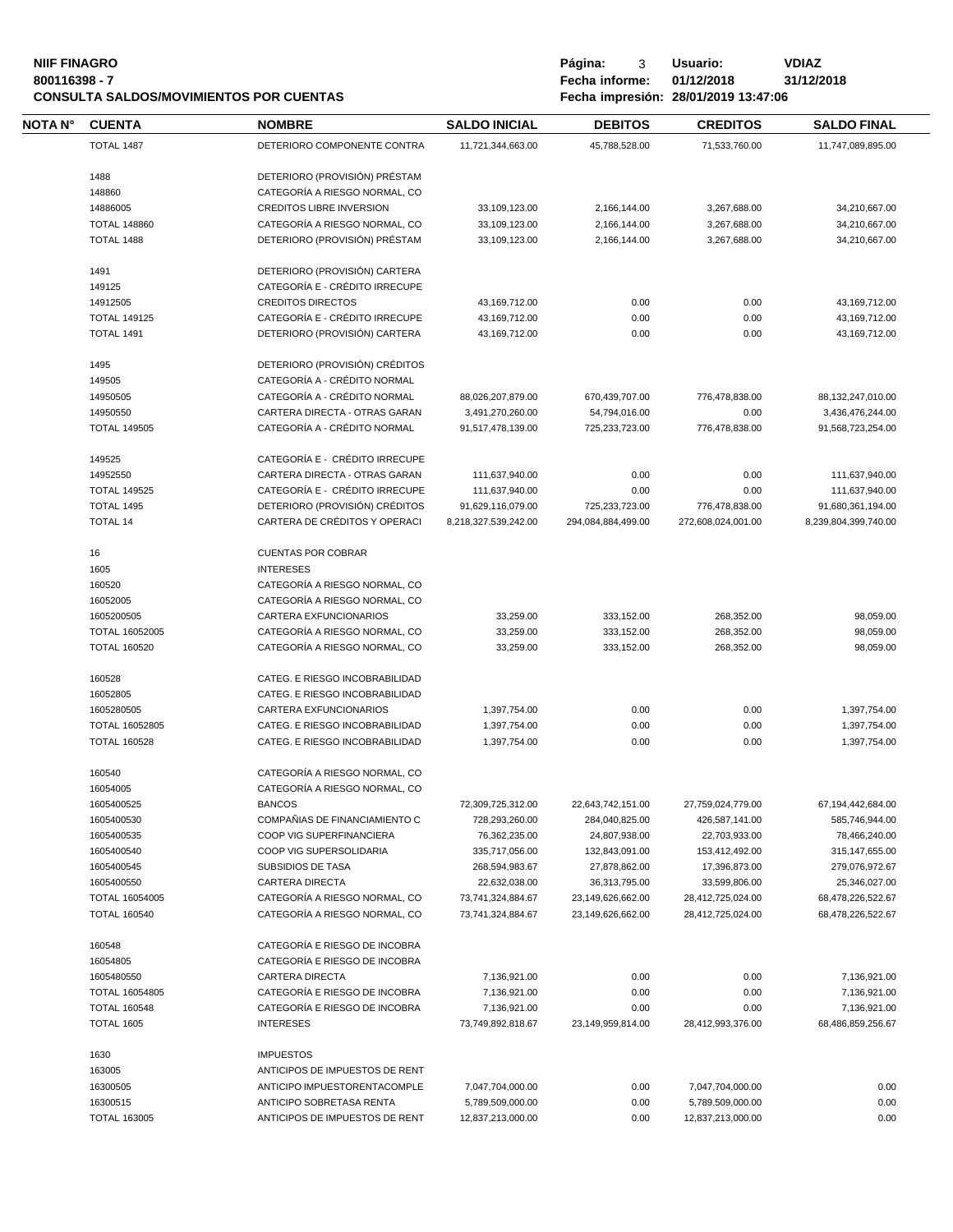# **NIIF FINAGRO P á g i n a :** 3 **U s u a r i o : VDIAZ CONSULTA SALDOS/MOVIMIENTOS POR CUENTAS**

| <b>CUENTA</b>       | <b>NOMBRE</b>                                                                                                                                                                                                                                                                                                                                                                                             | <b>SALDO INICIAL</b>                                                                                                                                                                                                                                                                                                                                                                                                                                                                                                                                                                                                                                                                                                                                                                                                                                                                                                        | <b>DEBITOS</b>                                                                                                                                                                                                                                                                                 | <b>CREDITOS</b>                                                                                                                                                                                                                                              | <b>SALDO FINAL</b>                                                                                                                                                                                                                         |
|---------------------|-----------------------------------------------------------------------------------------------------------------------------------------------------------------------------------------------------------------------------------------------------------------------------------------------------------------------------------------------------------------------------------------------------------|-----------------------------------------------------------------------------------------------------------------------------------------------------------------------------------------------------------------------------------------------------------------------------------------------------------------------------------------------------------------------------------------------------------------------------------------------------------------------------------------------------------------------------------------------------------------------------------------------------------------------------------------------------------------------------------------------------------------------------------------------------------------------------------------------------------------------------------------------------------------------------------------------------------------------------|------------------------------------------------------------------------------------------------------------------------------------------------------------------------------------------------------------------------------------------------------------------------------------------------|--------------------------------------------------------------------------------------------------------------------------------------------------------------------------------------------------------------------------------------------------------------|--------------------------------------------------------------------------------------------------------------------------------------------------------------------------------------------------------------------------------------------|
| TOTAL 1487          | DETERIORO COMPONENTE CONTRA                                                                                                                                                                                                                                                                                                                                                                               | 11,721,344,663.00                                                                                                                                                                                                                                                                                                                                                                                                                                                                                                                                                                                                                                                                                                                                                                                                                                                                                                           | 45,788,528.00                                                                                                                                                                                                                                                                                  | 71,533,760.00                                                                                                                                                                                                                                                | 11,747,089,895.00                                                                                                                                                                                                                          |
|                     |                                                                                                                                                                                                                                                                                                                                                                                                           |                                                                                                                                                                                                                                                                                                                                                                                                                                                                                                                                                                                                                                                                                                                                                                                                                                                                                                                             |                                                                                                                                                                                                                                                                                                |                                                                                                                                                                                                                                                              |                                                                                                                                                                                                                                            |
|                     |                                                                                                                                                                                                                                                                                                                                                                                                           |                                                                                                                                                                                                                                                                                                                                                                                                                                                                                                                                                                                                                                                                                                                                                                                                                                                                                                                             |                                                                                                                                                                                                                                                                                                |                                                                                                                                                                                                                                                              |                                                                                                                                                                                                                                            |
|                     |                                                                                                                                                                                                                                                                                                                                                                                                           |                                                                                                                                                                                                                                                                                                                                                                                                                                                                                                                                                                                                                                                                                                                                                                                                                                                                                                                             |                                                                                                                                                                                                                                                                                                |                                                                                                                                                                                                                                                              |                                                                                                                                                                                                                                            |
|                     |                                                                                                                                                                                                                                                                                                                                                                                                           |                                                                                                                                                                                                                                                                                                                                                                                                                                                                                                                                                                                                                                                                                                                                                                                                                                                                                                                             |                                                                                                                                                                                                                                                                                                |                                                                                                                                                                                                                                                              | 34,210,667.00                                                                                                                                                                                                                              |
|                     |                                                                                                                                                                                                                                                                                                                                                                                                           |                                                                                                                                                                                                                                                                                                                                                                                                                                                                                                                                                                                                                                                                                                                                                                                                                                                                                                                             |                                                                                                                                                                                                                                                                                                |                                                                                                                                                                                                                                                              | 34,210,667.00                                                                                                                                                                                                                              |
|                     |                                                                                                                                                                                                                                                                                                                                                                                                           |                                                                                                                                                                                                                                                                                                                                                                                                                                                                                                                                                                                                                                                                                                                                                                                                                                                                                                                             |                                                                                                                                                                                                                                                                                                |                                                                                                                                                                                                                                                              | 34,210,667.00                                                                                                                                                                                                                              |
| 1491                | DETERIORO (PROVISIÓN) CARTERA                                                                                                                                                                                                                                                                                                                                                                             |                                                                                                                                                                                                                                                                                                                                                                                                                                                                                                                                                                                                                                                                                                                                                                                                                                                                                                                             |                                                                                                                                                                                                                                                                                                |                                                                                                                                                                                                                                                              |                                                                                                                                                                                                                                            |
| 149125              | CATEGORÍA E - CRÉDITO IRRECUPE                                                                                                                                                                                                                                                                                                                                                                            |                                                                                                                                                                                                                                                                                                                                                                                                                                                                                                                                                                                                                                                                                                                                                                                                                                                                                                                             |                                                                                                                                                                                                                                                                                                |                                                                                                                                                                                                                                                              |                                                                                                                                                                                                                                            |
| 14912505            | <b>CREDITOS DIRECTOS</b>                                                                                                                                                                                                                                                                                                                                                                                  |                                                                                                                                                                                                                                                                                                                                                                                                                                                                                                                                                                                                                                                                                                                                                                                                                                                                                                                             |                                                                                                                                                                                                                                                                                                |                                                                                                                                                                                                                                                              | 43,169,712.00                                                                                                                                                                                                                              |
|                     |                                                                                                                                                                                                                                                                                                                                                                                                           |                                                                                                                                                                                                                                                                                                                                                                                                                                                                                                                                                                                                                                                                                                                                                                                                                                                                                                                             |                                                                                                                                                                                                                                                                                                |                                                                                                                                                                                                                                                              | 43,169,712.00                                                                                                                                                                                                                              |
| <b>TOTAL 1491</b>   | DETERIORO (PROVISIÓN) CARTERA                                                                                                                                                                                                                                                                                                                                                                             | 43,169,712.00                                                                                                                                                                                                                                                                                                                                                                                                                                                                                                                                                                                                                                                                                                                                                                                                                                                                                                               | 0.00                                                                                                                                                                                                                                                                                           | 0.00                                                                                                                                                                                                                                                         | 43,169,712.00                                                                                                                                                                                                                              |
|                     |                                                                                                                                                                                                                                                                                                                                                                                                           |                                                                                                                                                                                                                                                                                                                                                                                                                                                                                                                                                                                                                                                                                                                                                                                                                                                                                                                             |                                                                                                                                                                                                                                                                                                |                                                                                                                                                                                                                                                              |                                                                                                                                                                                                                                            |
|                     |                                                                                                                                                                                                                                                                                                                                                                                                           |                                                                                                                                                                                                                                                                                                                                                                                                                                                                                                                                                                                                                                                                                                                                                                                                                                                                                                                             |                                                                                                                                                                                                                                                                                                |                                                                                                                                                                                                                                                              |                                                                                                                                                                                                                                            |
| 149505              |                                                                                                                                                                                                                                                                                                                                                                                                           |                                                                                                                                                                                                                                                                                                                                                                                                                                                                                                                                                                                                                                                                                                                                                                                                                                                                                                                             |                                                                                                                                                                                                                                                                                                |                                                                                                                                                                                                                                                              |                                                                                                                                                                                                                                            |
| 14950505            | CATEGORÍA A - CRÉDITO NORMAL                                                                                                                                                                                                                                                                                                                                                                              | 88,026,207,879.00                                                                                                                                                                                                                                                                                                                                                                                                                                                                                                                                                                                                                                                                                                                                                                                                                                                                                                           | 670,439,707.00                                                                                                                                                                                                                                                                                 | 776,478,838.00                                                                                                                                                                                                                                               | 88,132,247,010.00                                                                                                                                                                                                                          |
| 14950550            | CARTERA DIRECTA - OTRAS GARAN                                                                                                                                                                                                                                                                                                                                                                             | 3,491,270,260.00                                                                                                                                                                                                                                                                                                                                                                                                                                                                                                                                                                                                                                                                                                                                                                                                                                                                                                            | 54,794,016.00                                                                                                                                                                                                                                                                                  | 0.00                                                                                                                                                                                                                                                         | 3,436,476,244.00                                                                                                                                                                                                                           |
| <b>TOTAL 149505</b> | CATEGORÍA A - CRÉDITO NORMAL                                                                                                                                                                                                                                                                                                                                                                              | 91,517,478,139.00                                                                                                                                                                                                                                                                                                                                                                                                                                                                                                                                                                                                                                                                                                                                                                                                                                                                                                           | 725,233,723.00                                                                                                                                                                                                                                                                                 | 776,478,838.00                                                                                                                                                                                                                                               | 91,568,723,254.00                                                                                                                                                                                                                          |
|                     |                                                                                                                                                                                                                                                                                                                                                                                                           |                                                                                                                                                                                                                                                                                                                                                                                                                                                                                                                                                                                                                                                                                                                                                                                                                                                                                                                             |                                                                                                                                                                                                                                                                                                |                                                                                                                                                                                                                                                              |                                                                                                                                                                                                                                            |
|                     |                                                                                                                                                                                                                                                                                                                                                                                                           |                                                                                                                                                                                                                                                                                                                                                                                                                                                                                                                                                                                                                                                                                                                                                                                                                                                                                                                             |                                                                                                                                                                                                                                                                                                |                                                                                                                                                                                                                                                              |                                                                                                                                                                                                                                            |
|                     |                                                                                                                                                                                                                                                                                                                                                                                                           |                                                                                                                                                                                                                                                                                                                                                                                                                                                                                                                                                                                                                                                                                                                                                                                                                                                                                                                             |                                                                                                                                                                                                                                                                                                |                                                                                                                                                                                                                                                              | 111,637,940.00                                                                                                                                                                                                                             |
|                     |                                                                                                                                                                                                                                                                                                                                                                                                           |                                                                                                                                                                                                                                                                                                                                                                                                                                                                                                                                                                                                                                                                                                                                                                                                                                                                                                                             |                                                                                                                                                                                                                                                                                                |                                                                                                                                                                                                                                                              | 111,637,940.00                                                                                                                                                                                                                             |
|                     |                                                                                                                                                                                                                                                                                                                                                                                                           |                                                                                                                                                                                                                                                                                                                                                                                                                                                                                                                                                                                                                                                                                                                                                                                                                                                                                                                             |                                                                                                                                                                                                                                                                                                |                                                                                                                                                                                                                                                              | 91,680,361,194.00                                                                                                                                                                                                                          |
| <b>TOTAL 14</b>     | CARTERA DE CRÉDITOS Y OPERACI                                                                                                                                                                                                                                                                                                                                                                             | 8,218,327,539,242.00                                                                                                                                                                                                                                                                                                                                                                                                                                                                                                                                                                                                                                                                                                                                                                                                                                                                                                        | 294,084,884,499.00                                                                                                                                                                                                                                                                             | 272,608,024,001.00                                                                                                                                                                                                                                           | 8,239,804,399,740.00                                                                                                                                                                                                                       |
|                     | <b>CUENTAS POR COBRAR</b>                                                                                                                                                                                                                                                                                                                                                                                 |                                                                                                                                                                                                                                                                                                                                                                                                                                                                                                                                                                                                                                                                                                                                                                                                                                                                                                                             |                                                                                                                                                                                                                                                                                                |                                                                                                                                                                                                                                                              |                                                                                                                                                                                                                                            |
|                     |                                                                                                                                                                                                                                                                                                                                                                                                           |                                                                                                                                                                                                                                                                                                                                                                                                                                                                                                                                                                                                                                                                                                                                                                                                                                                                                                                             |                                                                                                                                                                                                                                                                                                |                                                                                                                                                                                                                                                              |                                                                                                                                                                                                                                            |
|                     |                                                                                                                                                                                                                                                                                                                                                                                                           |                                                                                                                                                                                                                                                                                                                                                                                                                                                                                                                                                                                                                                                                                                                                                                                                                                                                                                                             |                                                                                                                                                                                                                                                                                                |                                                                                                                                                                                                                                                              |                                                                                                                                                                                                                                            |
|                     |                                                                                                                                                                                                                                                                                                                                                                                                           |                                                                                                                                                                                                                                                                                                                                                                                                                                                                                                                                                                                                                                                                                                                                                                                                                                                                                                                             |                                                                                                                                                                                                                                                                                                |                                                                                                                                                                                                                                                              |                                                                                                                                                                                                                                            |
|                     |                                                                                                                                                                                                                                                                                                                                                                                                           |                                                                                                                                                                                                                                                                                                                                                                                                                                                                                                                                                                                                                                                                                                                                                                                                                                                                                                                             |                                                                                                                                                                                                                                                                                                |                                                                                                                                                                                                                                                              | 98,059.00                                                                                                                                                                                                                                  |
|                     |                                                                                                                                                                                                                                                                                                                                                                                                           |                                                                                                                                                                                                                                                                                                                                                                                                                                                                                                                                                                                                                                                                                                                                                                                                                                                                                                                             |                                                                                                                                                                                                                                                                                                |                                                                                                                                                                                                                                                              |                                                                                                                                                                                                                                            |
|                     |                                                                                                                                                                                                                                                                                                                                                                                                           |                                                                                                                                                                                                                                                                                                                                                                                                                                                                                                                                                                                                                                                                                                                                                                                                                                                                                                                             |                                                                                                                                                                                                                                                                                                |                                                                                                                                                                                                                                                              | 98,059.00<br>98,059.00                                                                                                                                                                                                                     |
|                     |                                                                                                                                                                                                                                                                                                                                                                                                           |                                                                                                                                                                                                                                                                                                                                                                                                                                                                                                                                                                                                                                                                                                                                                                                                                                                                                                                             |                                                                                                                                                                                                                                                                                                |                                                                                                                                                                                                                                                              |                                                                                                                                                                                                                                            |
| 160528              | CATEG. E RIESGO INCOBRABILIDAD                                                                                                                                                                                                                                                                                                                                                                            |                                                                                                                                                                                                                                                                                                                                                                                                                                                                                                                                                                                                                                                                                                                                                                                                                                                                                                                             |                                                                                                                                                                                                                                                                                                |                                                                                                                                                                                                                                                              |                                                                                                                                                                                                                                            |
|                     |                                                                                                                                                                                                                                                                                                                                                                                                           |                                                                                                                                                                                                                                                                                                                                                                                                                                                                                                                                                                                                                                                                                                                                                                                                                                                                                                                             |                                                                                                                                                                                                                                                                                                |                                                                                                                                                                                                                                                              |                                                                                                                                                                                                                                            |
|                     |                                                                                                                                                                                                                                                                                                                                                                                                           | 1,397,754.00                                                                                                                                                                                                                                                                                                                                                                                                                                                                                                                                                                                                                                                                                                                                                                                                                                                                                                                |                                                                                                                                                                                                                                                                                                |                                                                                                                                                                                                                                                              | 1,397,754.00                                                                                                                                                                                                                               |
| TOTAL 16052805      | CATEG. E RIESGO INCOBRABILIDAD                                                                                                                                                                                                                                                                                                                                                                            | 1,397,754.00                                                                                                                                                                                                                                                                                                                                                                                                                                                                                                                                                                                                                                                                                                                                                                                                                                                                                                                | 0.00                                                                                                                                                                                                                                                                                           | 0.00                                                                                                                                                                                                                                                         | 1,397,754.00                                                                                                                                                                                                                               |
| <b>TOTAL 160528</b> | CATEG. E RIESGO INCOBRABILIDAD                                                                                                                                                                                                                                                                                                                                                                            | 1,397,754.00                                                                                                                                                                                                                                                                                                                                                                                                                                                                                                                                                                                                                                                                                                                                                                                                                                                                                                                | 0.00                                                                                                                                                                                                                                                                                           | 0.00                                                                                                                                                                                                                                                         | 1,397,754.00                                                                                                                                                                                                                               |
|                     |                                                                                                                                                                                                                                                                                                                                                                                                           |                                                                                                                                                                                                                                                                                                                                                                                                                                                                                                                                                                                                                                                                                                                                                                                                                                                                                                                             |                                                                                                                                                                                                                                                                                                |                                                                                                                                                                                                                                                              |                                                                                                                                                                                                                                            |
| 16054005            | CATEGORÍA A RIESGO NORMAL. CO                                                                                                                                                                                                                                                                                                                                                                             |                                                                                                                                                                                                                                                                                                                                                                                                                                                                                                                                                                                                                                                                                                                                                                                                                                                                                                                             |                                                                                                                                                                                                                                                                                                |                                                                                                                                                                                                                                                              |                                                                                                                                                                                                                                            |
| 1605400525          | <b>BANCOS</b>                                                                                                                                                                                                                                                                                                                                                                                             | 72,309,725,312.00                                                                                                                                                                                                                                                                                                                                                                                                                                                                                                                                                                                                                                                                                                                                                                                                                                                                                                           | 22,643,742,151.00                                                                                                                                                                                                                                                                              | 27,759,024,779.00                                                                                                                                                                                                                                            | 67,194,442,684.00                                                                                                                                                                                                                          |
|                     |                                                                                                                                                                                                                                                                                                                                                                                                           |                                                                                                                                                                                                                                                                                                                                                                                                                                                                                                                                                                                                                                                                                                                                                                                                                                                                                                                             |                                                                                                                                                                                                                                                                                                | 426,587,141.00                                                                                                                                                                                                                                               | 585,746,944.00                                                                                                                                                                                                                             |
|                     |                                                                                                                                                                                                                                                                                                                                                                                                           |                                                                                                                                                                                                                                                                                                                                                                                                                                                                                                                                                                                                                                                                                                                                                                                                                                                                                                                             |                                                                                                                                                                                                                                                                                                |                                                                                                                                                                                                                                                              | 78,466,240.00                                                                                                                                                                                                                              |
|                     |                                                                                                                                                                                                                                                                                                                                                                                                           |                                                                                                                                                                                                                                                                                                                                                                                                                                                                                                                                                                                                                                                                                                                                                                                                                                                                                                                             |                                                                                                                                                                                                                                                                                                |                                                                                                                                                                                                                                                              | 315,147,655.00                                                                                                                                                                                                                             |
|                     |                                                                                                                                                                                                                                                                                                                                                                                                           |                                                                                                                                                                                                                                                                                                                                                                                                                                                                                                                                                                                                                                                                                                                                                                                                                                                                                                                             |                                                                                                                                                                                                                                                                                                |                                                                                                                                                                                                                                                              | 279,076,972.67                                                                                                                                                                                                                             |
|                     |                                                                                                                                                                                                                                                                                                                                                                                                           |                                                                                                                                                                                                                                                                                                                                                                                                                                                                                                                                                                                                                                                                                                                                                                                                                                                                                                                             |                                                                                                                                                                                                                                                                                                |                                                                                                                                                                                                                                                              |                                                                                                                                                                                                                                            |
|                     |                                                                                                                                                                                                                                                                                                                                                                                                           |                                                                                                                                                                                                                                                                                                                                                                                                                                                                                                                                                                                                                                                                                                                                                                                                                                                                                                                             |                                                                                                                                                                                                                                                                                                |                                                                                                                                                                                                                                                              | 25,346,027.00                                                                                                                                                                                                                              |
| <b>TOTAL 160540</b> | CATEGORÍA A RIESGO NORMAL, CO                                                                                                                                                                                                                                                                                                                                                                             | 73,741,324,884.67                                                                                                                                                                                                                                                                                                                                                                                                                                                                                                                                                                                                                                                                                                                                                                                                                                                                                                           | 23,149,626,662.00                                                                                                                                                                                                                                                                              | 28,412,725,024.00                                                                                                                                                                                                                                            | 68,478,226,522.67<br>68,478,226,522.67                                                                                                                                                                                                     |
|                     |                                                                                                                                                                                                                                                                                                                                                                                                           |                                                                                                                                                                                                                                                                                                                                                                                                                                                                                                                                                                                                                                                                                                                                                                                                                                                                                                                             |                                                                                                                                                                                                                                                                                                |                                                                                                                                                                                                                                                              |                                                                                                                                                                                                                                            |
| 160548              | CATEGORÍA E RIESGO DE INCOBRA                                                                                                                                                                                                                                                                                                                                                                             |                                                                                                                                                                                                                                                                                                                                                                                                                                                                                                                                                                                                                                                                                                                                                                                                                                                                                                                             |                                                                                                                                                                                                                                                                                                |                                                                                                                                                                                                                                                              |                                                                                                                                                                                                                                            |
| 16054805            | CATEGORÍA E RIESGO DE INCOBRA                                                                                                                                                                                                                                                                                                                                                                             |                                                                                                                                                                                                                                                                                                                                                                                                                                                                                                                                                                                                                                                                                                                                                                                                                                                                                                                             |                                                                                                                                                                                                                                                                                                |                                                                                                                                                                                                                                                              |                                                                                                                                                                                                                                            |
| 1605480550          | <b>CARTERA DIRECTA</b>                                                                                                                                                                                                                                                                                                                                                                                    | 7,136,921.00                                                                                                                                                                                                                                                                                                                                                                                                                                                                                                                                                                                                                                                                                                                                                                                                                                                                                                                | 0.00                                                                                                                                                                                                                                                                                           | 0.00                                                                                                                                                                                                                                                         | 7,136,921.00                                                                                                                                                                                                                               |
| TOTAL 16054805      | CATEGORÍA E RIESGO DE INCOBRA                                                                                                                                                                                                                                                                                                                                                                             | 7,136,921.00                                                                                                                                                                                                                                                                                                                                                                                                                                                                                                                                                                                                                                                                                                                                                                                                                                                                                                                | 0.00                                                                                                                                                                                                                                                                                           | 0.00                                                                                                                                                                                                                                                         | 7,136,921.00                                                                                                                                                                                                                               |
| <b>TOTAL 160548</b> | CATEGORÍA E RIESGO DE INCOBRA                                                                                                                                                                                                                                                                                                                                                                             | 7,136,921.00                                                                                                                                                                                                                                                                                                                                                                                                                                                                                                                                                                                                                                                                                                                                                                                                                                                                                                                | 0.00                                                                                                                                                                                                                                                                                           | 0.00                                                                                                                                                                                                                                                         | 7,136,921.00                                                                                                                                                                                                                               |
| <b>TOTAL 1605</b>   | <b>INTERESES</b>                                                                                                                                                                                                                                                                                                                                                                                          | 73,749,892,818.67                                                                                                                                                                                                                                                                                                                                                                                                                                                                                                                                                                                                                                                                                                                                                                                                                                                                                                           | 23,149,959,814.00                                                                                                                                                                                                                                                                              | 28,412,993,376.00                                                                                                                                                                                                                                            | 68,486,859,256.67                                                                                                                                                                                                                          |
|                     |                                                                                                                                                                                                                                                                                                                                                                                                           |                                                                                                                                                                                                                                                                                                                                                                                                                                                                                                                                                                                                                                                                                                                                                                                                                                                                                                                             |                                                                                                                                                                                                                                                                                                |                                                                                                                                                                                                                                                              |                                                                                                                                                                                                                                            |
|                     |                                                                                                                                                                                                                                                                                                                                                                                                           |                                                                                                                                                                                                                                                                                                                                                                                                                                                                                                                                                                                                                                                                                                                                                                                                                                                                                                                             |                                                                                                                                                                                                                                                                                                |                                                                                                                                                                                                                                                              |                                                                                                                                                                                                                                            |
|                     |                                                                                                                                                                                                                                                                                                                                                                                                           |                                                                                                                                                                                                                                                                                                                                                                                                                                                                                                                                                                                                                                                                                                                                                                                                                                                                                                                             |                                                                                                                                                                                                                                                                                                |                                                                                                                                                                                                                                                              |                                                                                                                                                                                                                                            |
| 16300505            | ANTICIPO IMPUESTORENTACOMPLE                                                                                                                                                                                                                                                                                                                                                                              | 7,047,704,000.00                                                                                                                                                                                                                                                                                                                                                                                                                                                                                                                                                                                                                                                                                                                                                                                                                                                                                                            | 0.00                                                                                                                                                                                                                                                                                           | 7,047,704,000.00                                                                                                                                                                                                                                             | 0.00                                                                                                                                                                                                                                       |
| 16300515            | ANTICIPO SOBRETASA RENTA                                                                                                                                                                                                                                                                                                                                                                                  | 5,789,509,000.00                                                                                                                                                                                                                                                                                                                                                                                                                                                                                                                                                                                                                                                                                                                                                                                                                                                                                                            | 0.00                                                                                                                                                                                                                                                                                           | 5,789,509,000.00                                                                                                                                                                                                                                             | 0.00                                                                                                                                                                                                                                       |
|                     |                                                                                                                                                                                                                                                                                                                                                                                                           |                                                                                                                                                                                                                                                                                                                                                                                                                                                                                                                                                                                                                                                                                                                                                                                                                                                                                                                             |                                                                                                                                                                                                                                                                                                |                                                                                                                                                                                                                                                              |                                                                                                                                                                                                                                            |
|                     | 1488<br>148860<br>14886005<br><b>TOTAL 148860</b><br>TOTAL 1488<br><b>TOTAL 149125</b><br>1495<br>149525<br>14952550<br><b>TOTAL 149525</b><br><b>TOTAL 1495</b><br>16<br>1605<br>160520<br>16052005<br>1605200505<br>TOTAL 16052005<br><b>TOTAL 160520</b><br>16052805<br>1605280505<br>160540<br>1605400530<br>1605400535<br>1605400540<br>1605400545<br>1605400550<br>TOTAL 16054005<br>1630<br>163005 | DETERIORO (PROVISIÓN) PRÉSTAM<br>CATEGORÍA A RIESGO NORMAL, CO<br><b>CREDITOS LIBRE INVERSION</b><br>CATEGORÍA A RIESGO NORMAL, CO<br>DETERIORO (PROVISIÓN) PRÉSTAM<br>CATEGORÍA E - CRÉDITO IRRECUPE<br>DETERIORO (PROVISIÓN) CRÉDITOS<br>CATEGORÍA A - CRÉDITO NORMAL<br>CATEGORÍA E - CRÉDITO IRRECUPE<br>CARTERA DIRECTA - OTRAS GARAN<br>CATEGORÍA E - CRÉDITO IRRECUPE<br>DETERIORO (PROVISIÓN) CRÉDITOS<br><b>INTERESES</b><br>CATEGORÍA A RIESGO NORMAL, CO<br>CATEGORÍA A RIESGO NORMAL, CO<br>CARTERA EXFUNCIONARIOS<br>CATEGORÍA A RIESGO NORMAL, CO<br>CATEGORÍA A RIESGO NORMAL, CO<br>CATEG. E RIESGO INCOBRABILIDAD<br>CARTERA EXFUNCIONARIOS<br>CATEGORÍA A RIESGO NORMAL, CO<br>COMPAÑIAS DE FINANCIAMIENTO C<br>COOP VIG SUPERFINANCIERA<br>COOP VIG SUPERSOLIDARIA<br><b>SUBSIDIOS DE TASA</b><br>CARTERA DIRECTA<br>CATEGORÍA A RIESGO NORMAL, CO<br><b>IMPUESTOS</b><br>ANTICIPOS DE IMPUESTOS DE RENT | 33,109,123.00<br>33,109,123.00<br>33,109,123.00<br>43,169,712.00<br>43,169,712.00<br>111,637,940.00<br>111,637,940.00<br>91,629,116,079.00<br>33,259.00<br>33,259.00<br>33,259.00<br>728,293,260.00<br>76,362,235.00<br>335,717,056.00<br>268,594,983.67<br>22,632,038.00<br>73,741,324,884.67 | 2,166,144.00<br>2,166,144.00<br>2,166,144.00<br>0.00<br>0.00<br>0.00<br>0.00<br>725,233,723.00<br>333,152.00<br>333,152.00<br>333,152.00<br>0.00<br>284,040,825.00<br>24,807,938.00<br>132,843,091.00<br>27,878,862.00<br>36,313,795.00<br>23,149,626,662.00 | 3,267,688.00<br>3,267,688.00<br>3,267,688.00<br>0.00<br>0.00<br>0.00<br>0.00<br>776,478,838.00<br>268,352.00<br>268,352.00<br>268,352.00<br>0.00<br>22,703,933.00<br>153,412,492.00<br>17,396,873.00<br>33,599,806.00<br>28,412,725,024.00 |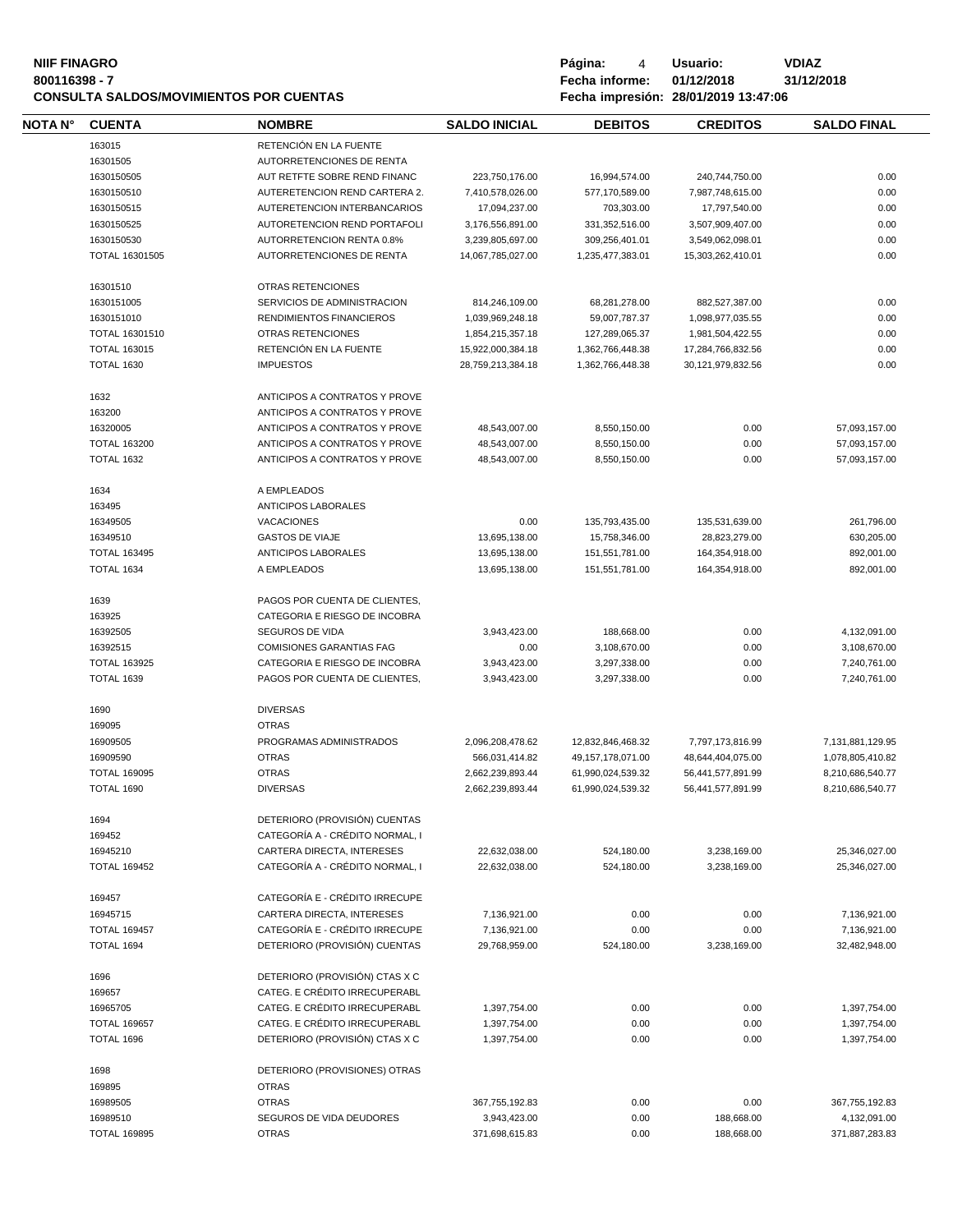| <b>NIIF FINAGRO</b><br>800116398 - 7 |                     | <b>CONSULTA SALDOS/MOVIMIENTOS POR CUENTAS</b> |                      | Página:<br>4<br>Fecha informe: | Usuario:<br>01/12/2018<br>Fecha impresión: 28/01/2019 13:47:06 | <b>VDIAZ</b><br>31/12/2018 |
|--------------------------------------|---------------------|------------------------------------------------|----------------------|--------------------------------|----------------------------------------------------------------|----------------------------|
| <b>NOTA N°</b>                       | <b>CUENTA</b>       | <b>NOMBRE</b>                                  | <b>SALDO INICIAL</b> | <b>DEBITOS</b>                 | <b>CREDITOS</b>                                                | <b>SALDO FINAL</b>         |
|                                      | 163015              | RETENCIÓN EN LA FUENTE                         |                      |                                |                                                                |                            |
|                                      | 16301505            | AUTORRETENCIONES DE RENTA                      |                      |                                |                                                                |                            |
|                                      |                     | AUT RETFTE SOBRE REND FINANC                   |                      |                                |                                                                | 0.00                       |
|                                      | 1630150505          |                                                | 223,750,176.00       | 16,994,574.00                  | 240,744,750.00                                                 |                            |
|                                      | 1630150510          | AUTERETENCION REND CARTERA 2.                  | 7,410,578,026.00     | 577,170,589.00                 | 7,987,748,615.00                                               | 0.00                       |
|                                      | 1630150515          | AUTERETENCION INTERBANCARIOS                   | 17,094,237.00        | 703,303.00                     | 17,797,540.00                                                  | 0.00                       |
|                                      | 1630150525          | AUTORETENCION REND PORTAFOLI                   | 3,176,556,891.00     | 331,352,516.00                 | 3,507,909,407.00                                               | 0.00                       |
|                                      | 1630150530          | AUTORRETENCION RENTA 0.8%                      | 3,239,805,697.00     | 309,256,401.01                 | 3,549,062,098.01                                               | 0.00                       |
|                                      |                     | AUTORRETENCIONES DE RENTA                      |                      |                                |                                                                | 0.00                       |
|                                      | TOTAL 16301505      |                                                | 14,067,785,027.00    | 1,235,477,383.01               | 15,303,262,410.01                                              |                            |
|                                      | 16301510            | OTRAS RETENCIONES                              |                      |                                |                                                                |                            |
|                                      | 1630151005          | SERVICIOS DE ADMINISTRACION                    | 814,246,109.00       | 68,281,278.00                  | 882,527,387.00                                                 | 0.00                       |
|                                      | 1630151010          | RENDIMIENTOS FINANCIEROS                       | 1,039,969,248.18     | 59,007,787.37                  | 1,098,977,035.55                                               | 0.00                       |
|                                      | TOTAL 16301510      | OTRAS RETENCIONES                              | 1,854,215,357.18     | 127,289,065.37                 | 1,981,504,422.55                                               | 0.00                       |
|                                      |                     |                                                |                      |                                |                                                                |                            |
|                                      | <b>TOTAL 163015</b> | RETENCIÓN EN LA FUENTE                         | 15,922,000,384.18    | 1,362,766,448.38               | 17,284,766,832.56                                              | 0.00                       |
|                                      | <b>TOTAL 1630</b>   | <b>IMPUESTOS</b>                               | 28,759,213,384.18    | 1,362,766,448.38               | 30, 121, 979, 832.56                                           | 0.00                       |
|                                      | 1632                | ANTICIPOS A CONTRATOS Y PROVE                  |                      |                                |                                                                |                            |
|                                      | 163200              | ANTICIPOS A CONTRATOS Y PROVE                  |                      |                                |                                                                |                            |
|                                      | 16320005            | ANTICIPOS A CONTRATOS Y PROVE                  | 48,543,007.00        | 8,550,150.00                   | 0.00                                                           | 57,093,157.00              |
|                                      |                     |                                                |                      |                                |                                                                |                            |
|                                      | <b>TOTAL 163200</b> | ANTICIPOS A CONTRATOS Y PROVE                  | 48,543,007.00        | 8,550,150.00                   | 0.00                                                           | 57,093,157.00              |
|                                      | <b>TOTAL 1632</b>   | ANTICIPOS A CONTRATOS Y PROVE                  | 48,543,007.00        | 8.550.150.00                   | 0.00                                                           | 57,093,157.00              |
|                                      | 1634                | A EMPLEADOS                                    |                      |                                |                                                                |                            |
|                                      | 163495              | <b>ANTICIPOS LABORALES</b>                     |                      |                                |                                                                |                            |
|                                      |                     |                                                |                      |                                |                                                                |                            |
|                                      | 16349505            | <b>VACACIONES</b>                              | 0.00                 | 135,793,435.00                 | 135,531,639.00                                                 | 261,796.00                 |
|                                      | 16349510            | <b>GASTOS DE VIAJE</b>                         | 13,695,138.00        | 15,758,346.00                  | 28,823,279.00                                                  | 630,205.00                 |
|                                      | <b>TOTAL 163495</b> | <b>ANTICIPOS LABORALES</b>                     | 13,695,138.00        | 151,551,781.00                 | 164,354,918.00                                                 | 892,001.00                 |
|                                      | TOTAL 1634          | A EMPLEADOS                                    | 13,695,138.00        | 151,551,781.00                 | 164,354,918.00                                                 | 892,001.00                 |
|                                      | 1639                | PAGOS POR CUENTA DE CLIENTES,                  |                      |                                |                                                                |                            |
|                                      |                     |                                                |                      |                                |                                                                |                            |
|                                      | 163925              | CATEGORIA E RIESGO DE INCOBRA                  |                      |                                |                                                                |                            |
|                                      | 16392505            | SEGUROS DE VIDA                                | 3,943,423.00         | 188,668.00                     | 0.00                                                           | 4,132,091.00               |
|                                      | 16392515            | COMISIONES GARANTIAS FAG                       | 0.00                 | 3,108,670.00                   | 0.00                                                           | 3,108,670.00               |
|                                      | <b>TOTAL 163925</b> | CATEGORIA E RIESGO DE INCOBRA                  | 3,943,423.00         | 3,297,338.00                   | 0.00                                                           | 7,240,761.00               |
|                                      | <b>TOTAL 1639</b>   | PAGOS POR CUENTA DE CLIENTES.                  |                      | 3.297.338.00                   |                                                                |                            |
|                                      |                     |                                                | 3,943,423.00         |                                | 0.00                                                           | 7,240,761.00               |
|                                      | 1690                | <b>DIVERSAS</b>                                |                      |                                |                                                                |                            |
|                                      | 169095              | <b>OTRAS</b>                                   |                      |                                |                                                                |                            |
|                                      | 16909505            | PROGRAMAS ADMINISTRADOS                        | 2.096.208.478.62     | 12,832,846,468.32              | 7,797,173,816.99                                               | 7,131,881,129.95           |
|                                      | 16909590            | <b>OTRAS</b>                                   | 566,031,414.82       | 49, 157, 178, 071.00           | 48,644,404,075.00                                              | 1,078,805,410.82           |
|                                      |                     |                                                |                      |                                |                                                                |                            |
|                                      | <b>TOTAL 169095</b> | <b>OTRAS</b>                                   | 2,662,239,893.44     | 61,990,024,539.32              | 56,441,577,891.99                                              | 8,210,686,540.77           |
|                                      | <b>TOTAL 1690</b>   | <b>DIVERSAS</b>                                | 2,662,239,893.44     | 61,990,024,539.32              | 56,441,577,891.99                                              | 8,210,686,540.77           |
|                                      | 1694                | DETERIORO (PROVISIÓN) CUENTAS                  |                      |                                |                                                                |                            |
|                                      | 169452              | CATEGORÍA A - CRÉDITO NORMAL. I                |                      |                                |                                                                |                            |
|                                      | 16945210            | CARTERA DIRECTA, INTERESES                     | 22,632,038.00        | 524,180.00                     | 3,238,169.00                                                   | 25,346,027.00              |
|                                      | <b>TOTAL 169452</b> | CATEGORÍA A - CRÉDITO NORMAL, I                | 22,632,038.00        | 524,180.00                     | 3,238,169.00                                                   | 25,346,027.00              |
|                                      |                     |                                                |                      |                                |                                                                |                            |
|                                      | 169457              | CATEGORÍA E - CRÉDITO IRRECUPE                 |                      |                                |                                                                |                            |
|                                      | 16945715            | CARTERA DIRECTA, INTERESES                     | 7,136,921.00         | 0.00                           | 0.00                                                           | 7,136,921.00               |
|                                      | <b>TOTAL 169457</b> | CATEGORÍA E - CRÉDITO IRRECUPE                 | 7,136,921.00         | 0.00                           | 0.00                                                           | 7,136,921.00               |
|                                      | TOTAL 1694          | DETERIORO (PROVISIÓN) CUENTAS                  | 29,768,959.00        | 524,180.00                     | 3,238,169.00                                                   | 32,482,948.00              |
|                                      | 1696                | DETERIORO (PROVISIÓN) CTAS X C                 |                      |                                |                                                                |                            |
|                                      |                     |                                                |                      |                                |                                                                |                            |
|                                      | 169657              | CATEG. E CRÉDITO IRRECUPERABL                  |                      |                                |                                                                |                            |
|                                      | 16965705            | CATEG. E CRÉDITO IRRECUPERABL                  | 1,397,754.00         | 0.00                           | 0.00                                                           | 1,397,754.00               |
|                                      | <b>TOTAL 169657</b> | CATEG. E CRÉDITO IRRECUPERABL                  | 1,397,754.00         | 0.00                           | 0.00                                                           | 1,397,754.00               |
|                                      | TOTAL 1696          | DETERIORO (PROVISIÓN) CTAS X C                 | 1,397,754.00         | 0.00                           | 0.00                                                           | 1,397,754.00               |
|                                      |                     |                                                |                      |                                |                                                                |                            |
|                                      | 1698                | DETERIORO (PROVISIONES) OTRAS                  |                      |                                |                                                                |                            |
|                                      | 169895              | <b>OTRAS</b>                                   |                      |                                |                                                                |                            |
|                                      | 16989505            | <b>OTRAS</b>                                   | 367,755,192.83       | 0.00                           | 0.00                                                           | 367,755,192.83             |
|                                      | 16989510            | SEGUROS DE VIDA DEUDORES                       | 3,943,423.00         | 0.00                           | 188,668.00                                                     | 4,132,091.00               |
|                                      | <b>TOTAL 169895</b> | <b>OTRAS</b>                                   | 371,698,615.83       | 0.00                           | 188,668.00                                                     | 371,887,283.83             |
|                                      |                     |                                                |                      |                                |                                                                |                            |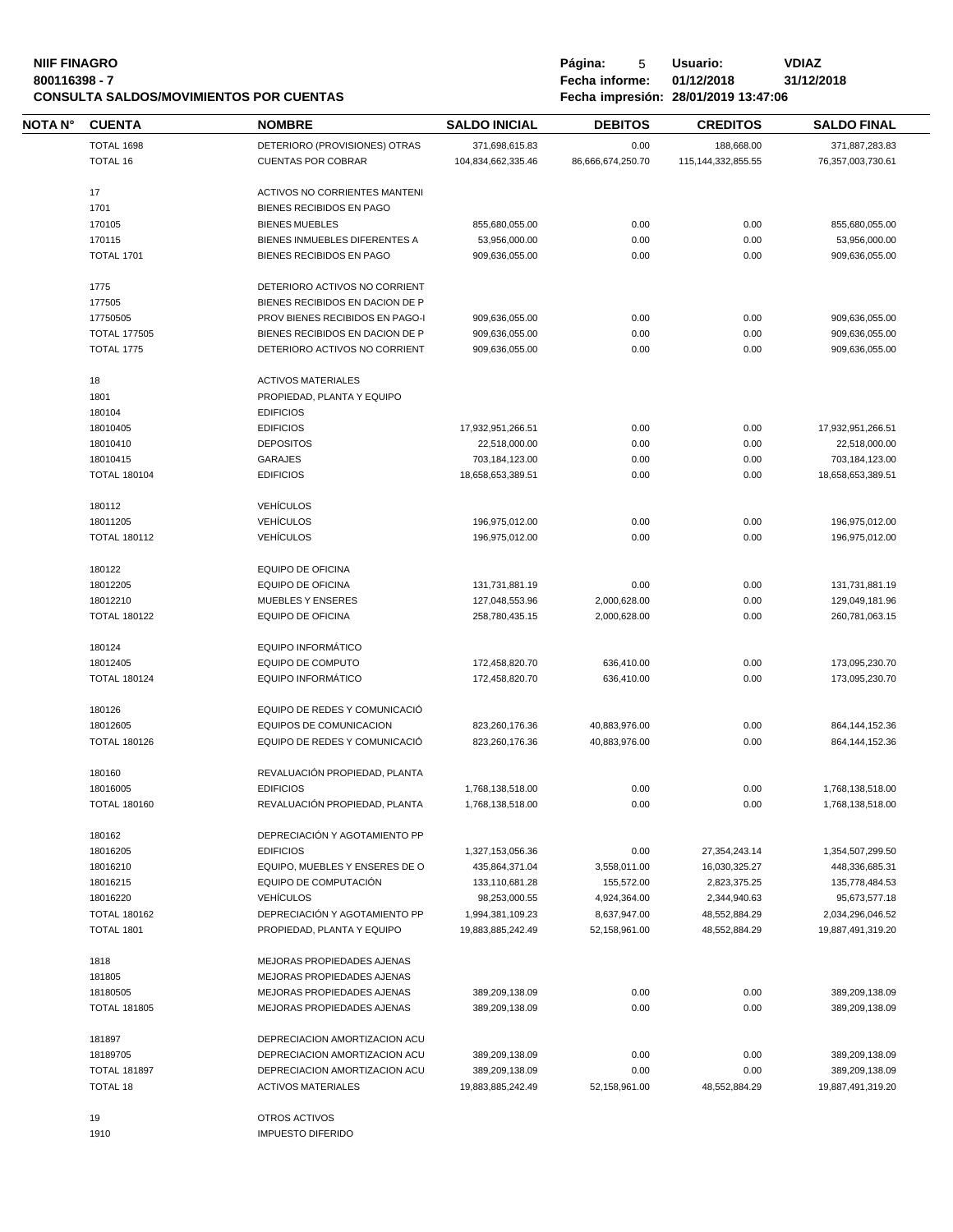# **NIIF FINAGRO P á g i n a :** 5 **U s u a r i o : VDIAZ CONSULTA SALDOS/MOVIMIENTOS POR CUENTAS**

| <b>NOTA N°</b> | <b>CUENTA</b>       | <b>NOMBRE</b>                   | <b>SALDO INICIAL</b> | <b>DEBITOS</b>    | <b>CREDITOS</b>        | <b>SALDO FINAL</b> |
|----------------|---------------------|---------------------------------|----------------------|-------------------|------------------------|--------------------|
|                | TOTAL 1698          | DETERIORO (PROVISIONES) OTRAS   | 371,698,615.83       | 0.00              | 188,668.00             | 371,887,283.83     |
|                | <b>TOTAL 16</b>     | <b>CUENTAS POR COBRAR</b>       | 104,834,662,335.46   | 86,666,674,250.70 | 115, 144, 332, 855. 55 | 76,357,003,730.61  |
|                | 17                  | ACTIVOS NO CORRIENTES MANTENI   |                      |                   |                        |                    |
|                | 1701                | BIENES RECIBIDOS EN PAGO        |                      |                   |                        |                    |
|                |                     |                                 |                      |                   |                        |                    |
|                | 170105              | <b>BIENES MUEBLES</b>           | 855,680,055.00       | 0.00              | 0.00                   | 855,680,055.00     |
|                | 170115              | BIENES INMUEBLES DIFERENTES A   | 53,956,000.00        | 0.00              | 0.00                   | 53,956,000.00      |
|                | <b>TOTAL 1701</b>   | BIENES RECIBIDOS EN PAGO        | 909,636,055.00       | 0.00              | 0.00                   | 909,636,055.00     |
|                | 1775                | DETERIORO ACTIVOS NO CORRIENT   |                      |                   |                        |                    |
|                | 177505              | BIENES RECIBIDOS EN DACION DE P |                      |                   |                        |                    |
|                | 17750505            | PROV BIENES RECIBIDOS EN PAGO-I | 909,636,055.00       | 0.00              | 0.00                   | 909,636,055.00     |
|                | <b>TOTAL 177505</b> | BIENES RECIBIDOS EN DACION DE P | 909,636,055.00       | 0.00              | 0.00                   | 909,636,055.00     |
|                | <b>TOTAL 1775</b>   | DETERIORO ACTIVOS NO CORRIENT   | 909,636,055.00       | 0.00              | 0.00                   | 909,636,055.00     |
|                | 18                  | <b>ACTIVOS MATERIALES</b>       |                      |                   |                        |                    |
|                | 1801                | PROPIEDAD, PLANTA Y EQUIPO      |                      |                   |                        |                    |
|                | 180104              | <b>EDIFICIOS</b>                |                      |                   |                        |                    |
|                | 18010405            | <b>EDIFICIOS</b>                | 17,932,951,266.51    | 0.00              | 0.00                   | 17,932,951,266.51  |
|                | 18010410            | <b>DEPOSITOS</b>                | 22,518,000.00        | 0.00              | 0.00                   | 22,518,000.00      |
|                | 18010415            | <b>GARAJES</b>                  | 703,184,123.00       | 0.00              | 0.00                   | 703,184,123.00     |
|                |                     |                                 |                      |                   |                        |                    |
|                | <b>TOTAL 180104</b> | <b>EDIFICIOS</b>                | 18.658.653.389.51    | 0.00              | 0.00                   | 18,658,653,389.51  |
|                | 180112              | <b>VEHÍCULOS</b>                |                      |                   |                        |                    |
|                | 18011205            | <b>VEHÍCULOS</b>                | 196,975,012.00       | 0.00              | 0.00                   | 196,975,012.00     |
|                | <b>TOTAL 180112</b> | <b>VEHÍCULOS</b>                | 196,975,012.00       | 0.00              | 0.00                   | 196,975,012.00     |
|                | 180122              | <b>EQUIPO DE OFICINA</b>        |                      |                   |                        |                    |
|                | 18012205            | EQUIPO DE OFICINA               | 131,731,881.19       | 0.00              | 0.00                   | 131,731,881.19     |
|                | 18012210            | <b>MUEBLES Y ENSERES</b>        | 127,048,553.96       | 2,000,628.00      | 0.00                   | 129,049,181.96     |
|                | <b>TOTAL 180122</b> | <b>EQUIPO DE OFICINA</b>        | 258,780,435.15       | 2,000,628.00      | 0.00                   | 260,781,063.15     |
|                | 180124              | <b>EQUIPO INFORMÁTICO</b>       |                      |                   |                        |                    |
|                | 18012405            | <b>EQUIPO DE COMPUTO</b>        | 172,458,820.70       | 636,410.00        | 0.00                   | 173,095,230.70     |
|                | <b>TOTAL 180124</b> | <b>EQUIPO INFORMÁTICO</b>       | 172,458,820.70       | 636,410.00        | 0.00                   | 173,095,230.70     |
|                |                     |                                 |                      |                   |                        |                    |
|                | 180126              | EQUIPO DE REDES Y COMUNICACIÓ   |                      |                   |                        |                    |
|                | 18012605            | EQUIPOS DE COMUNICACION         | 823,260,176.36       | 40,883,976.00     | 0.00                   | 864, 144, 152. 36  |
|                | <b>TOTAL 180126</b> | EQUIPO DE REDES Y COMUNICACIÓ   | 823,260,176.36       | 40,883,976.00     | 0.00                   | 864, 144, 152. 36  |
|                | 180160              | REVALUACIÓN PROPIEDAD, PLANTA   |                      |                   |                        |                    |
|                | 18016005            | <b>EDIFICIOS</b>                | 1,768,138,518.00     | 0.00              | 0.00                   | 1,768,138,518.00   |
|                | <b>TOTAL 180160</b> | REVALUACIÓN PROPIEDAD, PLANTA   | 1,768,138,518.00     | 0.00              | 0.00                   | 1,768,138,518.00   |
|                | 180162              | DEPRECIACIÓN Y AGOTAMIENTO PP   |                      |                   |                        |                    |
|                | 18016205            | <b>EDIFICIOS</b>                | 1,327,153,056.36     | 0.00              | 27,354,243.14          | 1,354,507,299.50   |
|                | 18016210            | EQUIPO, MUEBLES Y ENSERES DE O  | 435,864,371.04       | 3,558,011.00      | 16,030,325.27          | 448,336,685.31     |
|                | 18016215            | EQUIPO DE COMPUTACIÓN           | 133,110,681.28       | 155,572.00        | 2,823,375.25           | 135,778,484.53     |
|                | 18016220            | <b>VEHÍCULOS</b>                | 98,253,000.55        | 4,924,364.00      | 2,344,940.63           | 95,673,577.18      |
|                | <b>TOTAL 180162</b> | DEPRECIACIÓN Y AGOTAMIENTO PP   | 1,994,381,109.23     | 8,637,947.00      | 48,552,884.29          | 2,034,296,046.52   |
|                | <b>TOTAL 1801</b>   | PROPIEDAD, PLANTA Y EQUIPO      | 19,883,885,242.49    | 52,158,961.00     | 48,552,884.29          | 19,887,491,319.20  |
|                |                     |                                 |                      |                   |                        |                    |
|                | 1818                | MEJORAS PROPIEDADES AJENAS      |                      |                   |                        |                    |
|                | 181805              | MEJORAS PROPIEDADES AJENAS      |                      |                   |                        |                    |
|                | 18180505            | MEJORAS PROPIEDADES AJENAS      | 389,209,138.09       | 0.00              | 0.00                   | 389,209,138.09     |
|                | <b>TOTAL 181805</b> | MEJORAS PROPIEDADES AJENAS      | 389,209,138.09       | 0.00              | 0.00                   | 389,209,138.09     |
|                | 181897              | DEPRECIACION AMORTIZACION ACU   |                      |                   |                        |                    |
|                | 18189705            | DEPRECIACION AMORTIZACION ACU   | 389,209,138.09       | 0.00              | 0.00                   | 389,209,138.09     |
|                | <b>TOTAL 181897</b> | DEPRECIACION AMORTIZACION ACU   | 389,209,138.09       | 0.00              | 0.00                   | 389,209,138.09     |
|                | <b>TOTAL 18</b>     | <b>ACTIVOS MATERIALES</b>       | 19,883,885,242.49    | 52,158,961.00     | 48,552,884.29          | 19,887,491,319.20  |
|                | 19                  | OTROS ACTIVOS                   |                      |                   |                        |                    |
|                | 1910                | <b>IMPUESTO DIFERIDO</b>        |                      |                   |                        |                    |
|                |                     |                                 |                      |                   |                        |                    |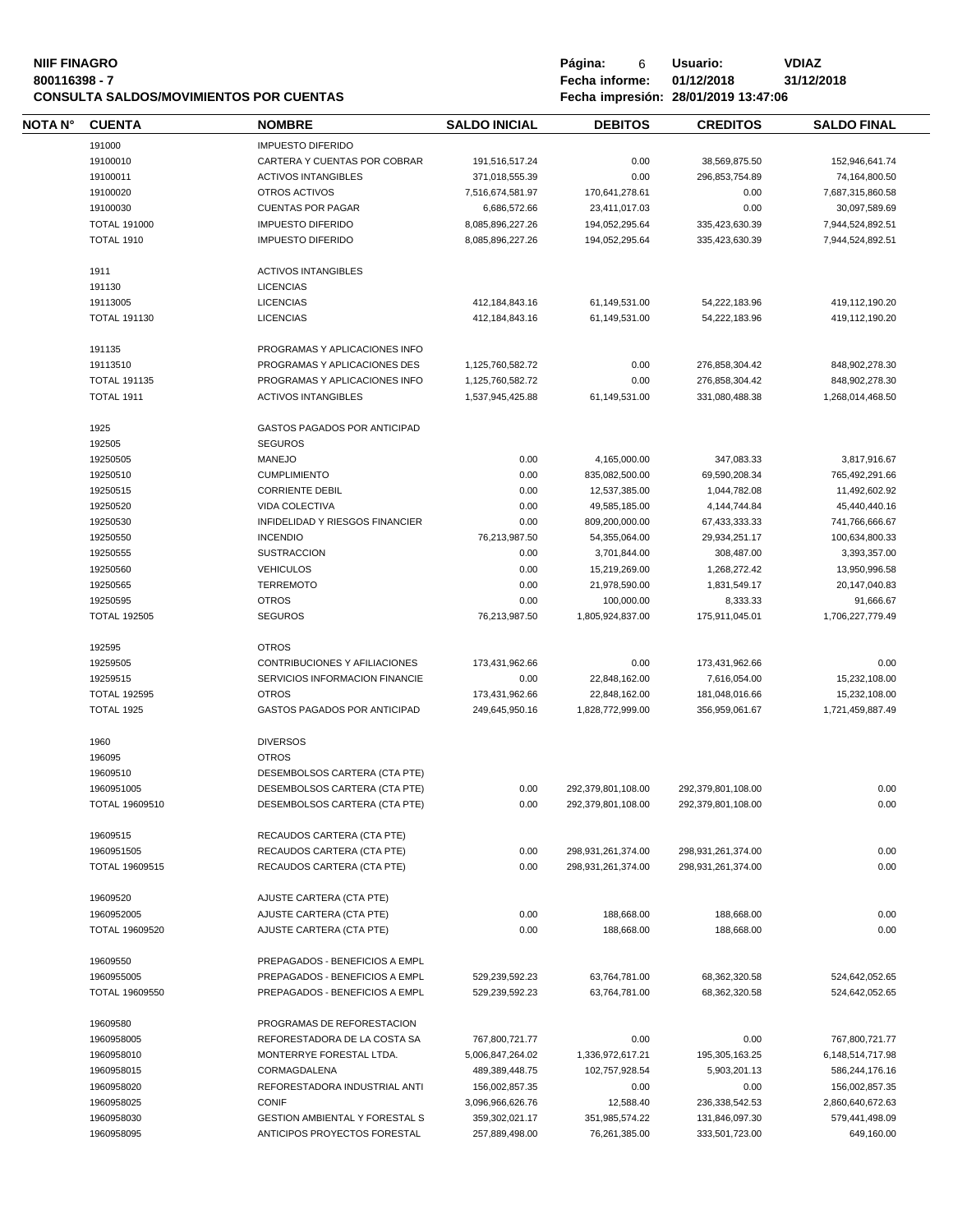# **NIIF FINAGRO P á g i n a :** 6 **U s u a r i o : VDIAZ CONSULTA SALDOS/MOVIMIENTOS POR CUENTAS**

| 191000<br>19100010<br>19100011<br>19100020<br>19100030<br><b>TOTAL 191000</b><br><b>TOTAL 1910</b><br>1911<br>191130<br>19113005<br><b>TOTAL 191130</b><br>191135<br>19113510<br><b>TOTAL 191135</b><br><b>TOTAL 1911</b><br>1925<br>192505<br>19250505<br>19250510<br>19250515<br>19250520<br>19250530<br>19250550<br>19250555<br>19250560<br>19250565<br>19250595<br><b>TOTAL 192505</b><br>192595<br>19259505<br>19259515<br><b>TOTAL 192595</b><br><b>TOTAL 1925</b><br>1960<br>196095<br>19609510<br>1960951005<br>TOTAL 19609510<br>19609515<br>1960951505<br>TOTAL 19609515<br>19609520<br>1960952005<br>TOTAL 19609520<br>19609550<br>1960955005<br>TOTAL 19609550<br>19609580<br>1960958005<br>1960958010<br>1960958015 | <b>CUENTA</b> | <b>NOMBRE</b>                                                  | <b>SALDO INICIAL</b>             | <b>DEBITOS</b>                  | <b>CREDITOS</b>                  | <b>SALDO FINAL</b>           |
|----------------------------------------------------------------------------------------------------------------------------------------------------------------------------------------------------------------------------------------------------------------------------------------------------------------------------------------------------------------------------------------------------------------------------------------------------------------------------------------------------------------------------------------------------------------------------------------------------------------------------------------------------------------------------------------------------------------------------------|---------------|----------------------------------------------------------------|----------------------------------|---------------------------------|----------------------------------|------------------------------|
|                                                                                                                                                                                                                                                                                                                                                                                                                                                                                                                                                                                                                                                                                                                                  |               | <b>IMPUESTO DIFERIDO</b>                                       |                                  |                                 |                                  |                              |
|                                                                                                                                                                                                                                                                                                                                                                                                                                                                                                                                                                                                                                                                                                                                  |               | CARTERA Y CUENTAS POR COBRAR                                   | 191,516,517.24                   | 0.00                            | 38,569,875.50                    | 152,946,641.74               |
|                                                                                                                                                                                                                                                                                                                                                                                                                                                                                                                                                                                                                                                                                                                                  |               | <b>ACTIVOS INTANGIBLES</b>                                     | 371,018,555.39                   | 0.00                            | 296,853,754.89                   | 74,164,800.50                |
|                                                                                                                                                                                                                                                                                                                                                                                                                                                                                                                                                                                                                                                                                                                                  |               | OTROS ACTIVOS                                                  | 7,516,674,581.97                 | 170,641,278.61                  | 0.00                             | 7,687,315,860.58             |
|                                                                                                                                                                                                                                                                                                                                                                                                                                                                                                                                                                                                                                                                                                                                  |               | <b>CUENTAS POR PAGAR</b>                                       | 6,686,572.66                     | 23,411,017.03                   | 0.00                             | 30,097,589.69                |
|                                                                                                                                                                                                                                                                                                                                                                                                                                                                                                                                                                                                                                                                                                                                  |               | <b>IMPUESTO DIFERIDO</b>                                       | 8,085,896,227.26                 | 194,052,295.64                  | 335,423,630.39                   | 7,944,524,892.51             |
|                                                                                                                                                                                                                                                                                                                                                                                                                                                                                                                                                                                                                                                                                                                                  |               | <b>IMPUESTO DIFERIDO</b>                                       | 8,085,896,227.26                 | 194,052,295.64                  | 335,423,630.39                   | 7,944,524,892.51             |
|                                                                                                                                                                                                                                                                                                                                                                                                                                                                                                                                                                                                                                                                                                                                  |               |                                                                |                                  |                                 |                                  |                              |
|                                                                                                                                                                                                                                                                                                                                                                                                                                                                                                                                                                                                                                                                                                                                  |               | <b>ACTIVOS INTANGIBLES</b>                                     |                                  |                                 |                                  |                              |
|                                                                                                                                                                                                                                                                                                                                                                                                                                                                                                                                                                                                                                                                                                                                  |               | <b>LICENCIAS</b>                                               |                                  |                                 |                                  |                              |
|                                                                                                                                                                                                                                                                                                                                                                                                                                                                                                                                                                                                                                                                                                                                  |               | <b>LICENCIAS</b>                                               | 412,184,843.16                   | 61,149,531.00                   | 54,222,183.96                    | 419,112,190.20               |
|                                                                                                                                                                                                                                                                                                                                                                                                                                                                                                                                                                                                                                                                                                                                  |               | <b>LICENCIAS</b>                                               | 412.184.843.16                   | 61,149,531.00                   | 54,222,183.96                    | 419,112,190.20               |
|                                                                                                                                                                                                                                                                                                                                                                                                                                                                                                                                                                                                                                                                                                                                  |               | PROGRAMAS Y APLICACIONES INFO                                  |                                  |                                 |                                  |                              |
|                                                                                                                                                                                                                                                                                                                                                                                                                                                                                                                                                                                                                                                                                                                                  |               | PROGRAMAS Y APLICACIONES DES                                   | 1,125,760,582.72                 | 0.00                            | 276,858,304.42                   | 848,902,278.30               |
|                                                                                                                                                                                                                                                                                                                                                                                                                                                                                                                                                                                                                                                                                                                                  |               | PROGRAMAS Y APLICACIONES INFO                                  | 1,125,760,582.72                 | 0.00                            | 276,858,304.42                   | 848,902,278.30               |
|                                                                                                                                                                                                                                                                                                                                                                                                                                                                                                                                                                                                                                                                                                                                  |               | <b>ACTIVOS INTANGIBLES</b>                                     | 1,537,945,425.88                 | 61,149,531.00                   | 331,080,488.38                   | 1,268,014,468.50             |
|                                                                                                                                                                                                                                                                                                                                                                                                                                                                                                                                                                                                                                                                                                                                  |               |                                                                |                                  |                                 |                                  |                              |
|                                                                                                                                                                                                                                                                                                                                                                                                                                                                                                                                                                                                                                                                                                                                  |               | <b>GASTOS PAGADOS POR ANTICIPAD</b>                            |                                  |                                 |                                  |                              |
|                                                                                                                                                                                                                                                                                                                                                                                                                                                                                                                                                                                                                                                                                                                                  |               | <b>SEGUROS</b>                                                 |                                  |                                 |                                  |                              |
|                                                                                                                                                                                                                                                                                                                                                                                                                                                                                                                                                                                                                                                                                                                                  |               | <b>MANEJO</b>                                                  | 0.00                             | 4,165,000.00                    | 347,083.33                       | 3,817,916.67                 |
|                                                                                                                                                                                                                                                                                                                                                                                                                                                                                                                                                                                                                                                                                                                                  |               | <b>CUMPLIMIENTO</b>                                            | 0.00                             | 835,082,500.00                  | 69,590,208.34                    | 765,492,291.66               |
|                                                                                                                                                                                                                                                                                                                                                                                                                                                                                                                                                                                                                                                                                                                                  |               | <b>CORRIENTE DEBIL</b>                                         | 0.00                             | 12,537,385.00                   | 1,044,782.08                     | 11,492,602.92                |
|                                                                                                                                                                                                                                                                                                                                                                                                                                                                                                                                                                                                                                                                                                                                  |               | VIDA COLECTIVA                                                 | 0.00                             | 49,585,185.00                   | 4, 144, 744.84                   | 45,440,440.16                |
|                                                                                                                                                                                                                                                                                                                                                                                                                                                                                                                                                                                                                                                                                                                                  |               | INFIDELIDAD Y RIESGOS FINANCIER                                | 0.00                             | 809,200,000.00                  | 67,433,333.33                    | 741,766,666.67               |
|                                                                                                                                                                                                                                                                                                                                                                                                                                                                                                                                                                                                                                                                                                                                  |               | <b>INCENDIO</b>                                                | 76,213,987.50                    | 54,355,064.00                   | 29,934,251.17                    | 100,634,800.33               |
|                                                                                                                                                                                                                                                                                                                                                                                                                                                                                                                                                                                                                                                                                                                                  |               | <b>SUSTRACCION</b>                                             | 0.00                             | 3,701,844.00                    | 308,487.00                       | 3,393,357.00                 |
|                                                                                                                                                                                                                                                                                                                                                                                                                                                                                                                                                                                                                                                                                                                                  |               | <b>VEHICULOS</b>                                               | 0.00                             | 15,219,269.00                   | 1,268,272.42                     | 13,950,996.58                |
|                                                                                                                                                                                                                                                                                                                                                                                                                                                                                                                                                                                                                                                                                                                                  |               | <b>TERREMOTO</b>                                               |                                  |                                 |                                  |                              |
|                                                                                                                                                                                                                                                                                                                                                                                                                                                                                                                                                                                                                                                                                                                                  |               |                                                                | 0.00                             | 21,978,590.00                   | 1,831,549.17                     | 20,147,040.83                |
|                                                                                                                                                                                                                                                                                                                                                                                                                                                                                                                                                                                                                                                                                                                                  |               | <b>OTROS</b>                                                   | 0.00                             | 100,000.00                      | 8,333.33                         | 91,666.67                    |
|                                                                                                                                                                                                                                                                                                                                                                                                                                                                                                                                                                                                                                                                                                                                  |               | <b>SEGUROS</b>                                                 | 76,213,987.50                    | 1,805,924,837.00                | 175,911,045.01                   | 1,706,227,779.49             |
|                                                                                                                                                                                                                                                                                                                                                                                                                                                                                                                                                                                                                                                                                                                                  |               | <b>OTROS</b>                                                   |                                  |                                 |                                  |                              |
|                                                                                                                                                                                                                                                                                                                                                                                                                                                                                                                                                                                                                                                                                                                                  |               | CONTRIBUCIONES Y AFILIACIONES                                  | 173,431,962.66                   | 0.00                            | 173,431,962.66                   | 0.00                         |
|                                                                                                                                                                                                                                                                                                                                                                                                                                                                                                                                                                                                                                                                                                                                  |               | SERVICIOS INFORMACION FINANCIE                                 | 0.00                             | 22,848,162.00                   | 7,616,054.00                     | 15,232,108.00                |
|                                                                                                                                                                                                                                                                                                                                                                                                                                                                                                                                                                                                                                                                                                                                  |               | <b>OTROS</b>                                                   | 173,431,962.66                   | 22,848,162.00                   | 181,048,016.66                   | 15,232,108.00                |
|                                                                                                                                                                                                                                                                                                                                                                                                                                                                                                                                                                                                                                                                                                                                  |               | <b>GASTOS PAGADOS POR ANTICIPAD</b>                            | 249,645,950.16                   | 1.828.772.999.00                | 356.959.061.67                   | 1,721,459,887.49             |
|                                                                                                                                                                                                                                                                                                                                                                                                                                                                                                                                                                                                                                                                                                                                  |               | <b>DIVERSOS</b>                                                |                                  |                                 |                                  |                              |
|                                                                                                                                                                                                                                                                                                                                                                                                                                                                                                                                                                                                                                                                                                                                  |               | <b>OTROS</b>                                                   |                                  |                                 |                                  |                              |
|                                                                                                                                                                                                                                                                                                                                                                                                                                                                                                                                                                                                                                                                                                                                  |               |                                                                |                                  |                                 |                                  |                              |
|                                                                                                                                                                                                                                                                                                                                                                                                                                                                                                                                                                                                                                                                                                                                  |               | DESEMBOLSOS CARTERA (CTA PTE)                                  |                                  |                                 |                                  |                              |
|                                                                                                                                                                                                                                                                                                                                                                                                                                                                                                                                                                                                                                                                                                                                  |               | DESEMBOLSOS CARTERA (CTA PTE)                                  | 0.00                             | 292,379,801,108.00              | 292,379,801,108.00               | 0.00                         |
|                                                                                                                                                                                                                                                                                                                                                                                                                                                                                                                                                                                                                                                                                                                                  |               | DESEMBOLSOS CARTERA (CTA PTE)                                  | 0.00                             | 292,379,801,108.00              | 292,379,801,108.00               | 0.00                         |
|                                                                                                                                                                                                                                                                                                                                                                                                                                                                                                                                                                                                                                                                                                                                  |               | RECAUDOS CARTERA (CTA PTE)                                     |                                  |                                 |                                  |                              |
|                                                                                                                                                                                                                                                                                                                                                                                                                                                                                                                                                                                                                                                                                                                                  |               | RECAUDOS CARTERA (CTA PTE)                                     | 0.00                             | 298,931,261,374.00              | 298,931,261,374.00               | 0.00                         |
|                                                                                                                                                                                                                                                                                                                                                                                                                                                                                                                                                                                                                                                                                                                                  |               | RECAUDOS CARTERA (CTA PTE)                                     | 0.00                             | 298,931,261,374.00              | 298,931,261,374.00               | 0.00                         |
|                                                                                                                                                                                                                                                                                                                                                                                                                                                                                                                                                                                                                                                                                                                                  |               | AJUSTE CARTERA (CTA PTE)                                       |                                  |                                 |                                  |                              |
|                                                                                                                                                                                                                                                                                                                                                                                                                                                                                                                                                                                                                                                                                                                                  |               | AJUSTE CARTERA (CTA PTE)                                       | 0.00                             | 188,668.00                      | 188,668.00                       | 0.00                         |
|                                                                                                                                                                                                                                                                                                                                                                                                                                                                                                                                                                                                                                                                                                                                  |               | AJUSTE CARTERA (CTA PTE)                                       | 0.00                             | 188,668.00                      | 188,668.00                       | 0.00                         |
|                                                                                                                                                                                                                                                                                                                                                                                                                                                                                                                                                                                                                                                                                                                                  |               |                                                                |                                  |                                 |                                  |                              |
|                                                                                                                                                                                                                                                                                                                                                                                                                                                                                                                                                                                                                                                                                                                                  |               | PREPAGADOS - BENEFICIOS A EMPL                                 |                                  |                                 |                                  |                              |
|                                                                                                                                                                                                                                                                                                                                                                                                                                                                                                                                                                                                                                                                                                                                  |               | PREPAGADOS - BENEFICIOS A EMPL                                 | 529,239,592.23                   | 63,764,781.00                   | 68,362,320.58                    | 524,642,052.65               |
|                                                                                                                                                                                                                                                                                                                                                                                                                                                                                                                                                                                                                                                                                                                                  |               | PREPAGADOS - BENEFICIOS A EMPL                                 | 529,239,592.23                   | 63,764,781.00                   | 68,362,320.58                    | 524,642,052.65               |
|                                                                                                                                                                                                                                                                                                                                                                                                                                                                                                                                                                                                                                                                                                                                  |               | PROGRAMAS DE REFORESTACION                                     |                                  |                                 |                                  |                              |
|                                                                                                                                                                                                                                                                                                                                                                                                                                                                                                                                                                                                                                                                                                                                  |               | REFORESTADORA DE LA COSTA SA                                   | 767,800,721.77                   | 0.00                            | 0.00                             | 767,800,721.77               |
|                                                                                                                                                                                                                                                                                                                                                                                                                                                                                                                                                                                                                                                                                                                                  |               | MONTERRYE FORESTAL LTDA.                                       | 5,006,847,264.02                 | 1,336,972,617.21                | 195,305,163.25                   | 6,148,514,717.98             |
|                                                                                                                                                                                                                                                                                                                                                                                                                                                                                                                                                                                                                                                                                                                                  |               | CORMAGDALENA                                                   | 489,389,448.75                   | 102,757,928.54                  | 5,903,201.13                     | 586,244,176.16               |
| 1960958020                                                                                                                                                                                                                                                                                                                                                                                                                                                                                                                                                                                                                                                                                                                       |               | REFORESTADORA INDUSTRIAL ANTI                                  | 156,002,857.35                   | 0.00                            | 0.00                             | 156,002,857.35               |
| 1960958025                                                                                                                                                                                                                                                                                                                                                                                                                                                                                                                                                                                                                                                                                                                       |               | <b>CONIF</b>                                                   | 3,096,966,626.76                 | 12,588.40                       | 236,338,542.53                   | 2,860,640,672.63             |
|                                                                                                                                                                                                                                                                                                                                                                                                                                                                                                                                                                                                                                                                                                                                  |               |                                                                |                                  |                                 |                                  |                              |
| 1960958030<br>1960958095                                                                                                                                                                                                                                                                                                                                                                                                                                                                                                                                                                                                                                                                                                         |               | GESTION AMBIENTAL Y FORESTAL S<br>ANTICIPOS PROYECTOS FORESTAL | 359,302,021.17<br>257,889,498.00 | 351,985,574.22<br>76,261,385.00 | 131,846,097.30<br>333,501,723.00 | 579,441,498.09<br>649,160.00 |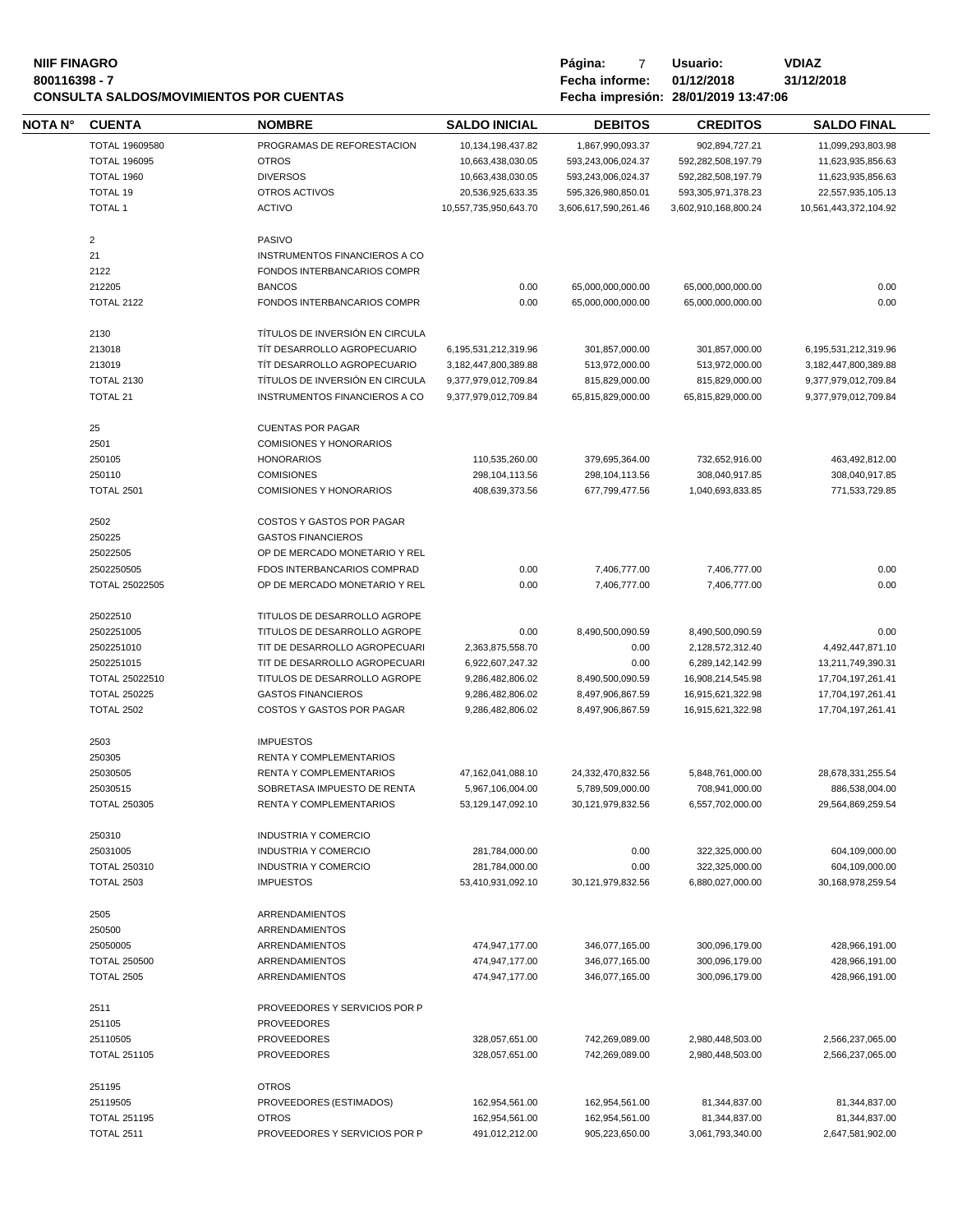## **NIIF FINAGRO 800116398 - 7 Fecha informe: 01/12/2018 31/12/2018 CONSULTA SALDOS/MOVIMIENTOS POR CUENTAS**

| Página:        | 7 | Usuario:                             | <b>VDIAZ</b> |
|----------------|---|--------------------------------------|--------------|
| Fecha informe: |   | 01/12/2018                           | 31/12/2      |
|                |   | Fecha impresión: 28/01/2019 13:47:06 |              |

| NOTA N° | <b>CUENTA</b>           | <b>NOMBRE</b>                        | <b>SALDO INICIAL</b>  | <b>DEBITOS</b>       | <b>CREDITOS</b>      | <b>SALDO FINAL</b>    |
|---------|-------------------------|--------------------------------------|-----------------------|----------------------|----------------------|-----------------------|
|         | TOTAL 19609580          | PROGRAMAS DE REFORESTACION           | 10,134,198,437.82     | 1,867,990,093.37     | 902,894,727.21       | 11,099,293,803.98     |
|         | <b>TOTAL 196095</b>     | <b>OTROS</b>                         | 10,663,438,030.05     | 593,243,006,024.37   | 592,282,508,197.79   | 11,623,935,856.63     |
|         | TOTAL 1960              | <b>DIVERSOS</b>                      | 10,663,438,030.05     | 593,243,006,024.37   | 592,282,508,197.79   | 11,623,935,856.63     |
|         | <b>TOTAL 19</b>         | OTROS ACTIVOS                        | 20,536,925,633.35     | 595,326,980,850.01   | 593,305,971,378.23   | 22,557,935,105.13     |
|         | <b>TOTAL 1</b>          | <b>ACTIVO</b>                        | 10,557,735,950,643.70 | 3,606,617,590,261.46 | 3,602,910,168,800.24 | 10,561,443,372,104.92 |
|         |                         |                                      |                       |                      |                      |                       |
|         | $\overline{\mathbf{c}}$ | PASIVO                               |                       |                      |                      |                       |
|         | 21                      | <b>INSTRUMENTOS FINANCIEROS A CO</b> |                       |                      |                      |                       |
|         | 2122                    | FONDOS INTERBANCARIOS COMPR          |                       |                      |                      |                       |
|         | 212205                  | <b>BANCOS</b>                        | 0.00                  | 65,000,000,000.00    | 65,000,000,000.00    | 0.00                  |
|         | <b>TOTAL 2122</b>       | FONDOS INTERBANCARIOS COMPR          | 0.00                  | 65,000,000,000.00    | 65,000,000,000.00    | 0.00                  |
|         | 2130                    | TÍTULOS DE INVERSIÓN EN CIRCULA      |                       |                      |                      |                       |
|         |                         |                                      |                       |                      |                      |                       |
|         | 213018                  | TIT DESARROLLO AGROPECUARIO          | 6,195,531,212,319.96  | 301,857,000.00       | 301,857,000.00       | 6,195,531,212,319.96  |
|         | 213019                  | TIT DESARROLLO AGROPECUARIO          | 3,182,447,800,389.88  | 513,972,000.00       | 513,972,000.00       | 3,182,447,800,389.88  |
|         | <b>TOTAL 2130</b>       | TÍTULOS DE INVERSIÓN EN CIRCULA      | 9,377,979,012,709.84  | 815,829,000.00       | 815,829,000.00       | 9,377,979,012,709.84  |
|         | <b>TOTAL 21</b>         | <b>INSTRUMENTOS FINANCIEROS A CO</b> | 9,377,979,012,709.84  | 65,815,829,000.00    | 65,815,829,000.00    | 9,377,979,012,709.84  |
|         | 25                      | <b>CUENTAS POR PAGAR</b>             |                       |                      |                      |                       |
|         | 2501                    | <b>COMISIONES Y HONORARIOS</b>       |                       |                      |                      |                       |
|         | 250105                  | <b>HONORARIOS</b>                    | 110,535,260.00        | 379,695,364.00       | 732,652,916.00       | 463,492,812.00        |
|         | 250110                  | <b>COMISIONES</b>                    |                       |                      |                      |                       |
|         |                         |                                      | 298,104,113.56        | 298,104,113.56       | 308,040,917.85       | 308,040,917.85        |
|         | <b>TOTAL 2501</b>       | <b>COMISIONES Y HONORARIOS</b>       | 408,639,373.56        | 677,799,477.56       | 1,040,693,833.85     | 771,533,729.85        |
|         | 2502                    | <b>COSTOS Y GASTOS POR PAGAR</b>     |                       |                      |                      |                       |
|         | 250225                  | <b>GASTOS FINANCIEROS</b>            |                       |                      |                      |                       |
|         | 25022505                | OP DE MERCADO MONETARIO Y REL        |                       |                      |                      |                       |
|         | 2502250505              | FDOS INTERBANCARIOS COMPRAD          | 0.00                  | 7,406,777.00         | 7,406,777.00         | 0.00                  |
|         | TOTAL 25022505          | OP DE MERCADO MONETARIO Y REL        | 0.00                  | 7,406,777.00         | 7,406,777.00         | 0.00                  |
|         |                         |                                      |                       |                      |                      |                       |
|         | 25022510                | TITULOS DE DESARROLLO AGROPE         |                       |                      |                      |                       |
|         | 2502251005              | TITULOS DE DESARROLLO AGROPE         | 0.00                  | 8,490,500,090.59     | 8,490,500,090.59     | 0.00                  |
|         | 2502251010              | TIT DE DESARROLLO AGROPECUARI        | 2,363,875,558.70      | 0.00                 | 2,128,572,312.40     | 4,492,447,871.10      |
|         | 2502251015              | TIT DE DESARROLLO AGROPECUARI        | 6,922,607,247.32      | 0.00                 | 6,289,142,142.99     | 13,211,749,390.31     |
|         | TOTAL 25022510          | TITULOS DE DESARROLLO AGROPE         | 9,286,482,806.02      | 8,490,500,090.59     | 16,908,214,545.98    | 17,704,197,261.41     |
|         | <b>TOTAL 250225</b>     | <b>GASTOS FINANCIEROS</b>            | 9,286,482,806.02      | 8,497,906,867.59     | 16,915,621,322.98    | 17,704,197,261.41     |
|         | <b>TOTAL 2502</b>       | COSTOS Y GASTOS POR PAGAR            | 9,286,482,806.02      | 8,497,906,867.59     | 16,915,621,322.98    | 17,704,197,261.41     |
|         |                         |                                      |                       |                      |                      |                       |
|         | 2503                    | <b>IMPUESTOS</b>                     |                       |                      |                      |                       |
|         | 250305                  | <b>RENTA Y COMPLEMENTARIOS</b>       |                       |                      |                      |                       |
|         | 25030505                | RENTA Y COMPLEMENTARIOS              | 47,162,041,088.10     | 24,332,470,832.56    | 5,848,761,000.00     | 28,678,331,255.54     |
|         | 25030515                | SOBRETASA IMPUESTO DE RENTA          | 5,967,106,004.00      | 5,789,509,000.00     | 708,941,000.00       | 886,538,004.00        |
|         | <b>TOTAL 250305</b>     | <b>RENTA Y COMPLEMENTARIOS</b>       | 53,129,147,092.10     | 30,121,979,832.56    | 6,557,702,000.00     | 29,564,869,259.54     |
|         | 250310                  | INDUSTRIA Y COMERCIO                 |                       |                      |                      |                       |
|         | 25031005                | <b>INDUSTRIA Y COMERCIO</b>          | 281,784,000.00        | 0.00                 | 322,325,000.00       | 604,109,000.00        |
|         | <b>TOTAL 250310</b>     | <b>INDUSTRIA Y COMERCIO</b>          | 281,784,000.00        | 0.00                 | 322,325,000.00       | 604,109,000.00        |
|         | <b>TOTAL 2503</b>       | <b>IMPUESTOS</b>                     | 53.410.931.092.10     | 30, 121, 979, 832.56 | 6,880,027,000.00     | 30,168,978,259.54     |
|         |                         |                                      |                       |                      |                      |                       |
|         | 2505                    | ARRENDAMIENTOS                       |                       |                      |                      |                       |
|         | 250500                  | ARRENDAMIENTOS                       |                       |                      |                      |                       |
|         | 25050005                | ARRENDAMIENTOS                       | 474,947,177.00        | 346,077,165.00       | 300,096,179.00       | 428,966,191.00        |
|         | <b>TOTAL 250500</b>     | <b>ARRENDAMIENTOS</b>                | 474,947,177.00        | 346,077,165.00       | 300,096,179.00       | 428,966,191.00        |
|         | <b>TOTAL 2505</b>       | ARRENDAMIENTOS                       | 474,947,177.00        | 346,077,165.00       | 300,096,179.00       | 428,966,191.00        |
|         | 2511                    | PROVEEDORES Y SERVICIOS POR P        |                       |                      |                      |                       |
|         |                         |                                      |                       |                      |                      |                       |
|         | 251105                  | <b>PROVEEDORES</b>                   |                       |                      |                      |                       |
|         | 25110505                | <b>PROVEEDORES</b>                   | 328,057,651.00        | 742,269,089.00       | 2,980,448,503.00     | 2,566,237,065.00      |
|         | <b>TOTAL 251105</b>     | <b>PROVEEDORES</b>                   | 328,057,651.00        | 742,269,089.00       | 2,980,448,503.00     | 2,566,237,065.00      |
|         | 251195                  | <b>OTROS</b>                         |                       |                      |                      |                       |
|         | 25119505                | PROVEEDORES (ESTIMADOS)              | 162,954,561.00        | 162,954,561.00       | 81,344,837.00        | 81,344,837.00         |
|         | <b>TOTAL 251195</b>     | <b>OTROS</b>                         | 162,954,561.00        | 162,954,561.00       | 81,344,837.00        | 81,344,837.00         |
|         | <b>TOTAL 2511</b>       | PROVEEDORES Y SERVICIOS POR P        | 491,012,212.00        | 905,223,650.00       | 3,061,793,340.00     | 2,647,581,902.00      |
|         |                         |                                      |                       |                      |                      |                       |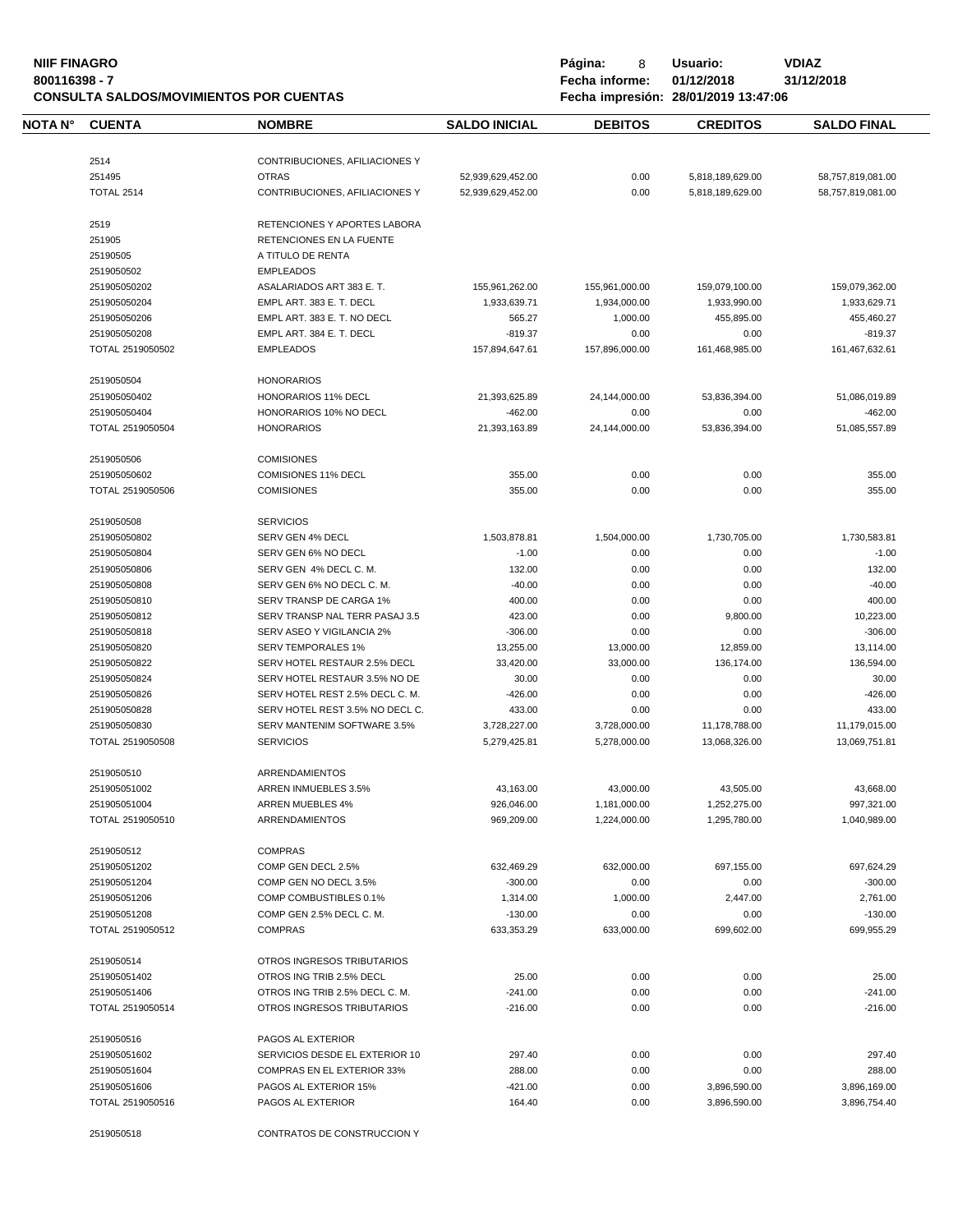# **NIIF FINAGRO P á g i n a :** 8 **U s u a r i o : VDIAZ CONSULTA SALDOS/MOVIMIENTOS POR CUENTAS**

| NOTA N° | <b>CUENTA</b>                    | <b>NOMBRE</b>                                                | <b>SALDO INICIAL</b>   | <b>DEBITOS</b> | <b>CREDITOS</b>  | <b>SALDO FINAL</b>     |
|---------|----------------------------------|--------------------------------------------------------------|------------------------|----------------|------------------|------------------------|
|         |                                  |                                                              |                        |                |                  |                        |
|         | 2514                             | CONTRIBUCIONES, AFILIACIONES Y                               |                        |                |                  |                        |
|         | 251495                           | <b>OTRAS</b>                                                 | 52,939,629,452.00      | 0.00           | 5,818,189,629.00 | 58,757,819,081.00      |
|         | <b>TOTAL 2514</b>                | CONTRIBUCIONES, AFILIACIONES Y                               | 52,939,629,452.00      | 0.00           | 5,818,189,629.00 | 58,757,819,081.00      |
|         | 2519                             | RETENCIONES Y APORTES LABORA                                 |                        |                |                  |                        |
|         | 251905                           | RETENCIONES EN LA FUENTE                                     |                        |                |                  |                        |
|         | 25190505                         | A TITULO DE RENTA                                            |                        |                |                  |                        |
|         | 2519050502                       | <b>EMPLEADOS</b>                                             |                        |                |                  |                        |
|         | 251905050202                     | ASALARIADOS ART 383 E.T.                                     | 155,961,262.00         | 155,961,000.00 | 159,079,100.00   | 159,079,362.00         |
|         | 251905050204                     | EMPL ART. 383 E. T. DECL                                     | 1,933,639.71           | 1,934,000.00   | 1,933,990.00     | 1,933,629.71           |
|         | 251905050206                     | EMPL ART. 383 E. T. NO DECL                                  | 565.27                 | 1,000.00       | 455,895.00       | 455,460.27             |
|         | 251905050208                     | EMPL ART. 384 E. T. DECL                                     | $-819.37$              | 0.00           | 0.00             | $-819.37$              |
|         | TOTAL 2519050502                 | <b>EMPLEADOS</b>                                             | 157,894,647.61         | 157,896,000.00 | 161,468,985.00   | 161,467,632.61         |
|         |                                  |                                                              |                        |                |                  |                        |
|         | 2519050504                       | <b>HONORARIOS</b>                                            |                        |                |                  |                        |
|         | 251905050402                     | HONORARIOS 11% DECL                                          | 21,393,625.89          | 24,144,000.00  | 53,836,394.00    | 51,086,019.89          |
|         | 251905050404                     | HONORARIOS 10% NO DECL                                       | $-462.00$              | 0.00           | 0.00             | $-462.00$              |
|         | TOTAL 2519050504                 | <b>HONORARIOS</b>                                            | 21,393,163.89          | 24,144,000.00  | 53,836,394.00    | 51,085,557.89          |
|         | 2519050506                       | <b>COMISIONES</b>                                            |                        |                |                  |                        |
|         | 251905050602                     | <b>COMISIONES 11% DECL</b>                                   | 355.00                 | 0.00           | 0.00             | 355.00                 |
|         | TOTAL 2519050506                 | <b>COMISIONES</b>                                            | 355.00                 | 0.00           | 0.00             | 355.00                 |
|         |                                  |                                                              |                        |                |                  |                        |
|         | 2519050508                       | <b>SERVICIOS</b>                                             |                        |                |                  |                        |
|         | 251905050802                     | SERV GEN 4% DECL                                             | 1,503,878.81           | 1,504,000.00   | 1,730,705.00     | 1,730,583.81           |
|         | 251905050804                     | SERV GEN 6% NO DECL                                          | $-1.00$                | 0.00           | 0.00             | $-1.00$                |
|         | 251905050806                     | SERV GEN 4% DECL C. M.                                       | 132.00                 | 0.00           | 0.00             | 132.00                 |
|         | 251905050808                     | SERV GEN 6% NO DECL C. M.                                    | $-40.00$               | 0.00           | 0.00             | $-40.00$               |
|         | 251905050810                     | SERV TRANSP DE CARGA 1%                                      | 400.00                 | 0.00           | 0.00             | 400.00                 |
|         | 251905050812                     | SERV TRANSP NAL TERR PASAJ 3.5                               | 423.00                 | 0.00           | 9,800.00         | 10,223.00              |
|         | 251905050818                     | SERV ASEO Y VIGILANCIA 2%                                    | $-306.00$              | 0.00           | 0.00             | $-306.00$              |
|         | 251905050820                     | <b>SERV TEMPORALES 1%</b>                                    | 13,255.00              | 13,000.00      | 12,859.00        | 13,114.00              |
|         | 251905050822                     | SERV HOTEL RESTAUR 2.5% DECL                                 | 33,420.00              | 33,000.00      | 136,174.00       | 136,594.00             |
|         | 251905050824                     | SERV HOTEL RESTAUR 3.5% NO DE                                | 30.00                  | 0.00           | 0.00             | 30.00                  |
|         | 251905050826                     | SERV HOTEL REST 2.5% DECL C. M.                              | $-426.00$              | 0.00           | 0.00             | $-426.00$              |
|         | 251905050828                     | SERV HOTEL REST 3.5% NO DECL C.                              | 433.00                 | 0.00           | 0.00             | 433.00                 |
|         | 251905050830                     | SERV MANTENIM SOFTWARE 3.5%                                  | 3,728,227.00           | 3,728,000.00   | 11,178,788.00    | 11,179,015.00          |
|         | TOTAL 2519050508                 | <b>SERVICIOS</b>                                             | 5,279,425.81           | 5,278,000.00   | 13,068,326.00    | 13,069,751.81          |
|         |                                  |                                                              |                        |                |                  |                        |
|         | 2519050510                       | ARRENDAMIENTOS                                               |                        |                |                  |                        |
|         | 251905051002                     | ARREN INMUEBLES 3.5%                                         | 43,163.00              | 43,000.00      | 43,505.00        | 43,668.00              |
|         | 251905051004                     | ARREN MUEBLES 4%                                             | 926,046.00             | 1,181,000.00   | 1,252,275.00     | 997,321.00             |
|         | TOTAL 2519050510                 | <b>ARRENDAMIENTOS</b>                                        | 969,209.00             | 1,224,000.00   | 1,295,780.00     | 1,040,989.00           |
|         | 2519050512                       | <b>COMPRAS</b>                                               |                        |                |                  |                        |
|         | 251905051202                     | COMP GEN DECL 2.5%                                           | 632,469.29             | 632,000.00     | 697,155.00       | 697,624.29             |
|         | 251905051204                     | COMP GEN NO DECL 3.5%                                        | $-300.00$              | 0.00           | 0.00             | $-300.00$              |
|         | 251905051206                     | COMP COMBUSTIBLES 0.1%                                       | 1,314.00               | 1,000.00       | 2,447.00         | 2,761.00               |
|         | 251905051208                     | COMP GEN 2.5% DECL C. M.                                     | $-130.00$              | 0.00           | 0.00             | $-130.00$              |
|         | TOTAL 2519050512                 | <b>COMPRAS</b>                                               | 633,353.29             | 633,000.00     | 699,602.00       | 699,955.29             |
|         |                                  |                                                              |                        |                |                  |                        |
|         | 2519050514                       | OTROS INGRESOS TRIBUTARIOS                                   |                        |                |                  |                        |
|         | 251905051402                     | OTROS ING TRIB 2.5% DECL                                     | 25.00                  | 0.00           | 0.00             | 25.00                  |
|         | 251905051406<br>TOTAL 2519050514 | OTROS ING TRIB 2.5% DECL C. M.<br>OTROS INGRESOS TRIBUTARIOS | $-241.00$<br>$-216.00$ | 0.00<br>0.00   | 0.00<br>0.00     | $-241.00$<br>$-216.00$ |
|         |                                  |                                                              |                        |                |                  |                        |
|         | 2519050516                       | PAGOS AL EXTERIOR                                            |                        |                |                  |                        |
|         | 251905051602                     | SERVICIOS DESDE EL EXTERIOR 10                               | 297.40                 | 0.00           | 0.00             | 297.40                 |
|         | 251905051604                     | <b>COMPRAS EN EL EXTERIOR 33%</b>                            | 288.00                 | 0.00           | 0.00             | 288.00                 |
|         | 251905051606                     | PAGOS AL EXTERIOR 15%                                        | $-421.00$              | 0.00           | 3,896,590.00     | 3,896,169.00           |
|         | TOTAL 2519050516                 | PAGOS AL EXTERIOR                                            | 164.40                 | 0.00           | 3,896,590.00     | 3,896,754.40           |
|         | 2519050518                       | CONTRATOS DE CONSTRUCCION Y                                  |                        |                |                  |                        |
|         |                                  |                                                              |                        |                |                  |                        |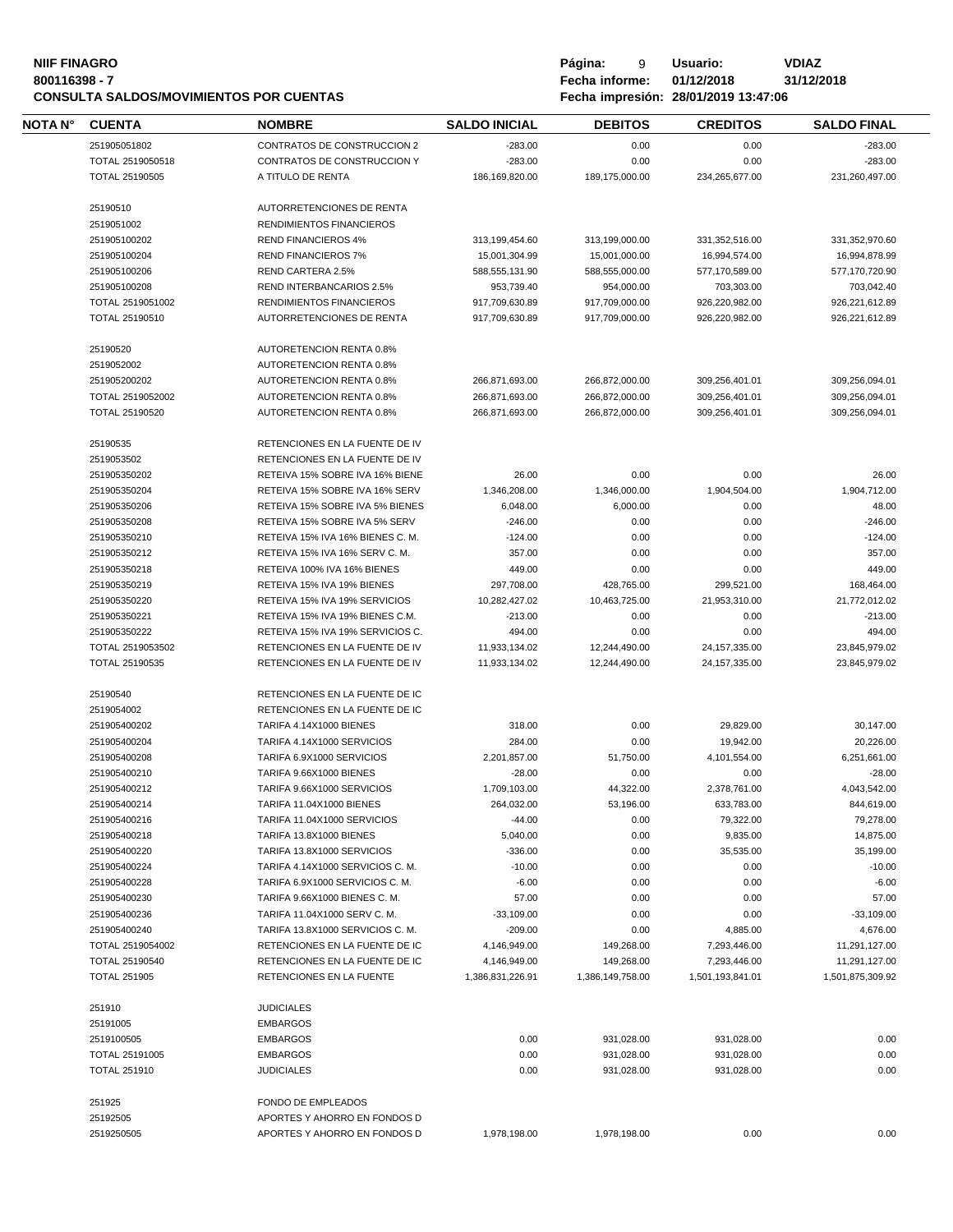## **NIIF FINAGRO P á g i n a :** 9 **U s u a r i o : VDIAZ 800116398 - 7 Fecha informe: 01/12/2018 31/12/2018 CONSULTA SALDOS/MOVIMIENTOS POR CUENTAS**

| Página:        | 9 | Usuario:                             |  |
|----------------|---|--------------------------------------|--|
| Fecha informe: |   | 01/12/2018                           |  |
|                |   | Fecha impresión: 28/01/2019 13:47:06 |  |

| 251905051802<br>TOTAL 2519050518<br>TOTAL 25190505<br>25190510<br>2519051002<br>251905100202<br>251905100204<br>251905100206<br>251905100208<br>TOTAL 2519051002<br>TOTAL 25190510<br>25190520<br>2519052002<br>251905200202<br>TOTAL 2519052002<br>TOTAL 25190520 | CONTRATOS DE CONSTRUCCION 2<br>CONTRATOS DE CONSTRUCCION Y<br>A TITULO DE RENTA<br>AUTORRETENCIONES DE RENTA<br>RENDIMIENTOS FINANCIEROS<br><b>REND FINANCIEROS 4%</b><br><b>REND FINANCIEROS 7%</b><br>REND CARTERA 2.5%<br>REND INTERBANCARIOS 2.5%<br>RENDIMIENTOS FINANCIEROS<br>AUTORRETENCIONES DE RENTA<br>AUTORETENCION RENTA 0.8%<br>AUTORETENCION RENTA 0.8%<br>AUTORETENCION RENTA 0.8%<br>AUTORETENCION RENTA 0.8%<br>AUTORETENCION RENTA 0.8% | $-283.00$<br>$-283.00$<br>186,169,820.00<br>313,199,454.60<br>15,001,304.99<br>588,555,131.90<br>953,739.40<br>917,709,630.89<br>917,709,630.89<br>266,871,693.00<br>266,871,693.00 | 0.00<br>0.00<br>189,175,000.00<br>313,199,000.00<br>15,001,000.00<br>588,555,000.00<br>954,000.00<br>917,709,000.00<br>917,709,000.00 | 0.00<br>0.00<br>234,265,677.00<br>331,352,516.00<br>16,994,574.00<br>577,170,589.00<br>703,303.00<br>926,220,982.00<br>926.220.982.00 | $-283.00$<br>$-283.00$<br>231,260,497.00<br>331,352,970.60<br>16,994,878.99<br>577,170,720.90<br>703,042.40<br>926,221,612.89<br>926,221,612.89 |
|--------------------------------------------------------------------------------------------------------------------------------------------------------------------------------------------------------------------------------------------------------------------|------------------------------------------------------------------------------------------------------------------------------------------------------------------------------------------------------------------------------------------------------------------------------------------------------------------------------------------------------------------------------------------------------------------------------------------------------------|-------------------------------------------------------------------------------------------------------------------------------------------------------------------------------------|---------------------------------------------------------------------------------------------------------------------------------------|---------------------------------------------------------------------------------------------------------------------------------------|-------------------------------------------------------------------------------------------------------------------------------------------------|
|                                                                                                                                                                                                                                                                    |                                                                                                                                                                                                                                                                                                                                                                                                                                                            |                                                                                                                                                                                     |                                                                                                                                       |                                                                                                                                       |                                                                                                                                                 |
|                                                                                                                                                                                                                                                                    |                                                                                                                                                                                                                                                                                                                                                                                                                                                            |                                                                                                                                                                                     |                                                                                                                                       |                                                                                                                                       |                                                                                                                                                 |
|                                                                                                                                                                                                                                                                    |                                                                                                                                                                                                                                                                                                                                                                                                                                                            |                                                                                                                                                                                     |                                                                                                                                       |                                                                                                                                       |                                                                                                                                                 |
|                                                                                                                                                                                                                                                                    |                                                                                                                                                                                                                                                                                                                                                                                                                                                            |                                                                                                                                                                                     |                                                                                                                                       |                                                                                                                                       |                                                                                                                                                 |
|                                                                                                                                                                                                                                                                    |                                                                                                                                                                                                                                                                                                                                                                                                                                                            |                                                                                                                                                                                     |                                                                                                                                       |                                                                                                                                       |                                                                                                                                                 |
|                                                                                                                                                                                                                                                                    |                                                                                                                                                                                                                                                                                                                                                                                                                                                            |                                                                                                                                                                                     |                                                                                                                                       |                                                                                                                                       |                                                                                                                                                 |
|                                                                                                                                                                                                                                                                    |                                                                                                                                                                                                                                                                                                                                                                                                                                                            |                                                                                                                                                                                     |                                                                                                                                       |                                                                                                                                       |                                                                                                                                                 |
|                                                                                                                                                                                                                                                                    |                                                                                                                                                                                                                                                                                                                                                                                                                                                            |                                                                                                                                                                                     |                                                                                                                                       |                                                                                                                                       |                                                                                                                                                 |
|                                                                                                                                                                                                                                                                    |                                                                                                                                                                                                                                                                                                                                                                                                                                                            |                                                                                                                                                                                     |                                                                                                                                       |                                                                                                                                       |                                                                                                                                                 |
|                                                                                                                                                                                                                                                                    |                                                                                                                                                                                                                                                                                                                                                                                                                                                            |                                                                                                                                                                                     |                                                                                                                                       |                                                                                                                                       |                                                                                                                                                 |
|                                                                                                                                                                                                                                                                    |                                                                                                                                                                                                                                                                                                                                                                                                                                                            |                                                                                                                                                                                     |                                                                                                                                       |                                                                                                                                       |                                                                                                                                                 |
|                                                                                                                                                                                                                                                                    |                                                                                                                                                                                                                                                                                                                                                                                                                                                            |                                                                                                                                                                                     |                                                                                                                                       |                                                                                                                                       |                                                                                                                                                 |
|                                                                                                                                                                                                                                                                    |                                                                                                                                                                                                                                                                                                                                                                                                                                                            |                                                                                                                                                                                     |                                                                                                                                       |                                                                                                                                       |                                                                                                                                                 |
|                                                                                                                                                                                                                                                                    |                                                                                                                                                                                                                                                                                                                                                                                                                                                            |                                                                                                                                                                                     | 266,872,000.00                                                                                                                        | 309,256,401.01                                                                                                                        | 309,256,094.01                                                                                                                                  |
|                                                                                                                                                                                                                                                                    |                                                                                                                                                                                                                                                                                                                                                                                                                                                            |                                                                                                                                                                                     | 266,872,000.00                                                                                                                        | 309,256,401.01                                                                                                                        | 309,256,094.01                                                                                                                                  |
|                                                                                                                                                                                                                                                                    |                                                                                                                                                                                                                                                                                                                                                                                                                                                            | 266,871,693.00                                                                                                                                                                      | 266,872,000.00                                                                                                                        | 309,256,401.01                                                                                                                        | 309,256,094.01                                                                                                                                  |
| 25190535                                                                                                                                                                                                                                                           | RETENCIONES EN LA FUENTE DE IV                                                                                                                                                                                                                                                                                                                                                                                                                             |                                                                                                                                                                                     |                                                                                                                                       |                                                                                                                                       |                                                                                                                                                 |
| 2519053502                                                                                                                                                                                                                                                         | RETENCIONES EN LA FUENTE DE IV                                                                                                                                                                                                                                                                                                                                                                                                                             |                                                                                                                                                                                     |                                                                                                                                       |                                                                                                                                       |                                                                                                                                                 |
| 251905350202                                                                                                                                                                                                                                                       | RETEIVA 15% SOBRE IVA 16% BIENE                                                                                                                                                                                                                                                                                                                                                                                                                            | 26.00                                                                                                                                                                               | 0.00                                                                                                                                  | 0.00                                                                                                                                  | 26.00                                                                                                                                           |
| 251905350204                                                                                                                                                                                                                                                       | RETEIVA 15% SOBRE IVA 16% SERV                                                                                                                                                                                                                                                                                                                                                                                                                             | 1,346,208.00                                                                                                                                                                        | 1,346,000.00                                                                                                                          | 1,904,504.00                                                                                                                          | 1,904,712.00                                                                                                                                    |
| 251905350206                                                                                                                                                                                                                                                       | RETEIVA 15% SOBRE IVA 5% BIENES                                                                                                                                                                                                                                                                                                                                                                                                                            | 6,048.00                                                                                                                                                                            | 6,000.00                                                                                                                              | 0.00                                                                                                                                  | 48.00                                                                                                                                           |
| 251905350208                                                                                                                                                                                                                                                       | RETEIVA 15% SOBRE IVA 5% SERV                                                                                                                                                                                                                                                                                                                                                                                                                              | $-246.00$                                                                                                                                                                           | 0.00                                                                                                                                  | 0.00                                                                                                                                  | $-246.00$                                                                                                                                       |
| 251905350210                                                                                                                                                                                                                                                       | RETEIVA 15% IVA 16% BIENES C.M.                                                                                                                                                                                                                                                                                                                                                                                                                            | $-124.00$                                                                                                                                                                           | 0.00                                                                                                                                  | 0.00                                                                                                                                  | $-124.00$                                                                                                                                       |
| 251905350212                                                                                                                                                                                                                                                       | RETEIVA 15% IVA 16% SERV C.M.                                                                                                                                                                                                                                                                                                                                                                                                                              | 357.00                                                                                                                                                                              | 0.00                                                                                                                                  | 0.00                                                                                                                                  | 357.00                                                                                                                                          |
| 251905350218                                                                                                                                                                                                                                                       | RETEIVA 100% IVA 16% BIENES                                                                                                                                                                                                                                                                                                                                                                                                                                | 449.00                                                                                                                                                                              | 0.00                                                                                                                                  | 0.00                                                                                                                                  | 449.00                                                                                                                                          |
| 251905350219                                                                                                                                                                                                                                                       | RETEIVA 15% IVA 19% BIENES                                                                                                                                                                                                                                                                                                                                                                                                                                 | 297,708.00                                                                                                                                                                          | 428,765.00                                                                                                                            | 299,521.00                                                                                                                            | 168,464.00                                                                                                                                      |
| 251905350220                                                                                                                                                                                                                                                       | RETEIVA 15% IVA 19% SERVICIOS                                                                                                                                                                                                                                                                                                                                                                                                                              | 10,282,427.02                                                                                                                                                                       | 10,463,725.00                                                                                                                         | 21,953,310.00                                                                                                                         | 21,772,012.02                                                                                                                                   |
| 251905350221                                                                                                                                                                                                                                                       | RETEIVA 15% IVA 19% BIENES C.M.                                                                                                                                                                                                                                                                                                                                                                                                                            | $-213.00$                                                                                                                                                                           | 0.00                                                                                                                                  | 0.00                                                                                                                                  | $-213.00$                                                                                                                                       |
| 251905350222                                                                                                                                                                                                                                                       | RETEIVA 15% IVA 19% SERVICIOS C.                                                                                                                                                                                                                                                                                                                                                                                                                           |                                                                                                                                                                                     |                                                                                                                                       | 0.00                                                                                                                                  | 494.00                                                                                                                                          |
|                                                                                                                                                                                                                                                                    |                                                                                                                                                                                                                                                                                                                                                                                                                                                            | 494.00                                                                                                                                                                              | 0.00                                                                                                                                  |                                                                                                                                       |                                                                                                                                                 |
| TOTAL 2519053502<br>TOTAL 25190535                                                                                                                                                                                                                                 | RETENCIONES EN LA FUENTE DE IV<br>RETENCIONES EN LA FUENTE DE IV                                                                                                                                                                                                                                                                                                                                                                                           | 11,933,134.02<br>11,933,134.02                                                                                                                                                      | 12,244,490.00<br>12,244,490.00                                                                                                        | 24, 157, 335.00<br>24, 157, 335.00                                                                                                    | 23,845,979.02<br>23,845,979.02                                                                                                                  |
|                                                                                                                                                                                                                                                                    |                                                                                                                                                                                                                                                                                                                                                                                                                                                            |                                                                                                                                                                                     |                                                                                                                                       |                                                                                                                                       |                                                                                                                                                 |
| 25190540                                                                                                                                                                                                                                                           | RETENCIONES EN LA FUENTE DE IC                                                                                                                                                                                                                                                                                                                                                                                                                             |                                                                                                                                                                                     |                                                                                                                                       |                                                                                                                                       |                                                                                                                                                 |
| 2519054002                                                                                                                                                                                                                                                         | RETENCIONES EN LA FUENTE DE IC<br><b>TARIFA 4.14X1000 BIENES</b>                                                                                                                                                                                                                                                                                                                                                                                           |                                                                                                                                                                                     |                                                                                                                                       |                                                                                                                                       |                                                                                                                                                 |
| 251905400202                                                                                                                                                                                                                                                       |                                                                                                                                                                                                                                                                                                                                                                                                                                                            | 318.00                                                                                                                                                                              | 0.00                                                                                                                                  | 29,829.00                                                                                                                             | 30,147.00                                                                                                                                       |
| 251905400204                                                                                                                                                                                                                                                       | TARIFA 4.14X1000 SERVICIOS                                                                                                                                                                                                                                                                                                                                                                                                                                 | 284.00                                                                                                                                                                              | 0.00                                                                                                                                  | 19,942.00                                                                                                                             | 20,226.00                                                                                                                                       |
| 251905400208                                                                                                                                                                                                                                                       | TARIFA 6.9X1000 SERVICIOS                                                                                                                                                                                                                                                                                                                                                                                                                                  | 2,201,857.00                                                                                                                                                                        | 51,750.00                                                                                                                             | 4,101,554.00                                                                                                                          | 6,251,661.00                                                                                                                                    |
| 251905400210                                                                                                                                                                                                                                                       | TARIFA 9.66X1000 BIENES                                                                                                                                                                                                                                                                                                                                                                                                                                    | $-28.00$                                                                                                                                                                            | 0.00                                                                                                                                  | 0.00                                                                                                                                  | $-28.00$                                                                                                                                        |
| 251905400212                                                                                                                                                                                                                                                       | TARIFA 9.66X1000 SERVICIOS                                                                                                                                                                                                                                                                                                                                                                                                                                 | 1,709,103.00                                                                                                                                                                        | 44,322.00                                                                                                                             | 2,378,761.00                                                                                                                          | 4,043,542.00                                                                                                                                    |
| 251905400214                                                                                                                                                                                                                                                       | TARIFA 11.04X1000 BIENES                                                                                                                                                                                                                                                                                                                                                                                                                                   | 264,032.00                                                                                                                                                                          | 53,196.00                                                                                                                             | 633,783.00                                                                                                                            | 844,619.00                                                                                                                                      |
| 251905400216                                                                                                                                                                                                                                                       | TARIFA 11.04X1000 SERVICIOS                                                                                                                                                                                                                                                                                                                                                                                                                                | $-44.00$                                                                                                                                                                            | 0.00                                                                                                                                  | 79,322.00                                                                                                                             | 79,278.00                                                                                                                                       |
| 251905400218                                                                                                                                                                                                                                                       | TARIFA 13.8X1000 BIENES                                                                                                                                                                                                                                                                                                                                                                                                                                    | 5,040.00                                                                                                                                                                            | 0.00                                                                                                                                  | 9,835.00                                                                                                                              | 14,875.00                                                                                                                                       |
| 251905400220                                                                                                                                                                                                                                                       | TARIFA 13.8X1000 SERVICIOS                                                                                                                                                                                                                                                                                                                                                                                                                                 | $-336.00$                                                                                                                                                                           | 0.00                                                                                                                                  | 35,535.00                                                                                                                             | 35,199.00                                                                                                                                       |
| 251905400224                                                                                                                                                                                                                                                       | TARIFA 4.14X1000 SERVICIOS C. M.                                                                                                                                                                                                                                                                                                                                                                                                                           | $-10.00$                                                                                                                                                                            | 0.00                                                                                                                                  | 0.00                                                                                                                                  | $-10.00$                                                                                                                                        |
| 251905400228                                                                                                                                                                                                                                                       | TARIFA 6.9X1000 SERVICIOS C.M.                                                                                                                                                                                                                                                                                                                                                                                                                             | $-6.00$                                                                                                                                                                             | 0.00                                                                                                                                  | 0.00                                                                                                                                  | $-6.00$                                                                                                                                         |
| 251905400230                                                                                                                                                                                                                                                       | TARIFA 9.66X1000 BIENES C. M.                                                                                                                                                                                                                                                                                                                                                                                                                              | 57.00                                                                                                                                                                               | 0.00                                                                                                                                  | 0.00                                                                                                                                  | 57.00                                                                                                                                           |
| 251905400236                                                                                                                                                                                                                                                       | TARIFA 11.04X1000 SERV C. M.                                                                                                                                                                                                                                                                                                                                                                                                                               | $-33,109.00$                                                                                                                                                                        | 0.00                                                                                                                                  | 0.00                                                                                                                                  | $-33,109.00$                                                                                                                                    |
| 251905400240                                                                                                                                                                                                                                                       | TARIFA 13.8X1000 SERVICIOS C. M.                                                                                                                                                                                                                                                                                                                                                                                                                           | $-209.00$                                                                                                                                                                           | 0.00                                                                                                                                  | 4,885.00                                                                                                                              | 4,676.00                                                                                                                                        |
| TOTAL 2519054002                                                                                                                                                                                                                                                   | RETENCIONES EN LA FUENTE DE IC                                                                                                                                                                                                                                                                                                                                                                                                                             | 4,146,949.00                                                                                                                                                                        | 149,268.00                                                                                                                            | 7,293,446.00                                                                                                                          | 11,291,127.00                                                                                                                                   |
| TOTAL 25190540                                                                                                                                                                                                                                                     | RETENCIONES EN LA FUENTE DE IC                                                                                                                                                                                                                                                                                                                                                                                                                             | 4,146,949.00                                                                                                                                                                        | 149,268.00                                                                                                                            | 7,293,446.00                                                                                                                          | 11,291,127.00                                                                                                                                   |
| <b>TOTAL 251905</b>                                                                                                                                                                                                                                                | RETENCIONES EN LA FUENTE                                                                                                                                                                                                                                                                                                                                                                                                                                   | 1,386,831,226.91                                                                                                                                                                    | 1,386,149,758.00                                                                                                                      | 1,501,193,841.01                                                                                                                      | 1,501,875,309.92                                                                                                                                |
| 251910                                                                                                                                                                                                                                                             | <b>JUDICIALES</b>                                                                                                                                                                                                                                                                                                                                                                                                                                          |                                                                                                                                                                                     |                                                                                                                                       |                                                                                                                                       |                                                                                                                                                 |
| 25191005                                                                                                                                                                                                                                                           | <b>EMBARGOS</b>                                                                                                                                                                                                                                                                                                                                                                                                                                            |                                                                                                                                                                                     |                                                                                                                                       |                                                                                                                                       |                                                                                                                                                 |
| 2519100505                                                                                                                                                                                                                                                         | <b>EMBARGOS</b>                                                                                                                                                                                                                                                                                                                                                                                                                                            | 0.00                                                                                                                                                                                | 931,028.00                                                                                                                            | 931,028.00                                                                                                                            | 0.00                                                                                                                                            |
| TOTAL 25191005                                                                                                                                                                                                                                                     | <b>EMBARGOS</b>                                                                                                                                                                                                                                                                                                                                                                                                                                            | 0.00                                                                                                                                                                                | 931,028.00                                                                                                                            | 931,028.00                                                                                                                            | 0.00                                                                                                                                            |
| <b>TOTAL 251910</b>                                                                                                                                                                                                                                                | <b>JUDICIALES</b>                                                                                                                                                                                                                                                                                                                                                                                                                                          | 0.00                                                                                                                                                                                | 931,028.00                                                                                                                            | 931,028.00                                                                                                                            | 0.00                                                                                                                                            |
| 251925                                                                                                                                                                                                                                                             | FONDO DE EMPLEADOS                                                                                                                                                                                                                                                                                                                                                                                                                                         |                                                                                                                                                                                     |                                                                                                                                       |                                                                                                                                       |                                                                                                                                                 |
| 25192505                                                                                                                                                                                                                                                           | APORTES Y AHORRO EN FONDOS D                                                                                                                                                                                                                                                                                                                                                                                                                               |                                                                                                                                                                                     |                                                                                                                                       |                                                                                                                                       |                                                                                                                                                 |
| 2519250505                                                                                                                                                                                                                                                         | APORTES Y AHORRO EN FONDOS D                                                                                                                                                                                                                                                                                                                                                                                                                               | 1,978,198.00                                                                                                                                                                        | 1,978,198.00                                                                                                                          | 0.00                                                                                                                                  | 0.00                                                                                                                                            |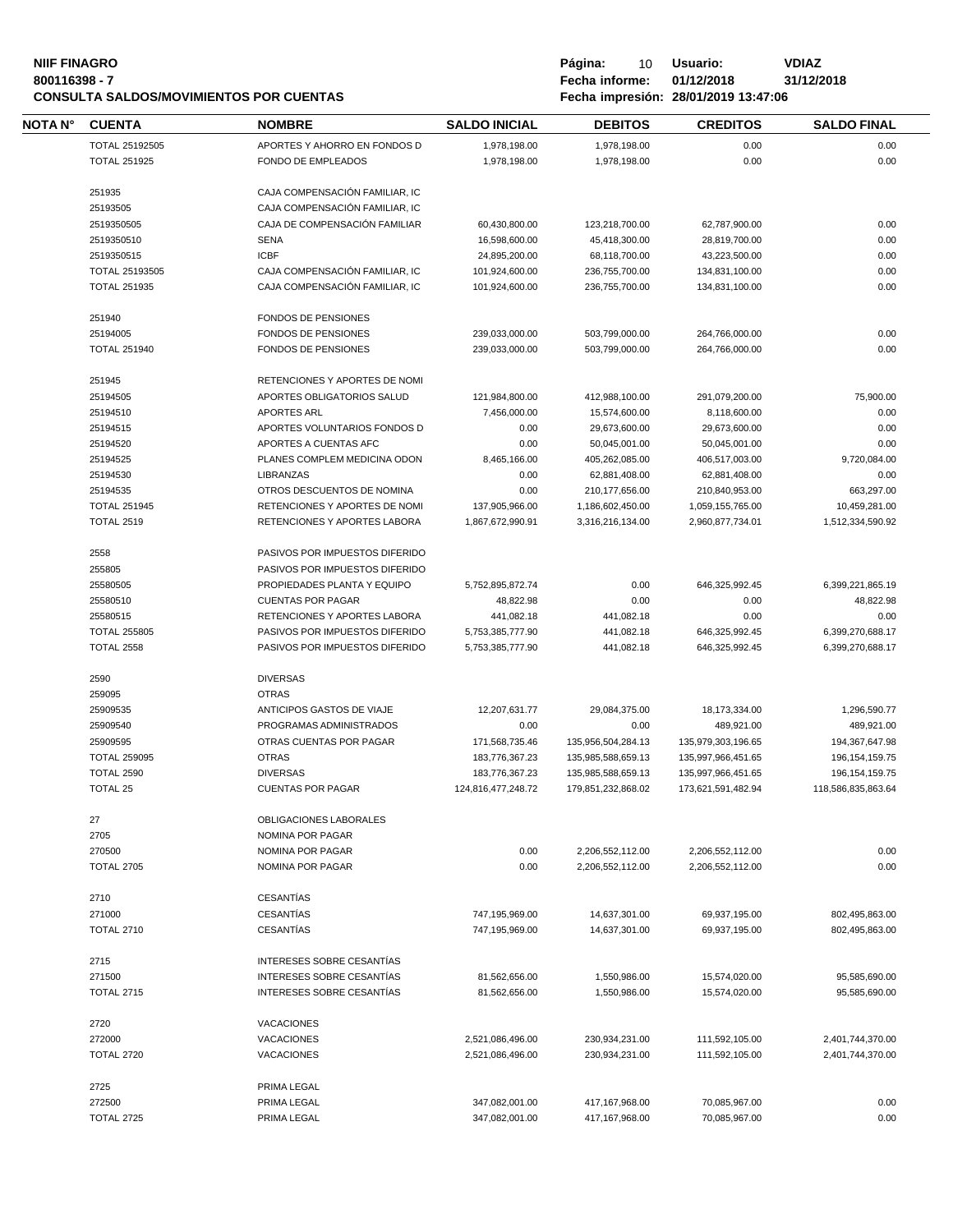## **NIIF FINAGRO P á g i n a :** 10 **U s u a r i o : VDIAZ 800116398 - 7 Fecha informe: 01/12/2018 31/12/2018 CONSULTA SALDOS/MOVIMIENTOS POR CUENTAS**

| Página:        | 10. | Usuario:                             | VD  |
|----------------|-----|--------------------------------------|-----|
| Fecha informe: |     | 01/12/2018                           | 31/ |
|                |     | Fecha impresión: 28/01/2019 13:47:06 |     |

| NOTA N° | <b>CUENTA</b>       | <b>NOMBRE</b>                   | <b>SALDO INICIAL</b> | <b>DEBITOS</b>     | <b>CREDITOS</b>    | <b>SALDO FINAL</b> |
|---------|---------------------|---------------------------------|----------------------|--------------------|--------------------|--------------------|
|         | TOTAL 25192505      | APORTES Y AHORRO EN FONDOS D    | 1,978,198.00         | 1,978,198.00       | 0.00               | 0.00               |
|         | <b>TOTAL 251925</b> | <b>FONDO DE EMPLEADOS</b>       | 1,978,198.00         | 1,978,198.00       | 0.00               | 0.00               |
|         |                     |                                 |                      |                    |                    |                    |
|         | 251935              | CAJA COMPENSACIÓN FAMILIAR. IC  |                      |                    |                    |                    |
|         | 25193505            | CAJA COMPENSACIÓN FAMILIAR, IC  |                      |                    |                    |                    |
|         | 2519350505          | CAJA DE COMPENSACIÓN FAMILIAR   | 60,430,800.00        | 123,218,700.00     | 62,787,900.00      | 0.00               |
|         | 2519350510          | <b>SENA</b>                     | 16,598,600.00        | 45,418,300.00      | 28,819,700.00      | 0.00               |
|         | 2519350515          | <b>ICBF</b>                     | 24,895,200.00        | 68,118,700.00      | 43,223,500.00      | 0.00               |
|         | TOTAL 25193505      | CAJA COMPENSACIÓN FAMILIAR, IC  | 101,924,600.00       | 236,755,700.00     | 134,831,100.00     | 0.00               |
|         | <b>TOTAL 251935</b> | CAJA COMPENSACIÓN FAMILIAR, IC  | 101,924,600.00       | 236,755,700.00     | 134,831,100.00     | 0.00               |
|         | 251940              | FONDOS DE PENSIONES             |                      |                    |                    |                    |
|         | 25194005            | <b>FONDOS DE PENSIONES</b>      | 239,033,000.00       | 503,799,000.00     | 264,766,000.00     | 0.00               |
|         | <b>TOTAL 251940</b> | <b>FONDOS DE PENSIONES</b>      | 239,033,000.00       | 503,799,000.00     | 264,766,000.00     | 0.00               |
|         | 251945              | RETENCIONES Y APORTES DE NOMI   |                      |                    |                    |                    |
|         |                     |                                 |                      |                    |                    |                    |
|         | 25194505            | APORTES OBLIGATORIOS SALUD      | 121,984,800.00       | 412,988,100.00     | 291,079,200.00     | 75,900.00          |
|         | 25194510            | <b>APORTES ARL</b>              | 7.456.000.00         | 15,574,600.00      | 8,118,600.00       | 0.00               |
|         | 25194515            | APORTES VOLUNTARIOS FONDOS D    | 0.00                 | 29,673,600.00      | 29,673,600.00      | 0.00               |
|         | 25194520            | APORTES A CUENTAS AFC           | 0.00                 | 50,045,001.00      | 50,045,001.00      | 0.00               |
|         | 25194525            | PLANES COMPLEM MEDICINA ODON    | 8,465,166.00         | 405,262,085.00     | 406,517,003.00     | 9,720,084.00       |
|         | 25194530            | LIBRANZAS                       | 0.00                 | 62,881,408.00      | 62,881,408.00      | 0.00               |
|         | 25194535            | OTROS DESCUENTOS DE NOMINA      | 0.00                 | 210,177,656.00     | 210,840,953.00     | 663,297.00         |
|         | <b>TOTAL 251945</b> | RETENCIONES Y APORTES DE NOMI   | 137,905,966.00       | 1,186,602,450.00   | 1,059,155,765.00   | 10,459,281.00      |
|         | <b>TOTAL 2519</b>   | RETENCIONES Y APORTES LABORA    | 1,867,672,990.91     | 3,316,216,134.00   | 2,960,877,734.01   | 1.512.334.590.92   |
|         | 2558                | PASIVOS POR IMPUESTOS DIFERIDO  |                      |                    |                    |                    |
|         | 255805              | PASIVOS POR IMPUESTOS DIFERIDO  |                      |                    |                    |                    |
|         | 25580505            | PROPIEDADES PLANTA Y EQUIPO     | 5,752,895,872.74     | 0.00               | 646,325,992.45     | 6,399,221,865.19   |
|         | 25580510            | <b>CUENTAS POR PAGAR</b>        | 48,822.98            | 0.00               | 0.00               | 48,822.98          |
|         | 25580515            | RETENCIONES Y APORTES LABORA    | 441,082.18           | 441,082.18         | 0.00               | 0.00               |
|         | <b>TOTAL 255805</b> | PASIVOS POR IMPUESTOS DIFERIDO  | 5,753,385,777.90     | 441,082.18         | 646,325,992.45     | 6,399,270,688.17   |
|         | <b>TOTAL 2558</b>   | PASIVOS POR IMPUESTOS DIFERIDO  | 5,753,385,777.90     | 441,082.18         | 646,325,992.45     | 6,399,270,688.17   |
|         |                     |                                 |                      |                    |                    |                    |
|         | 2590<br>259095      | <b>DIVERSAS</b><br><b>OTRAS</b> |                      |                    |                    |                    |
|         | 25909535            | ANTICIPOS GASTOS DE VIAJE       | 12,207,631.77        | 29,084,375.00      | 18,173,334.00      | 1,296,590.77       |
|         | 25909540            | PROGRAMAS ADMINISTRADOS         | 0.00                 | 0.00               | 489,921.00         | 489,921.00         |
|         | 25909595            | OTRAS CUENTAS POR PAGAR         | 171,568,735.46       | 135,956,504,284.13 | 135,979,303,196.65 | 194,367,647.98     |
|         | <b>TOTAL 259095</b> | <b>OTRAS</b>                    | 183,776,367.23       | 135,985,588,659.13 | 135,997,966,451.65 | 196, 154, 159. 75  |
|         | <b>TOTAL 2590</b>   | <b>DIVERSAS</b>                 | 183,776,367.23       | 135,985,588,659.13 | 135,997,966,451.65 | 196, 154, 159. 75  |
|         | <b>TOTAL 25</b>     | <b>CUENTAS POR PAGAR</b>        | 124,816,477,248.72   | 179,851,232,868.02 | 173,621,591,482.94 | 118,586,835,863.64 |
|         |                     |                                 |                      |                    |                    |                    |
|         | 27                  | OBLIGACIONES LABORALES          |                      |                    |                    |                    |
|         | 2705                | NOMINA POR PAGAR                |                      |                    |                    |                    |
|         | 270500              | NOMINA POR PAGAR                | 0.00                 | 2,206,552,112.00   | 2,206,552,112.00   | 0.00               |
|         | <b>TOTAL 2705</b>   | NOMINA POR PAGAR                | 0.00                 | 2,206,552,112.00   | 2,206,552,112.00   | 0.00               |
|         | 2710                | <b>CESANTÍAS</b>                |                      |                    |                    |                    |
|         | 271000              | <b>CESANTÍAS</b>                | 747,195,969.00       | 14,637,301.00      | 69,937,195.00      | 802,495,863.00     |
|         | <b>TOTAL 2710</b>   | <b>CESANTÍAS</b>                | 747,195,969.00       | 14,637,301.00      | 69,937,195.00      | 802,495,863.00     |
|         |                     |                                 |                      |                    |                    |                    |
|         | 2715                | INTERESES SOBRE CESANTÍAS       |                      |                    |                    |                    |
|         | 271500              | INTERESES SOBRE CESANTÍAS       | 81,562,656.00        | 1,550,986.00       | 15,574,020.00      | 95,585,690.00      |
|         | <b>TOTAL 2715</b>   | INTERESES SOBRE CESANTIAS       | 81,562,656.00        | 1,550,986.00       | 15,574,020.00      | 95,585,690.00      |
|         | 2720                | <b>VACACIONES</b>               |                      |                    |                    |                    |
|         | 272000              | <b>VACACIONES</b>               | 2,521,086,496.00     | 230,934,231.00     | 111,592,105.00     | 2,401,744,370.00   |
|         | <b>TOTAL 2720</b>   | <b>VACACIONES</b>               | 2,521,086,496.00     | 230,934,231.00     | 111,592,105.00     | 2,401,744,370.00   |
|         | 2725                | PRIMA LEGAL                     |                      |                    |                    |                    |
|         | 272500              | PRIMA LEGAL                     |                      |                    |                    | 0.00               |
|         |                     |                                 | 347,082,001.00       | 417,167,968.00     | 70,085,967.00      |                    |
|         | <b>TOTAL 2725</b>   | PRIMA LEGAL                     | 347,082,001.00       | 417,167,968.00     | 70,085,967.00      | 0.00               |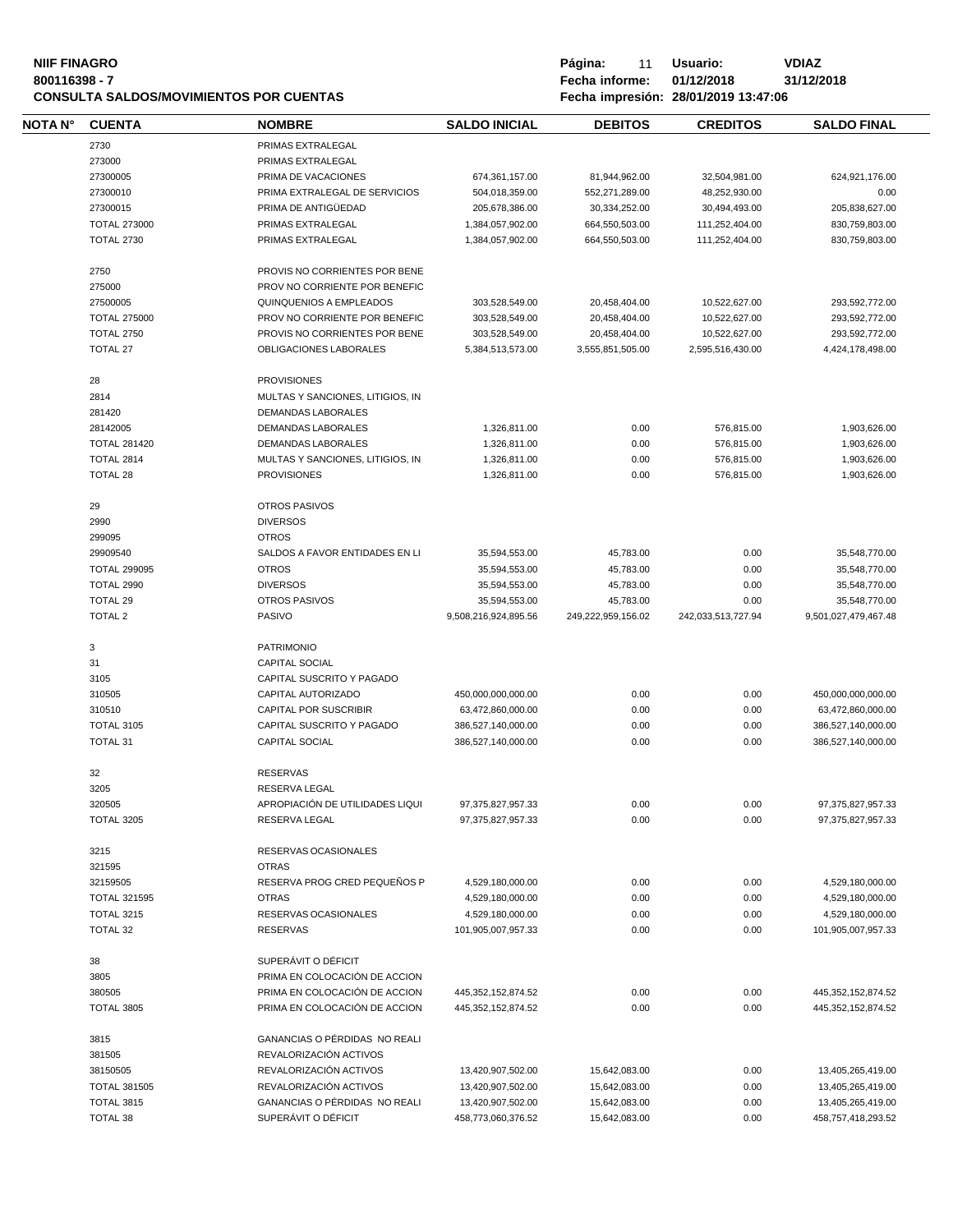# **NIIF FINAGRO P á g i n a :** 11 **U s u a r i o : VDIAZ CONSULTA SALDOS/MOVIMIENTOS POR CUENTAS**

**800116398 - 7 Fecha informe: 01/12/2018 31/12/2018**

 $\frac{1}{\sqrt{1-\frac{1}{2}}}$ 

| <b>NOTA N°</b> | <b>CUENTA</b>       | <b>NOMBRE</b>                    | <b>SALDO INICIAL</b>  | <b>DEBITOS</b>     | <b>CREDITOS</b>    | <b>SALDO FINAL</b>   |
|----------------|---------------------|----------------------------------|-----------------------|--------------------|--------------------|----------------------|
|                | 2730                | PRIMAS EXTRALEGAL                |                       |                    |                    |                      |
|                | 273000              | PRIMAS EXTRALEGAL                |                       |                    |                    |                      |
|                | 27300005            | PRIMA DE VACACIONES              | 674,361,157.00        | 81,944,962.00      | 32,504,981.00      | 624,921,176.00       |
|                | 27300010            | PRIMA EXTRALEGAL DE SERVICIOS    | 504,018,359.00        | 552,271,289.00     | 48,252,930.00      | 0.00                 |
|                | 27300015            | PRIMA DE ANTIGÜEDAD              | 205,678,386.00        | 30,334,252.00      | 30,494,493.00      | 205,838,627.00       |
|                | <b>TOTAL 273000</b> | PRIMAS EXTRALEGAL                | 1,384,057,902.00      | 664,550,503.00     | 111,252,404.00     | 830,759,803.00       |
|                | <b>TOTAL 2730</b>   | PRIMAS EXTRALEGAL                | 1,384,057,902.00      | 664,550,503.00     | 111,252,404.00     | 830,759,803.00       |
|                | 2750                | PROVIS NO CORRIENTES POR BENE    |                       |                    |                    |                      |
|                | 275000              | PROV NO CORRIENTE POR BENEFIC    |                       |                    |                    |                      |
|                | 27500005            | QUINQUENIOS A EMPLEADOS          | 303,528,549.00        | 20,458,404.00      | 10,522,627.00      | 293,592,772.00       |
|                | <b>TOTAL 275000</b> | PROV NO CORRIENTE POR BENEFIC    | 303,528,549.00        | 20,458,404.00      | 10,522,627.00      | 293,592,772.00       |
|                | <b>TOTAL 2750</b>   | PROVIS NO CORRIENTES POR BENE    | 303,528,549.00        | 20,458,404.00      | 10,522,627.00      | 293,592,772.00       |
|                | <b>TOTAL 27</b>     | OBLIGACIONES LABORALES           | 5,384,513,573.00      | 3,555,851,505.00   | 2,595,516,430.00   | 4,424,178,498.00     |
|                | 28                  | <b>PROVISIONES</b>               |                       |                    |                    |                      |
|                | 2814                | MULTAS Y SANCIONES, LITIGIOS, IN |                       |                    |                    |                      |
|                | 281420              | <b>DEMANDAS LABORALES</b>        |                       |                    |                    |                      |
|                | 28142005            | <b>DEMANDAS LABORALES</b>        | 1,326,811.00          | 0.00               | 576,815.00         | 1,903,626.00         |
|                | <b>TOTAL 281420</b> | <b>DEMANDAS LABORALES</b>        | 1,326,811.00          | 0.00               | 576,815.00         | 1,903,626.00         |
|                | <b>TOTAL 2814</b>   | MULTAS Y SANCIONES, LITIGIOS, IN | 1,326,811.00          | 0.00               | 576,815.00         | 1,903,626.00         |
|                | <b>TOTAL 28</b>     | <b>PROVISIONES</b>               | 1,326,811.00          | 0.00               | 576,815.00         | 1,903,626.00         |
|                | 29                  | OTROS PASIVOS                    |                       |                    |                    |                      |
|                | 2990                | <b>DIVERSOS</b>                  |                       |                    |                    |                      |
|                | 299095              | <b>OTROS</b>                     |                       |                    |                    |                      |
|                | 29909540            | SALDOS A FAVOR ENTIDADES EN LI   | 35,594,553.00         | 45,783.00          | 0.00               | 35,548,770.00        |
|                | <b>TOTAL 299095</b> | <b>OTROS</b>                     | 35,594,553.00         | 45,783.00          | 0.00               | 35,548,770.00        |
|                | TOTAL 2990          | <b>DIVERSOS</b>                  | 35,594,553.00         | 45,783.00          | 0.00               | 35,548,770.00        |
|                | TOTAL 29            | <b>OTROS PASIVOS</b>             | 35,594,553.00         | 45,783.00          | 0.00               | 35,548,770.00        |
|                | <b>TOTAL 2</b>      | PASIVO                           | 9,508,216,924,895.56  | 249,222,959,156.02 | 242,033,513,727.94 | 9,501,027,479,467.48 |
|                | 3                   | <b>PATRIMONIO</b>                |                       |                    |                    |                      |
|                | 31                  | <b>CAPITAL SOCIAL</b>            |                       |                    |                    |                      |
|                | 3105                | CAPITAL SUSCRITO Y PAGADO        |                       |                    |                    |                      |
|                | 310505              | CAPITAL AUTORIZADO               | 450,000,000,000.00    | 0.00               | 0.00               | 450,000,000,000.00   |
|                | 310510              | <b>CAPITAL POR SUSCRIBIR</b>     | 63,472,860,000.00     | 0.00               | 0.00               | 63,472,860,000.00    |
|                | <b>TOTAL 3105</b>   | CAPITAL SUSCRITO Y PAGADO        | 386,527,140,000.00    | 0.00               | 0.00               | 386,527,140,000.00   |
|                | <b>TOTAL 31</b>     | <b>CAPITAL SOCIAL</b>            | 386,527,140,000.00    | 0.00               | 0.00               | 386,527,140,000.00   |
|                | 32                  | <b>RESERVAS</b>                  |                       |                    |                    |                      |
|                | 3205                | RESERVA LEGAL                    |                       |                    |                    |                      |
|                | 320505              | APROPIACIÓN DE UTILIDADES LIQUI  | 97, 375, 827, 957. 33 | 0.00               | 0.00               | 97,375,827,957.33    |
|                | TOTAL 3205          | RESERVA LEGAL                    | 97,375,827,957.33     | 0.00               | 0.00               | 97,375,827,957.33    |
|                | 3215                | RESERVAS OCASIONALES             |                       |                    |                    |                      |
|                | 321595              | <b>OTRAS</b>                     |                       |                    |                    |                      |
|                | 32159505            | RESERVA PROG CRED PEQUEÑOS P     | 4,529,180,000.00      | 0.00               | 0.00               | 4,529,180,000.00     |
|                | <b>TOTAL 321595</b> | <b>OTRAS</b>                     | 4,529,180,000.00      | 0.00               | 0.00               | 4,529,180,000.00     |
|                | TOTAL 3215          | RESERVAS OCASIONALES             | 4,529,180,000.00      | 0.00               | 0.00               | 4,529,180,000.00     |
|                | TOTAL 32            | <b>RESERVAS</b>                  | 101,905,007,957.33    | 0.00               | 0.00               | 101,905,007,957.33   |
|                | 38                  | SUPERÁVIT O DÉFICIT              |                       |                    |                    |                      |
|                | 3805                | PRIMA EN COLOCACIÓN DE ACCION    |                       |                    |                    |                      |
|                | 380505              | PRIMA EN COLOCACIÓN DE ACCION    | 445,352,152,874.52    | 0.00               | 0.00               | 445,352,152,874.52   |
|                | <b>TOTAL 3805</b>   | PRIMA EN COLOCACIÓN DE ACCION    | 445,352,152,874.52    | 0.00               | 0.00               | 445,352,152,874.52   |
|                | 3815                | GANANCIAS O PÉRDIDAS NO REALI    |                       |                    |                    |                      |
|                | 381505              | REVALORIZACIÓN ACTIVOS           |                       |                    |                    |                      |
|                | 38150505            | REVALORIZACIÓN ACTIVOS           | 13,420,907,502.00     | 15,642,083.00      | 0.00               | 13,405,265,419.00    |
|                | <b>TOTAL 381505</b> | REVALORIZACIÓN ACTIVOS           | 13,420,907,502.00     | 15,642,083.00      | 0.00               | 13,405,265,419.00    |
|                | TOTAL 3815          | GANANCIAS O PÉRDIDAS NO REALI    | 13,420,907,502.00     | 15,642,083.00      | 0.00               | 13,405,265,419.00    |
|                | TOTAL 38            | SUPERÁVIT O DÉFICIT              | 458,773,060,376.52    | 15,642,083.00      | 0.00               | 458,757,418,293.52   |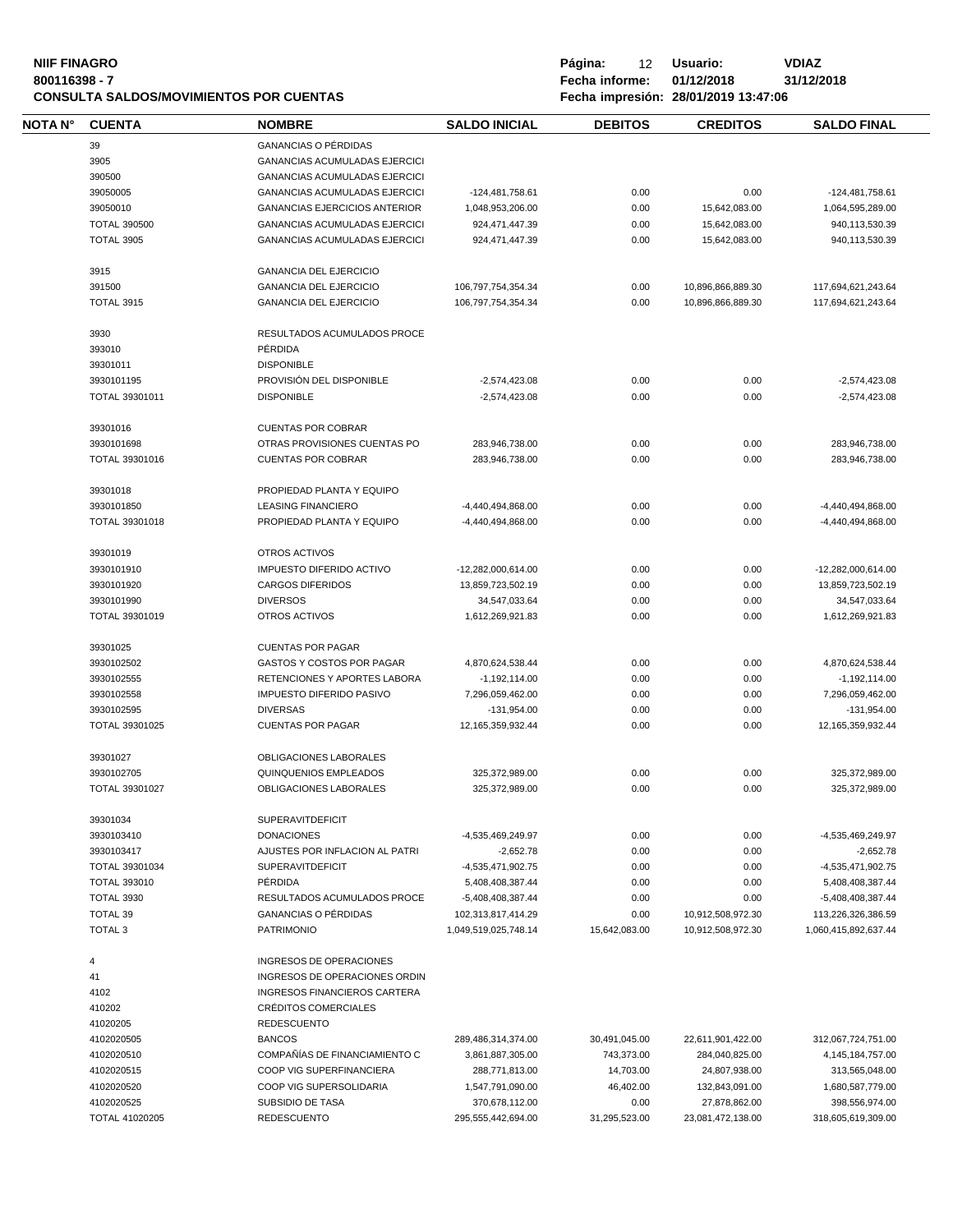| <b>NIIF FINAGRO</b><br>800116398 - 7 |                     | <b>CONSULTA SALDOS/MOVIMIENTOS POR CUENTAS</b> |                                            | Página:<br>12<br>Fecha informe: | Usuario:<br>01/12/2018<br>Fecha impresión: 28/01/2019 13:47:06 | <b>VDIAZ</b><br>31/12/2018                 |
|--------------------------------------|---------------------|------------------------------------------------|--------------------------------------------|---------------------------------|----------------------------------------------------------------|--------------------------------------------|
| <b>NOTA N°</b>                       | <b>CUENTA</b>       | <b>NOMBRE</b>                                  | <b>SALDO INICIAL</b>                       | <b>DEBITOS</b>                  | <b>CREDITOS</b>                                                | <b>SALDO FINAL</b>                         |
|                                      | 39                  | <b>GANANCIAS O PÉRDIDAS</b>                    |                                            |                                 |                                                                |                                            |
|                                      | 3905                | <b>GANANCIAS ACUMULADAS EJERCICI</b>           |                                            |                                 |                                                                |                                            |
|                                      | 390500              | GANANCIAS ACUMULADAS EJERCICI                  |                                            |                                 |                                                                |                                            |
|                                      |                     |                                                |                                            |                                 |                                                                |                                            |
|                                      | 39050005            | <b>GANANCIAS ACUMULADAS EJERCICI</b>           | -124,481,758.61                            | 0.00                            | 0.00                                                           | -124,481,758.61                            |
|                                      | 39050010            | <b>GANANCIAS EJERCICIOS ANTERIOR</b>           | 1,048,953,206.00                           | 0.00                            | 15,642,083.00                                                  | 1,064,595,289.00                           |
|                                      | <b>TOTAL 390500</b> | <b>GANANCIAS ACUMULADAS EJERCICI</b>           | 924,471,447.39                             | 0.00                            | 15,642,083.00                                                  | 940,113,530.39                             |
|                                      | <b>TOTAL 3905</b>   | <b>GANANCIAS ACUMULADAS EJERCICI</b>           | 924,471,447.39                             | 0.00                            | 15,642,083.00                                                  | 940,113,530.39                             |
|                                      | 3915                | <b>GANANCIA DEL EJERCICIO</b>                  |                                            |                                 |                                                                |                                            |
|                                      | 391500              | <b>GANANCIA DEL EJERCICIO</b>                  | 106,797,754,354.34                         | 0.00                            | 10,896,866,889.30                                              | 117,694,621,243.64                         |
|                                      | <b>TOTAL 3915</b>   | <b>GANANCIA DEL EJERCICIO</b>                  | 106,797,754,354.34                         | 0.00                            | 10,896,866,889.30                                              | 117,694,621,243.64                         |
|                                      | 3930                | RESULTADOS ACUMULADOS PROCE                    |                                            |                                 |                                                                |                                            |
|                                      | 393010              | PÉRDIDA                                        |                                            |                                 |                                                                |                                            |
|                                      | 39301011            | <b>DISPONIBLE</b>                              |                                            |                                 |                                                                |                                            |
|                                      | 3930101195          | PROVISIÓN DEL DISPONIBLE                       | $-2,574,423.08$                            | 0.00                            | 0.00                                                           | $-2,574,423.08$                            |
|                                      | TOTAL 39301011      | <b>DISPONIBLE</b>                              | $-2,574,423.08$                            | 0.00                            | 0.00                                                           | -2,574,423.08                              |
|                                      |                     |                                                |                                            |                                 |                                                                |                                            |
|                                      | 39301016            | <b>CUENTAS POR COBRAR</b>                      |                                            |                                 |                                                                |                                            |
|                                      | 3930101698          | OTRAS PROVISIONES CUENTAS PO                   | 283,946,738.00                             | 0.00                            | 0.00                                                           | 283,946,738.00                             |
|                                      | TOTAL 39301016      | <b>CUENTAS POR COBRAR</b>                      | 283,946,738.00                             | 0.00                            | 0.00                                                           | 283,946,738.00                             |
|                                      | 39301018            | PROPIEDAD PLANTA Y EQUIPO                      |                                            |                                 |                                                                |                                            |
|                                      | 3930101850          | <b>LEASING FINANCIERO</b>                      | -4,440,494,868.00                          | 0.00                            | 0.00                                                           | -4,440,494,868.00                          |
|                                      | TOTAL 39301018      | PROPIEDAD PLANTA Y EQUIPO                      | -4,440,494,868.00                          | 0.00                            | 0.00                                                           | -4,440,494,868.00                          |
|                                      | 39301019            | OTROS ACTIVOS                                  |                                            |                                 |                                                                |                                            |
|                                      |                     |                                                |                                            |                                 |                                                                |                                            |
|                                      | 3930101910          | IMPUESTO DIFERIDO ACTIVO                       | -12,282,000,614.00                         | 0.00                            | 0.00                                                           | -12,282,000,614.00                         |
|                                      | 3930101920          | <b>CARGOS DIFERIDOS</b>                        | 13,859,723,502.19                          | 0.00                            | 0.00                                                           | 13,859,723,502.19                          |
|                                      | 3930101990          | <b>DIVERSOS</b>                                | 34,547,033.64                              | 0.00                            | 0.00                                                           | 34,547,033.64                              |
|                                      | TOTAL 39301019      | OTROS ACTIVOS                                  | 1,612,269,921.83                           | 0.00                            | 0.00                                                           | 1,612,269,921.83                           |
|                                      | 39301025            | <b>CUENTAS POR PAGAR</b>                       |                                            |                                 |                                                                |                                            |
|                                      | 3930102502          | GASTOS Y COSTOS POR PAGAR                      | 4,870,624,538.44                           | 0.00                            | 0.00                                                           | 4,870,624,538.44                           |
|                                      | 3930102555          | RETENCIONES Y APORTES LABORA                   | $-1,192,114.00$                            | 0.00                            | 0.00                                                           | $-1,192,114.00$                            |
|                                      | 3930102558          | <b>IMPUESTO DIFERIDO PASIVO</b>                | 7,296,059,462.00                           | 0.00                            | 0.00                                                           | 7,296,059,462.00                           |
|                                      | 3930102595          | <b>DIVERSAS</b>                                | $-131,954.00$                              | 0.00                            | 0.00                                                           | $-131,954.00$                              |
|                                      |                     | <b>CUENTAS POR PAGAR</b>                       |                                            |                                 |                                                                |                                            |
|                                      | TOTAL 39301025      |                                                | 12, 165, 359, 932. 44                      | 0.00                            | 0.00                                                           | 12,165,359,932.44                          |
|                                      | 39301027            | OBLIGACIONES LABORALES                         |                                            |                                 |                                                                |                                            |
|                                      | 3930102705          | QUINQUENIOS EMPLEADOS                          | 325,372,989.00                             | 0.00                            | 0.00                                                           | 325,372,989.00                             |
|                                      | TOTAL 39301027      | OBLIGACIONES LABORALES                         | 325.372.989.00                             | 0.00                            | 0.00                                                           | 325,372,989.00                             |
|                                      | 39301034            | SUPERAVITDEFICIT                               |                                            |                                 |                                                                |                                            |
|                                      | 3930103410          | <b>DONACIONES</b>                              | -4,535,469,249.97                          | 0.00                            | 0.00                                                           | -4,535,469,249.97                          |
|                                      | 3930103417          | AJUSTES POR INFLACION AL PATRI                 | $-2,652.78$                                | 0.00                            | 0.00                                                           | $-2,652.78$                                |
|                                      | TOTAL 39301034      | <b>SUPERAVITDEFICIT</b>                        | -4,535,471,902.75                          | 0.00                            | 0.00                                                           | -4,535,471,902.75                          |
|                                      | <b>TOTAL 393010</b> | PÉRDIDA                                        | 5,408,408,387.44                           | 0.00                            | 0.00                                                           | 5,408,408,387.44                           |
|                                      | <b>TOTAL 3930</b>   | RESULTADOS ACUMULADOS PROCE                    | -5,408,408,387.44                          | 0.00                            | 0.00                                                           | -5,408,408,387.44                          |
|                                      | TOTAL 39            | <b>GANANCIAS O PÉRDIDAS</b>                    |                                            |                                 |                                                                |                                            |
|                                      | TOTAL <sub>3</sub>  | <b>PATRIMONIO</b>                              | 102,313,817,414.29<br>1,049,519,025,748.14 | 0.00<br>15,642,083.00           | 10,912,508,972.30<br>10,912,508,972.30                         | 113,226,326,386.59<br>1,060,415,892,637.44 |
|                                      |                     |                                                |                                            |                                 |                                                                |                                            |
|                                      | $\overline{4}$      | INGRESOS DE OPERACIONES                        |                                            |                                 |                                                                |                                            |
|                                      | 41                  | INGRESOS DE OPERACIONES ORDIN                  |                                            |                                 |                                                                |                                            |
|                                      | 4102                | <b>INGRESOS FINANCIEROS CARTERA</b>            |                                            |                                 |                                                                |                                            |
|                                      | 410202              | CRÉDITOS COMERCIALES                           |                                            |                                 |                                                                |                                            |
|                                      | 41020205            | <b>REDESCUENTO</b>                             |                                            |                                 |                                                                |                                            |
|                                      | 4102020505          | <b>BANCOS</b>                                  | 289,486,314,374.00                         | 30,491,045.00                   | 22,611,901,422.00                                              | 312,067,724,751.00                         |
|                                      | 4102020510          | COMPAÑÍAS DE FINANCIAMIENTO C                  | 3,861,887,305.00                           | 743,373.00                      | 284,040,825.00                                                 | 4,145,184,757.00                           |
|                                      | 4102020515          | COOP VIG SUPERFINANCIERA                       | 288,771,813.00                             | 14,703.00                       | 24,807,938.00                                                  | 313,565,048.00                             |
|                                      | 4102020520          | COOP VIG SUPERSOLIDARIA                        |                                            |                                 |                                                                |                                            |
|                                      |                     |                                                | 1,547,791,090.00                           | 46,402.00                       | 132,843,091.00                                                 | 1,680,587,779.00                           |
|                                      | 4102020525          | <b>SUBSIDIO DE TASA</b>                        | 370,678,112.00                             | 0.00                            | 27,878,862.00                                                  | 398,556,974.00                             |
|                                      | TOTAL 41020205      | <b>REDESCUENTO</b>                             | 295,555,442,694.00                         | 31,295,523.00                   | 23,081,472,138.00                                              | 318,605,619,309.00                         |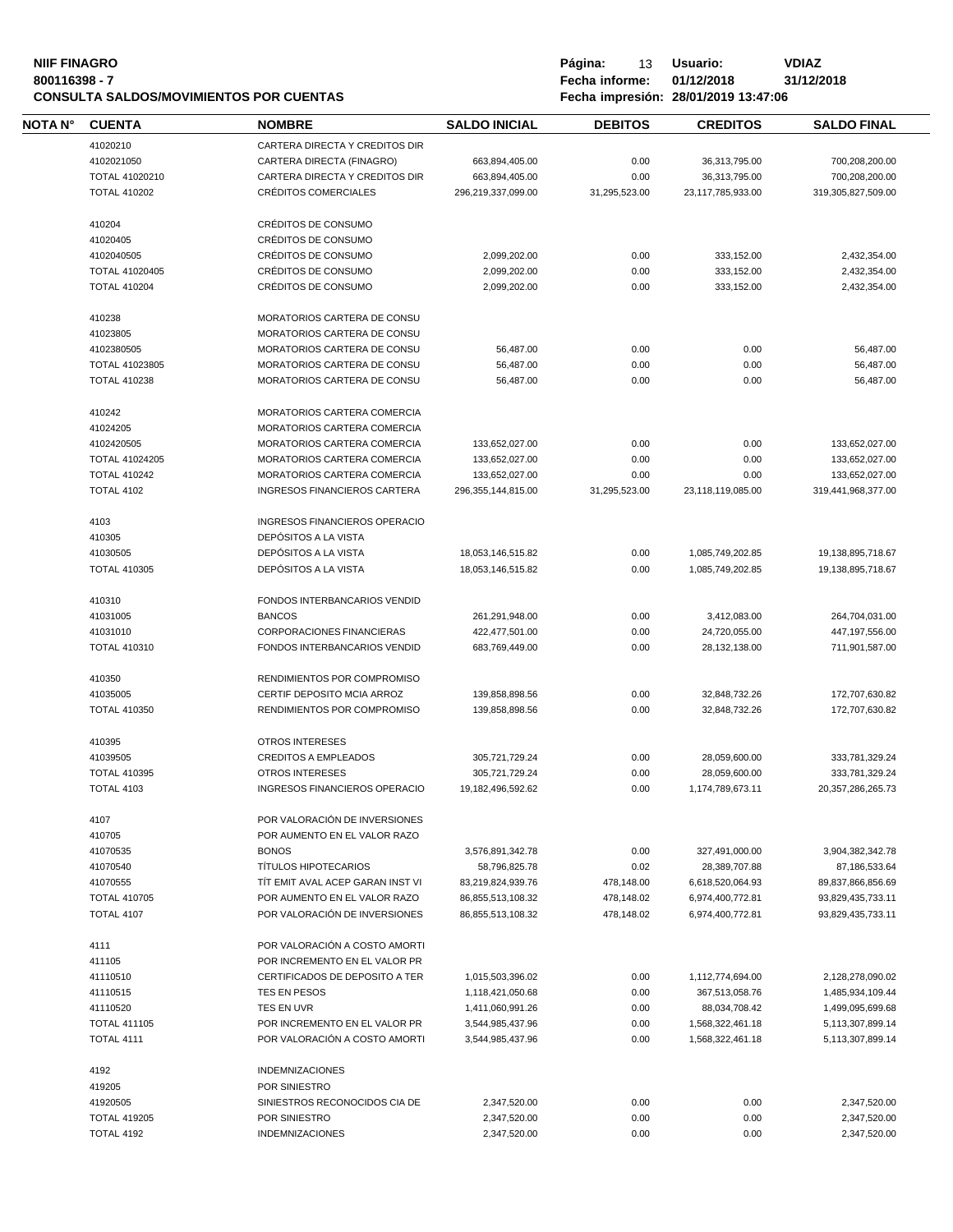# **NIIF FINAGRO P á g i n a :** 13 **U s u a r i o : VDIAZ CONSULTA SALDOS/MOVIMIENTOS POR CUENTAS**

| <b>NOTA N°</b> | <b>CUENTA</b>         | <b>NOMBRE</b>                                                 | <b>SALDO INICIAL</b>  | <b>DEBITOS</b> | <b>CREDITOS</b>   | <b>SALDO FINAL</b> |
|----------------|-----------------------|---------------------------------------------------------------|-----------------------|----------------|-------------------|--------------------|
|                | 41020210              | CARTERA DIRECTA Y CREDITOS DIR                                |                       |                |                   |                    |
|                | 4102021050            | CARTERA DIRECTA (FINAGRO)                                     | 663,894,405.00        | 0.00           | 36,313,795.00     | 700,208,200.00     |
|                | <b>TOTAL 41020210</b> | CARTERA DIRECTA Y CREDITOS DIR                                | 663,894,405.00        | 0.00           | 36,313,795.00     | 700,208,200.00     |
|                | <b>TOTAL 410202</b>   | <b>CRÉDITOS COMERCIALES</b>                                   | 296,219,337,099.00    | 31,295,523.00  | 23,117,785,933.00 | 319,305,827,509.00 |
|                | 410204                | CRÉDITOS DE CONSUMO                                           |                       |                |                   |                    |
|                | 41020405              | CRÉDITOS DE CONSUMO                                           |                       |                |                   |                    |
|                | 4102040505            | CRÉDITOS DE CONSUMO                                           | 2,099,202.00          | 0.00           | 333,152.00        | 2,432,354.00       |
|                | TOTAL 41020405        | CRÉDITOS DE CONSUMO                                           | 2,099,202.00          | 0.00           | 333,152.00        | 2,432,354.00       |
|                | <b>TOTAL 410204</b>   | CRÉDITOS DE CONSUMO                                           | 2,099,202.00          | 0.00           | 333,152.00        | 2,432,354.00       |
|                |                       | MORATORIOS CARTERA DE CONSU                                   |                       |                |                   |                    |
|                | 410238                |                                                               |                       |                |                   |                    |
|                | 41023805              | MORATORIOS CARTERA DE CONSU                                   |                       |                |                   |                    |
|                | 4102380505            | MORATORIOS CARTERA DE CONSU                                   | 56,487.00             | 0.00           | 0.00              | 56,487.00          |
|                | <b>TOTAL 41023805</b> | MORATORIOS CARTERA DE CONSU                                   | 56,487.00             | 0.00           | 0.00              | 56,487.00          |
|                | <b>TOTAL 410238</b>   | MORATORIOS CARTERA DE CONSU                                   | 56,487.00             | 0.00           | 0.00              | 56,487.00          |
|                | 410242                | MORATORIOS CARTERA COMERCIA                                   |                       |                |                   |                    |
|                | 41024205              | <b>MORATORIOS CARTERA COMERCIA</b>                            |                       |                |                   |                    |
|                | 4102420505            | MORATORIOS CARTERA COMERCIA                                   | 133,652,027.00        | 0.00           | 0.00              | 133,652,027.00     |
|                | <b>TOTAL 41024205</b> | MORATORIOS CARTERA COMERCIA                                   | 133,652,027.00        | 0.00           | 0.00              | 133,652,027.00     |
|                | <b>TOTAL 410242</b>   | MORATORIOS CARTERA COMERCIA                                   | 133,652,027.00        | 0.00           | 0.00              | 133.652.027.00     |
|                | <b>TOTAL 4102</b>     | <b>INGRESOS FINANCIEROS CARTERA</b>                           | 296, 355, 144, 815.00 | 31,295,523.00  | 23,118,119,085.00 | 319,441,968,377.00 |
|                | 4103                  | <b>INGRESOS FINANCIEROS OPERACIO</b>                          |                       |                |                   |                    |
|                | 410305                | DEPÓSITOS A LA VISTA                                          |                       |                |                   |                    |
|                | 41030505              | DEPÓSITOS A LA VISTA                                          | 18,053,146,515.82     | 0.00           | 1,085,749,202.85  | 19,138,895,718.67  |
|                | <b>TOTAL 410305</b>   | DEPÓSITOS A LA VISTA                                          | 18,053,146,515.82     | 0.00           | 1,085,749,202.85  | 19,138,895,718.67  |
|                |                       |                                                               |                       |                |                   |                    |
|                | 410310                | FONDOS INTERBANCARIOS VENDID                                  |                       |                |                   |                    |
|                | 41031005              | <b>BANCOS</b>                                                 | 261,291,948.00        | 0.00           | 3,412,083.00      | 264,704,031.00     |
|                | 41031010              | <b>CORPORACIONES FINANCIERAS</b>                              | 422,477,501.00        | 0.00           | 24,720,055.00     | 447,197,556.00     |
|                | <b>TOTAL 410310</b>   | FONDOS INTERBANCARIOS VENDID                                  | 683,769,449.00        | 0.00           | 28,132,138.00     | 711,901,587.00     |
|                | 410350                | RENDIMIENTOS POR COMPROMISO                                   |                       |                |                   |                    |
|                | 41035005              | CERTIF DEPOSITO MCIA ARROZ                                    | 139,858,898.56        | 0.00           | 32,848,732.26     | 172,707,630.82     |
|                | <b>TOTAL 410350</b>   | RENDIMIENTOS POR COMPROMISO                                   | 139,858,898.56        | 0.00           | 32,848,732.26     | 172,707,630.82     |
|                | 410395                | OTROS INTERESES                                               |                       |                |                   |                    |
|                | 41039505              | <b>CREDITOS A EMPLEADOS</b>                                   | 305,721,729.24        | 0.00           | 28,059,600.00     | 333,781,329.24     |
|                | <b>TOTAL 410395</b>   | <b>OTROS INTERESES</b>                                        | 305,721,729.24        | 0.00           | 28,059,600.00     | 333,781,329.24     |
|                | <b>TOTAL 4103</b>     | <b>INGRESOS FINANCIEROS OPERACIO</b>                          | 19, 182, 496, 592. 62 | 0.00           | 1,174,789,673.11  | 20,357,286,265.73  |
|                |                       |                                                               |                       |                |                   |                    |
|                | 4107<br>410705        | POR VALORACIÓN DE INVERSIONES<br>POR AUMENTO EN EL VALOR RAZO |                       |                |                   |                    |
|                | 41070535              | <b>BONOS</b>                                                  | 3,576,891,342.78      | 0.00           | 327,491,000.00    | 3,904,382,342.78   |
|                | 41070540              | <b>TÍTULOS HIPOTECARIOS</b>                                   | 58,796,825.78         | 0.02           | 28,389,707.88     | 87,186,533.64      |
|                | 41070555              | TIT EMIT AVAL ACEP GARAN INST VI                              | 83,219,824,939.76     | 478,148.00     | 6,618,520,064.93  | 89,837,866,856.69  |
|                | <b>TOTAL 410705</b>   | POR AUMENTO EN EL VALOR RAZO                                  | 86,855,513,108.32     | 478,148.02     | 6,974,400,772.81  | 93,829,435,733.11  |
|                | <b>TOTAL 4107</b>     | POR VALORACIÓN DE INVERSIONES                                 | 86,855,513,108.32     | 478.148.02     | 6,974,400,772.81  | 93,829,435,733.11  |
|                |                       |                                                               |                       |                |                   |                    |
|                | 4111                  | POR VALORACIÓN A COSTO AMORTI                                 |                       |                |                   |                    |
|                | 411105                | POR INCREMENTO EN EL VALOR PR                                 |                       |                |                   |                    |
|                | 41110510              | CERTIFICADOS DE DEPOSITO A TER                                | 1,015,503,396.02      | 0.00           | 1,112,774,694.00  | 2,128,278,090.02   |
|                | 41110515              | <b>TES EN PESOS</b>                                           | 1,118,421,050.68      | 0.00           | 367,513,058.76    | 1,485,934,109.44   |
|                | 41110520              | TES EN UVR                                                    | 1,411,060,991.26      | 0.00           | 88,034,708.42     | 1,499,095,699.68   |
|                | <b>TOTAL 411105</b>   | POR INCREMENTO EN EL VALOR PR                                 | 3,544,985,437.96      | 0.00           | 1,568,322,461.18  | 5,113,307,899.14   |
|                | TOTAL 4111            | POR VALORACIÓN A COSTO AMORTI                                 | 3,544,985,437.96      | 0.00           | 1,568,322,461.18  | 5,113,307,899.14   |
|                | 4192                  | <b>INDEMNIZACIONES</b>                                        |                       |                |                   |                    |
|                | 419205                | POR SINIESTRO                                                 |                       |                |                   |                    |
|                | 41920505              | SINIESTROS RECONOCIDOS CIA DE                                 | 2,347,520.00          | 0.00           | 0.00              | 2,347,520.00       |
|                | <b>TOTAL 419205</b>   | POR SINIESTRO                                                 | 2,347,520.00          | 0.00           | 0.00              | 2,347,520.00       |
|                | <b>TOTAL 4192</b>     | <b>INDEMNIZACIONES</b>                                        | 2,347,520.00          | 0.00           | 0.00              | 2,347,520.00       |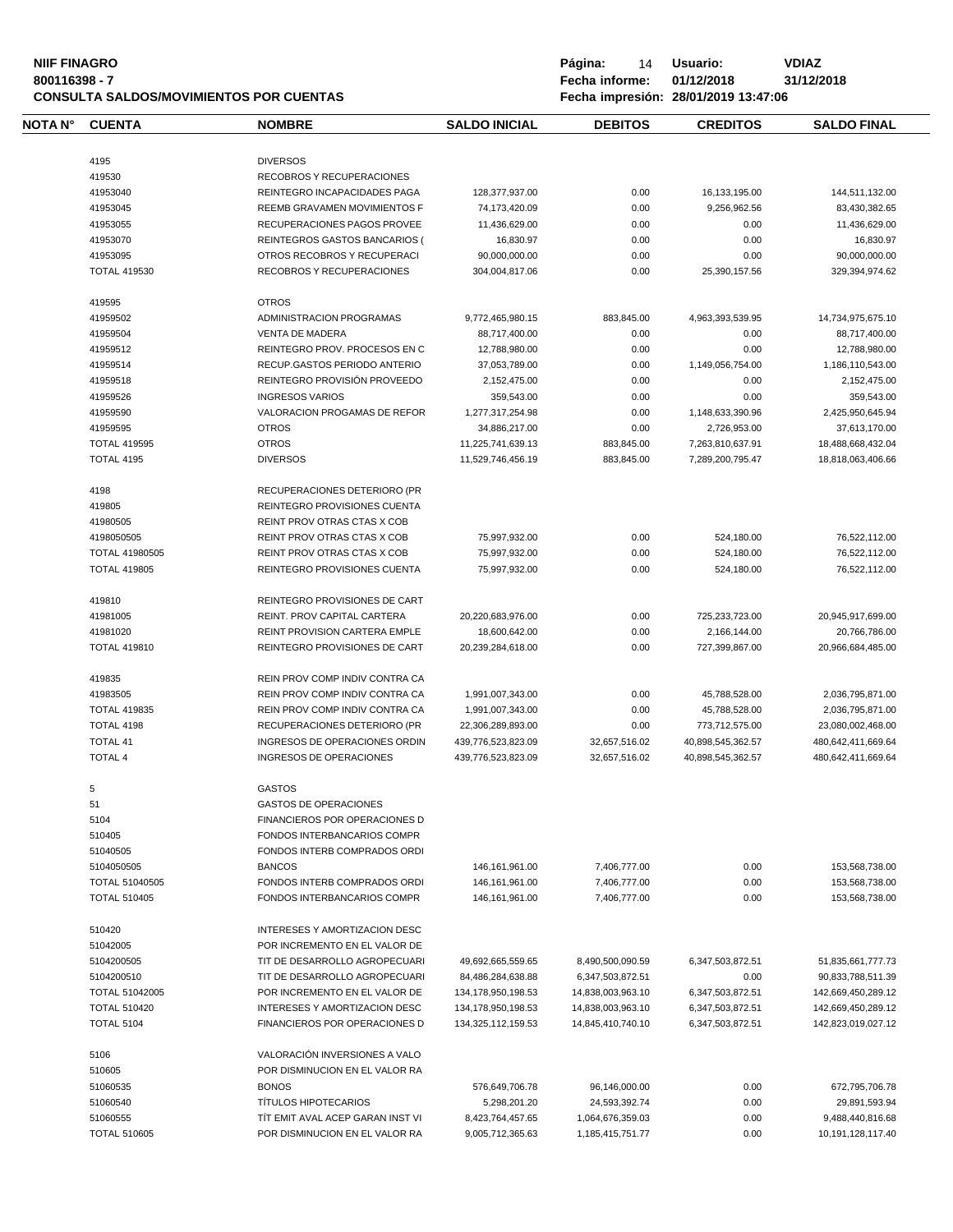# **NIIF FINAGRO P á g i n a :** 14 **U s u a r i o : VDIAZ CONSULTA SALDOS/MOVIMIENTOS POR CUENTAS**

**800116398 - 7 Fecha informe: 01/12/2018 31/12/2018**

 $\equiv$ 

| NOTA N° | <b>CUENTA</b>       | <b>NOMBRE</b>                        | <b>SALDO INICIAL</b>                         | <b>DEBITOS</b>    | <b>CREDITOS</b>                      | <b>SALDO FINAL</b> |
|---------|---------------------|--------------------------------------|----------------------------------------------|-------------------|--------------------------------------|--------------------|
|         |                     |                                      |                                              |                   |                                      |                    |
|         | 4195                | <b>DIVERSOS</b>                      |                                              |                   |                                      |                    |
|         | 419530              | RECOBROS Y RECUPERACIONES            |                                              |                   |                                      |                    |
|         | 41953040            | REINTEGRO INCAPACIDADES PAGA         | 128,377,937.00                               | 0.00              | 16,133,195.00                        | 144,511,132.00     |
|         | 41953045            | REEMB GRAVAMEN MOVIMIENTOS F         | 74,173,420.09                                | 0.00              | 9,256,962.56                         | 83,430,382.65      |
|         | 41953055            | RECUPERACIONES PAGOS PROVEE          | 11,436,629.00                                | 0.00              | 0.00                                 | 11,436,629.00      |
|         | 41953070            | REINTEGROS GASTOS BANCARIOS (        | 16,830.97                                    | 0.00              | 0.00                                 | 16,830.97          |
|         | 41953095            | OTROS RECOBROS Y RECUPERACI          | 90,000,000.00                                | 0.00              | 0.00                                 | 90,000,000.00      |
|         | <b>TOTAL 419530</b> | RECOBROS Y RECUPERACIONES            | 304,004,817.06                               | 0.00              | 25,390,157.56                        | 329,394,974.62     |
|         | 419595              | <b>OTROS</b>                         |                                              |                   |                                      |                    |
|         | 41959502            | ADMINISTRACION PROGRAMAS             | 9,772,465,980.15                             | 883,845.00        | 4,963,393,539.95                     | 14,734,975,675.10  |
|         | 41959504            | <b>VENTA DE MADERA</b>               | 88,717,400.00                                | 0.00              | 0.00                                 | 88,717,400.00      |
|         | 41959512            | REINTEGRO PROV. PROCESOS EN C        | 12,788,980.00                                | 0.00              | 0.00                                 | 12,788,980.00      |
|         | 41959514            | RECUP.GASTOS PERIODO ANTERIO         | 37,053,789.00                                | 0.00              | 1,149,056,754.00                     | 1,186,110,543.00   |
|         | 41959518            | REINTEGRO PROVISIÓN PROVEEDO         | 2,152,475.00                                 | 0.00              | 0.00                                 | 2,152,475.00       |
|         | 41959526            | <b>INGRESOS VARIOS</b>               | 359,543.00                                   | 0.00              | 0.00                                 | 359,543.00         |
|         | 41959590            | VALORACION PROGAMAS DE REFOR         | 1,277,317,254.98                             | 0.00              | 1,148,633,390.96                     | 2,425,950,645.94   |
|         | 41959595            | <b>OTROS</b>                         | 34,886,217.00                                | 0.00              | 2,726,953.00                         | 37,613,170.00      |
|         | <b>TOTAL 419595</b> | <b>OTROS</b>                         | 11,225,741,639.13                            | 883,845.00        | 7,263,810,637.91                     | 18,488,668,432.04  |
|         | <b>TOTAL 4195</b>   | <b>DIVERSOS</b>                      | 11,529,746,456.19                            | 883,845.00        | 7,289,200,795.47                     | 18,818,063,406.66  |
|         |                     |                                      |                                              |                   |                                      |                    |
|         | 4198                | RECUPERACIONES DETERIORO (PR         |                                              |                   |                                      |                    |
|         | 419805              | REINTEGRO PROVISIONES CUENTA         |                                              |                   |                                      |                    |
|         | 41980505            | REINT PROV OTRAS CTAS X COB          |                                              |                   |                                      |                    |
|         | 4198050505          | REINT PROV OTRAS CTAS X COB          | 75,997,932.00                                | 0.00              | 524,180.00                           | 76,522,112.00      |
|         | TOTAL 41980505      | REINT PROV OTRAS CTAS X COB          | 75,997,932.00                                | 0.00              | 524,180.00                           | 76,522,112.00      |
|         | <b>TOTAL 419805</b> | REINTEGRO PROVISIONES CUENTA         | 75,997,932.00                                | 0.00              | 524,180.00                           | 76,522,112.00      |
|         | 419810              | REINTEGRO PROVISIONES DE CART        |                                              |                   |                                      |                    |
|         | 41981005            | REINT. PROV CAPITAL CARTERA          | 20,220,683,976.00                            | 0.00              | 725,233,723.00                       | 20,945,917,699.00  |
|         | 41981020            | REINT PROVISION CARTERA EMPLE        | 18,600,642.00                                | 0.00              | 2,166,144.00                         | 20,766,786.00      |
|         | <b>TOTAL 419810</b> | REINTEGRO PROVISIONES DE CART        | 20,239,284,618.00                            | 0.00              | 727,399,867.00                       | 20,966,684,485.00  |
|         |                     |                                      |                                              |                   |                                      |                    |
|         | 419835              | REIN PROV COMP INDIV CONTRA CA       |                                              |                   |                                      |                    |
|         | 41983505            | REIN PROV COMP INDIV CONTRA CA       | 1,991,007,343.00                             | 0.00              | 45,788,528.00                        | 2,036,795,871.00   |
|         | <b>TOTAL 419835</b> | REIN PROV COMP INDIV CONTRA CA       | 1,991,007,343.00                             | 0.00              | 45,788,528.00                        | 2,036,795,871.00   |
|         | TOTAL 4198          | RECUPERACIONES DETERIORO (PR         | 22,306,289,893.00                            | 0.00              | 773,712,575.00                       | 23,080,002,468.00  |
|         | <b>TOTAL 41</b>     | INGRESOS DE OPERACIONES ORDIN        | 439,776,523,823.09                           | 32,657,516.02     | 40,898,545,362.57                    | 480,642,411,669.64 |
|         | <b>TOTAL 4</b>      | <b>INGRESOS DE OPERACIONES</b>       | 439,776,523,823.09                           | 32,657,516.02     | 40,898,545,362.57                    | 480,642,411,669.64 |
|         | 5                   | <b>GASTOS</b>                        |                                              |                   |                                      |                    |
|         | 51                  | <b>GASTOS DE OPERACIONES</b>         |                                              |                   |                                      |                    |
|         | 5104                | <b>FINANCIEROS POR OPERACIONES D</b> |                                              |                   |                                      |                    |
|         | 510405              | FONDOS INTERBANCARIOS COMPR          |                                              |                   |                                      |                    |
|         | 51040505            | FONDOS INTERB COMPRADOS ORDI         |                                              |                   |                                      |                    |
|         | 5104050505          | <b>BANCOS</b>                        | 146,161,961.00                               | 7,406,777.00      | 0.00                                 | 153,568,738.00     |
|         | TOTAL 51040505      | FONDOS INTERB COMPRADOS ORDI         | 146,161,961.00                               | 7,406,777.00      | 0.00                                 | 153,568,738.00     |
|         | <b>TOTAL 510405</b> | FONDOS INTERBANCARIOS COMPR          | 146,161,961.00                               | 7,406,777.00      | 0.00                                 | 153,568,738.00     |
|         | 510420              | INTERESES Y AMORTIZACION DESC        |                                              |                   |                                      |                    |
|         | 51042005            | POR INCREMENTO EN EL VALOR DE        |                                              |                   |                                      |                    |
|         | 5104200505          | TIT DE DESARROLLO AGROPECUARI        | 49,692,665,559.65                            | 8,490,500,090.59  | 6,347,503,872.51                     | 51,835,661,777.73  |
|         | 5104200510          | TIT DE DESARROLLO AGROPECUARI        | 84,486,284,638.88                            | 6,347,503,872.51  | 0.00                                 | 90,833,788,511.39  |
|         | TOTAL 51042005      | POR INCREMENTO EN EL VALOR DE        | 134, 178, 950, 198.53                        | 14,838,003,963.10 | 6,347,503,872.51                     | 142,669,450,289.12 |
|         | <b>TOTAL 510420</b> | INTERESES Y AMORTIZACION DESC        |                                              | 14,838,003,963.10 |                                      | 142,669,450,289.12 |
|         | <b>TOTAL 5104</b>   | FINANCIEROS POR OPERACIONES D        | 134,178,950,198.53<br>134, 325, 112, 159. 53 | 14,845,410,740.10 | 6,347,503,872.51<br>6,347,503,872.51 | 142,823,019,027.12 |
|         |                     |                                      |                                              |                   |                                      |                    |
|         | 5106                | VALORACIÓN INVERSIONES A VALO        |                                              |                   |                                      |                    |
|         | 510605              | POR DISMINUCION EN EL VALOR RA       |                                              |                   |                                      |                    |
|         | 51060535            | <b>BONOS</b>                         | 576,649,706.78                               | 96,146,000.00     | 0.00                                 | 672,795,706.78     |
|         | 51060540            | <b>TÍTULOS HIPOTECARIOS</b>          | 5,298,201.20                                 | 24,593,392.74     | 0.00                                 | 29,891,593.94      |
|         | 51060555            | TIT EMIT AVAL ACEP GARAN INST VI     | 8,423,764,457.65                             | 1,064,676,359.03  | 0.00                                 | 9,488,440,816.68   |
|         | <b>TOTAL 510605</b> | POR DISMINUCION EN EL VALOR RA       | 9,005,712,365.63                             | 1,185,415,751.77  | 0.00                                 | 10,191,128,117.40  |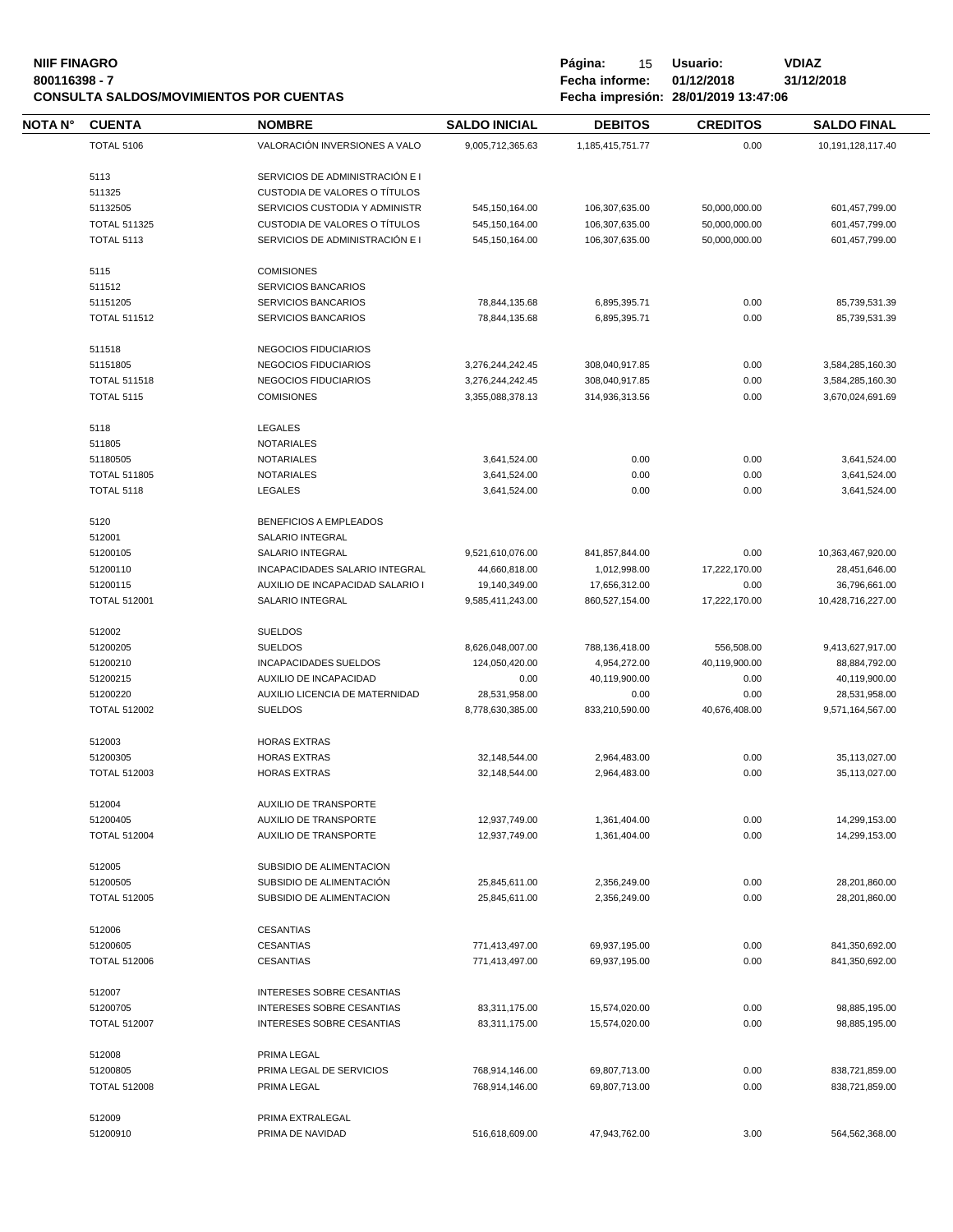# **NIIF FINAGRO P á g i n a :** 15 **U s u a r i o : VDIAZ CONSULTA SALDOS/MOVIMIENTOS POR CUENTAS**

| <b>NOTA N°</b> | <b>CUENTA</b>       | <b>NOMBRE</b>                    | <b>SALDO INICIAL</b> | <b>DEBITOS</b>   | <b>CREDITOS</b> | <b>SALDO FINAL</b> |
|----------------|---------------------|----------------------------------|----------------------|------------------|-----------------|--------------------|
|                | <b>TOTAL 5106</b>   | VALORACIÓN INVERSIONES A VALO    | 9,005,712,365.63     | 1,185,415,751.77 | 0.00            | 10,191,128,117.40  |
|                |                     |                                  |                      |                  |                 |                    |
|                | 5113                | SERVICIOS DE ADMINISTRACIÓN E I  |                      |                  |                 |                    |
|                | 511325              | CUSTODIA DE VALORES O TÍTULOS    |                      |                  |                 |                    |
|                | 51132505            | SERVICIOS CUSTODIA Y ADMINISTR   | 545, 150, 164.00     | 106,307,635.00   | 50,000,000.00   | 601,457,799.00     |
|                | <b>TOTAL 511325</b> | CUSTODIA DE VALORES O TÍTULOS    | 545, 150, 164.00     | 106,307,635.00   | 50,000,000.00   | 601,457,799.00     |
|                | TOTAL 5113          | SERVICIOS DE ADMINISTRACIÓN E I  | 545, 150, 164.00     | 106,307,635.00   | 50,000,000.00   | 601,457,799.00     |
|                | 5115                | <b>COMISIONES</b>                |                      |                  |                 |                    |
|                | 511512              | SERVICIOS BANCARIOS              |                      |                  |                 |                    |
|                | 51151205            | SERVICIOS BANCARIOS              | 78,844,135.68        | 6,895,395.71     | 0.00            | 85,739,531.39      |
|                | <b>TOTAL 511512</b> | SERVICIOS BANCARIOS              | 78,844,135.68        | 6,895,395.71     | 0.00            | 85,739,531.39      |
|                | 511518              | NEGOCIOS FIDUCIARIOS             |                      |                  |                 |                    |
|                | 51151805            | NEGOCIOS FIDUCIARIOS             | 3,276,244,242.45     | 308,040,917.85   | 0.00            | 3,584,285,160.30   |
|                | <b>TOTAL 511518</b> | <b>NEGOCIOS FIDUCIARIOS</b>      | 3,276,244,242.45     | 308,040,917.85   | 0.00            | 3,584,285,160.30   |
|                | <b>TOTAL 5115</b>   | <b>COMISIONES</b>                | 3,355,088,378.13     | 314,936,313.56   | 0.00            | 3,670,024,691.69   |
|                | 5118                | <b>LEGALES</b>                   |                      |                  |                 |                    |
|                | 511805              | <b>NOTARIALES</b>                |                      |                  |                 |                    |
|                | 51180505            | <b>NOTARIALES</b>                | 3,641,524.00         | 0.00             | 0.00            | 3,641,524.00       |
|                | <b>TOTAL 511805</b> | <b>NOTARIALES</b>                | 3,641,524.00         | 0.00             | 0.00            | 3,641,524.00       |
|                | <b>TOTAL 5118</b>   | <b>LEGALES</b>                   | 3,641,524.00         | 0.00             | 0.00            | 3,641,524.00       |
|                |                     |                                  |                      |                  |                 |                    |
|                | 5120                | <b>BENEFICIOS A EMPLEADOS</b>    |                      |                  |                 |                    |
|                | 512001              | SALARIO INTEGRAL                 |                      |                  |                 |                    |
|                | 51200105            | SALARIO INTEGRAL                 | 9,521,610,076.00     | 841,857,844.00   | 0.00            | 10,363,467,920.00  |
|                | 51200110            | INCAPACIDADES SALARIO INTEGRAL   | 44,660,818.00        | 1,012,998.00     | 17,222,170.00   | 28,451,646.00      |
|                | 51200115            | AUXILIO DE INCAPACIDAD SALARIO I | 19,140,349.00        | 17,656,312.00    | 0.00            | 36,796,661.00      |
|                | <b>TOTAL 512001</b> | SALARIO INTEGRAL                 | 9,585,411,243.00     | 860,527,154.00   | 17,222,170.00   | 10,428,716,227.00  |
|                | 512002              | <b>SUELDOS</b>                   |                      |                  |                 |                    |
|                | 51200205            | <b>SUELDOS</b>                   | 8,626,048,007.00     | 788,136,418.00   | 556,508.00      | 9,413,627,917.00   |
|                | 51200210            | <b>INCAPACIDADES SUELDOS</b>     | 124,050,420.00       | 4,954,272.00     | 40,119,900.00   | 88,884,792.00      |
|                | 51200215            | AUXILIO DE INCAPACIDAD           | 0.00                 | 40,119,900.00    | 0.00            | 40,119,900.00      |
|                | 51200220            | AUXILIO LICENCIA DE MATERNIDAD   | 28,531,958.00        | 0.00             | 0.00            | 28,531,958.00      |
|                | <b>TOTAL 512002</b> | <b>SUELDOS</b>                   | 8,778,630,385.00     | 833,210,590.00   | 40,676,408.00   | 9,571,164,567.00   |
|                | 512003              | <b>HORAS EXTRAS</b>              |                      |                  |                 |                    |
|                |                     | <b>HORAS EXTRAS</b>              |                      |                  |                 |                    |
|                | 51200305            |                                  | 32,148,544.00        | 2,964,483.00     | 0.00            | 35,113,027.00      |
|                | <b>TOTAL 512003</b> | <b>HORAS EXTRAS</b>              | 32,148,544.00        | 2,964,483.00     | 0.00            | 35,113,027.00      |
|                | 512004              | <b>AUXILIO DE TRANSPORTE</b>     |                      |                  |                 |                    |
|                | 51200405            | AUXILIO DE TRANSPORTE            | 12,937,749.00        | 1,361,404.00     | 0.00            | 14,299,153.00      |
|                | <b>TOTAL 512004</b> | AUXILIO DE TRANSPORTE            | 12,937,749.00        | 1,361,404.00     | 0.00            | 14,299,153.00      |
|                | 512005              | SUBSIDIO DE ALIMENTACION         |                      |                  |                 |                    |
|                | 51200505            | SUBSIDIO DE ALIMENTACIÓN         | 25,845,611.00        | 2,356,249.00     | 0.00            | 28,201,860.00      |
|                | <b>TOTAL 512005</b> | SUBSIDIO DE ALIMENTACION         | 25,845,611.00        | 2,356,249.00     | 0.00            | 28,201,860.00      |
|                | 512006              | <b>CESANTIAS</b>                 |                      |                  |                 |                    |
|                | 51200605            | <b>CESANTIAS</b>                 | 771,413,497.00       | 69,937,195.00    | 0.00            | 841,350,692.00     |
|                | <b>TOTAL 512006</b> | <b>CESANTIAS</b>                 | 771,413,497.00       | 69,937,195.00    | 0.00            | 841,350,692.00     |
|                |                     |                                  |                      |                  |                 |                    |
|                | 512007              | INTERESES SOBRE CESANTIAS        |                      |                  |                 |                    |
|                | 51200705            | INTERESES SOBRE CESANTIAS        | 83,311,175.00        | 15,574,020.00    | 0.00            | 98,885,195.00      |
|                | <b>TOTAL 512007</b> | <b>INTERESES SOBRE CESANTIAS</b> | 83,311,175.00        | 15,574,020.00    | 0.00            | 98,885,195.00      |
|                | 512008              | PRIMA LEGAL                      |                      |                  |                 |                    |
|                | 51200805            | PRIMA LEGAL DE SERVICIOS         | 768,914,146.00       | 69,807,713.00    | 0.00            | 838,721,859.00     |
|                | <b>TOTAL 512008</b> | PRIMA LEGAL                      | 768,914,146.00       | 69,807,713.00    | 0.00            | 838,721,859.00     |
|                | 512009              | PRIMA EXTRALEGAL                 |                      |                  |                 |                    |
|                | 51200910            | PRIMA DE NAVIDAD                 | 516,618,609.00       | 47,943,762.00    | 3.00            | 564,562,368.00     |
|                |                     |                                  |                      |                  |                 |                    |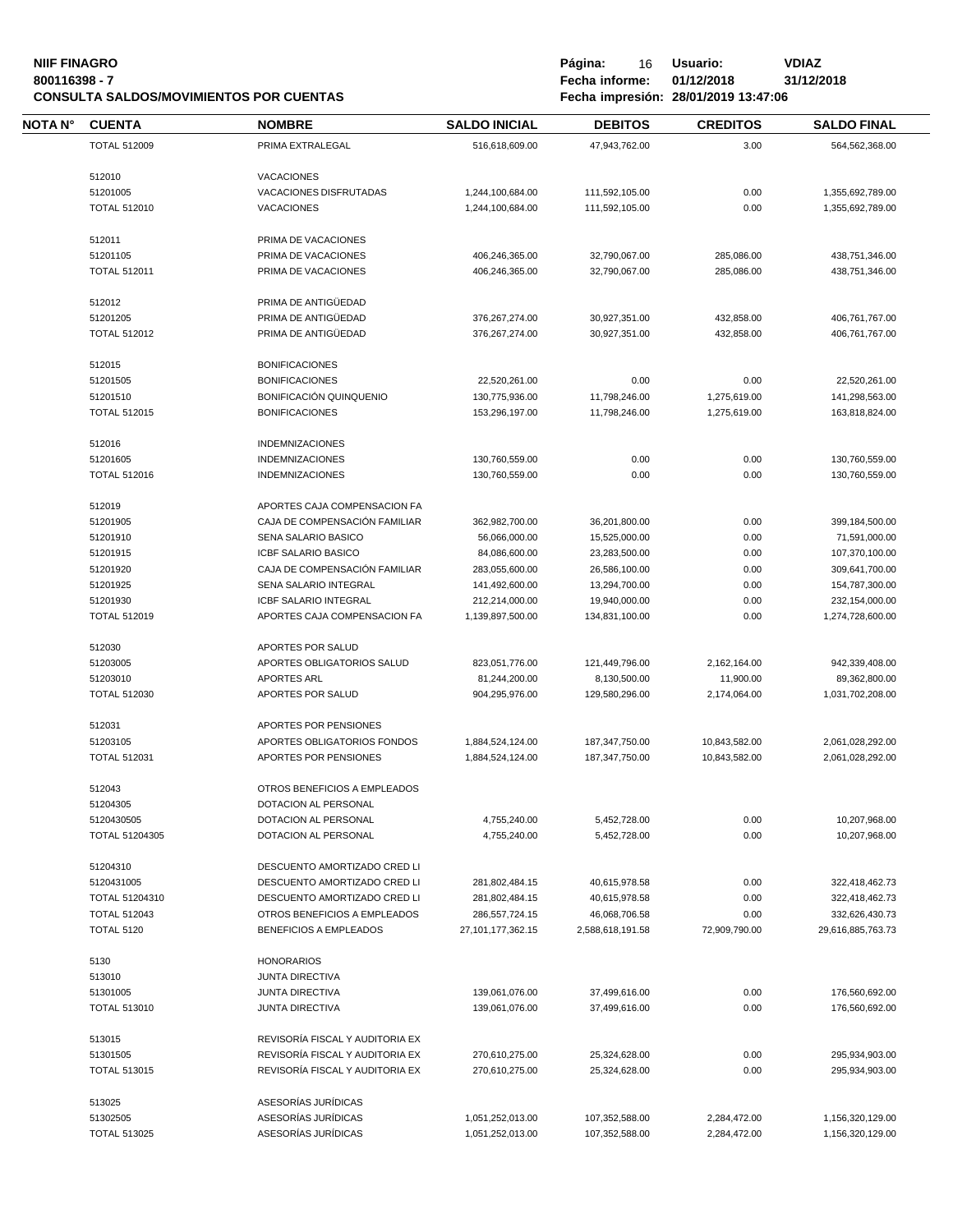# **NIIF FINAGRO P á g i n a :** 16 **U s u a r i o : VDIAZ CONSULTA SALDOS/MOVIMIENTOS POR CUENTAS**

| <b>NOTA N°</b> | <b>CUENTA</b>                            | <b>NOMBRE</b>                                                | <b>SALDO INICIAL</b>                   | <b>DEBITOS</b>                    | <b>CREDITOS</b>       | <b>SALDO FINAL</b>                  |
|----------------|------------------------------------------|--------------------------------------------------------------|----------------------------------------|-----------------------------------|-----------------------|-------------------------------------|
|                | <b>TOTAL 512009</b>                      | PRIMA EXTRALEGAL                                             | 516,618,609.00                         | 47,943,762.00                     | 3.00                  | 564,562,368.00                      |
|                | 512010                                   | <b>VACACIONES</b>                                            |                                        |                                   |                       |                                     |
|                | 51201005                                 | VACACIONES DISFRUTADAS                                       | 1,244,100,684.00                       | 111,592,105.00                    | 0.00                  | 1,355,692,789.00                    |
|                | <b>TOTAL 512010</b>                      | <b>VACACIONES</b>                                            | 1,244,100,684.00                       | 111,592,105.00                    | 0.00                  | 1,355,692,789.00                    |
|                |                                          |                                                              |                                        |                                   |                       |                                     |
|                | 512011                                   | PRIMA DE VACACIONES                                          |                                        |                                   |                       |                                     |
|                | 51201105                                 | PRIMA DE VACACIONES                                          | 406,246,365.00                         | 32,790,067.00                     | 285,086.00            | 438,751,346.00                      |
|                | <b>TOTAL 512011</b>                      | PRIMA DE VACACIONES                                          | 406,246,365.00                         | 32,790,067.00                     | 285,086.00            | 438,751,346.00                      |
|                | 512012                                   | PRIMA DE ANTIGÜEDAD                                          |                                        |                                   |                       |                                     |
|                | 51201205                                 | PRIMA DE ANTIGÜEDAD                                          | 376,267,274.00                         | 30,927,351.00                     | 432,858.00            | 406,761,767.00                      |
|                | <b>TOTAL 512012</b>                      | PRIMA DE ANTIGÜEDAD                                          | 376,267,274.00                         | 30,927,351.00                     | 432,858.00            | 406,761,767.00                      |
|                | 512015                                   | <b>BONIFICACIONES</b>                                        |                                        |                                   |                       |                                     |
|                | 51201505                                 | <b>BONIFICACIONES</b>                                        | 22,520,261.00                          | 0.00                              | 0.00                  | 22,520,261.00                       |
|                |                                          | BONIFICACIÓN QUINQUENIO                                      |                                        |                                   |                       |                                     |
|                | 51201510                                 |                                                              | 130,775,936.00                         | 11,798,246.00                     | 1,275,619.00          | 141,298,563.00                      |
|                | <b>TOTAL 512015</b>                      | <b>BONIFICACIONES</b>                                        | 153,296,197.00                         | 11,798,246.00                     | 1,275,619.00          | 163,818,824.00                      |
|                | 512016                                   | <b>INDEMNIZACIONES</b>                                       |                                        |                                   |                       |                                     |
|                | 51201605                                 | <b>INDEMNIZACIONES</b>                                       | 130,760,559.00                         | 0.00                              | 0.00                  | 130,760,559.00                      |
|                | <b>TOTAL 512016</b>                      | <b>INDEMNIZACIONES</b>                                       | 130,760,559.00                         | 0.00                              | 0.00                  | 130,760,559.00                      |
|                | 512019                                   | APORTES CAJA COMPENSACION FA                                 |                                        |                                   |                       |                                     |
|                | 51201905                                 | CAJA DE COMPENSACIÓN FAMILIAR                                | 362,982,700.00                         | 36,201,800.00                     | 0.00                  | 399,184,500.00                      |
|                | 51201910                                 | SENA SALARIO BASICO                                          | 56,066,000.00                          | 15,525,000.00                     | 0.00                  | 71,591,000.00                       |
|                | 51201915                                 | <b>ICBF SALARIO BASICO</b>                                   | 84,086,600.00                          | 23,283,500.00                     | 0.00                  | 107,370,100.00                      |
|                | 51201920                                 | CAJA DE COMPENSACIÓN FAMILIAR                                | 283,055,600.00                         | 26,586,100.00                     | 0.00                  | 309,641,700.00                      |
|                | 51201925                                 | SENA SALARIO INTEGRAL                                        | 141,492,600.00                         | 13,294,700.00                     | 0.00                  | 154,787,300.00                      |
|                | 51201930                                 | ICBF SALARIO INTEGRAL                                        | 212,214,000.00                         | 19,940,000.00                     | 0.00                  | 232,154,000.00                      |
|                | <b>TOTAL 512019</b>                      | APORTES CAJA COMPENSACION FA                                 | 1,139,897,500.00                       | 134,831,100.00                    | 0.00                  | 1,274,728,600.00                    |
|                |                                          |                                                              |                                        |                                   |                       |                                     |
|                | 512030                                   | APORTES POR SALUD                                            |                                        |                                   |                       |                                     |
|                | 51203005                                 | APORTES OBLIGATORIOS SALUD                                   | 823,051,776.00                         | 121,449,796.00                    | 2,162,164.00          | 942,339,408.00                      |
|                | 51203010<br><b>TOTAL 512030</b>          | <b>APORTES ARL</b><br>APORTES POR SALUD                      | 81,244,200.00                          | 8,130,500.00                      | 11,900.00             | 89,362,800.00<br>1,031,702,208.00   |
|                |                                          |                                                              | 904,295,976.00                         | 129,580,296.00                    | 2,174,064.00          |                                     |
|                | 512031                                   | APORTES POR PENSIONES                                        |                                        |                                   |                       |                                     |
|                | 51203105                                 | APORTES OBLIGATORIOS FONDOS                                  | 1,884,524,124.00                       | 187,347,750.00                    | 10,843,582.00         | 2,061,028,292.00                    |
|                | <b>TOTAL 512031</b>                      | APORTES POR PENSIONES                                        | 1,884,524,124.00                       | 187,347,750.00                    | 10,843,582.00         | 2,061,028,292.00                    |
|                | 512043                                   | OTROS BENEFICIOS A EMPLEADOS                                 |                                        |                                   |                       |                                     |
|                | 51204305                                 | DOTACION AL PERSONAL                                         |                                        |                                   |                       |                                     |
|                | 5120430505                               | DOTACION AL PERSONAL                                         | 4,755,240.00                           | 5,452,728.00                      | 0.00                  | 10,207,968.00                       |
|                | TOTAL 51204305                           | DOTACION AL PERSONAL                                         | 4,755,240.00                           | 5,452,728.00                      | 0.00                  | 10,207,968.00                       |
|                |                                          |                                                              |                                        |                                   |                       |                                     |
|                | 51204310<br>5120431005                   | DESCUENTO AMORTIZADO CRED LI<br>DESCUENTO AMORTIZADO CRED LI |                                        |                                   | 0.00                  |                                     |
|                |                                          |                                                              | 281,802,484.15                         | 40,615,978.58                     |                       | 322,418,462.73                      |
|                | TOTAL 51204310                           | DESCUENTO AMORTIZADO CRED LI                                 | 281,802,484.15                         | 40,615,978.58                     | 0.00                  | 322,418,462.73                      |
|                | <b>TOTAL 512043</b><br><b>TOTAL 5120</b> | OTROS BENEFICIOS A EMPLEADOS<br>BENEFICIOS A EMPLEADOS       | 286, 557, 724. 15<br>27,101,177,362.15 | 46,068,706.58<br>2,588,618,191.58 | 0.00<br>72,909,790.00 | 332,626,430.73<br>29,616,885,763.73 |
|                |                                          |                                                              |                                        |                                   |                       |                                     |
|                | 5130                                     | <b>HONORARIOS</b>                                            |                                        |                                   |                       |                                     |
|                | 513010                                   | <b>JUNTA DIRECTIVA</b>                                       |                                        |                                   |                       |                                     |
|                | 51301005                                 | <b>JUNTA DIRECTIVA</b>                                       | 139,061,076.00                         | 37,499,616.00                     | 0.00                  | 176,560,692.00                      |
|                | <b>TOTAL 513010</b>                      | <b>JUNTA DIRECTIVA</b>                                       | 139,061,076.00                         | 37,499,616.00                     | 0.00                  | 176,560,692.00                      |
|                | 513015                                   | REVISORÍA FISCAL Y AUDITORIA EX                              |                                        |                                   |                       |                                     |
|                | 51301505                                 | REVISORÍA FISCAL Y AUDITORIA EX                              | 270,610,275.00                         | 25,324,628.00                     | 0.00                  | 295,934,903.00                      |
|                | <b>TOTAL 513015</b>                      | REVISORÍA FISCAL Y AUDITORIA EX                              | 270,610,275.00                         | 25,324,628.00                     | 0.00                  | 295,934,903.00                      |
|                |                                          |                                                              |                                        |                                   |                       |                                     |
|                | 513025                                   | ASESORÍAS JURÍDICAS                                          |                                        |                                   |                       |                                     |
|                | 51302505                                 | ASESORÍAS JURÍDICAS                                          | 1,051,252,013.00                       | 107,352,588.00                    | 2,284,472.00          | 1,156,320,129.00                    |
|                | <b>TOTAL 513025</b>                      | ASESORÍAS JURÍDICAS                                          | 1,051,252,013.00                       | 107,352,588.00                    | 2,284,472.00          | 1,156,320,129.00                    |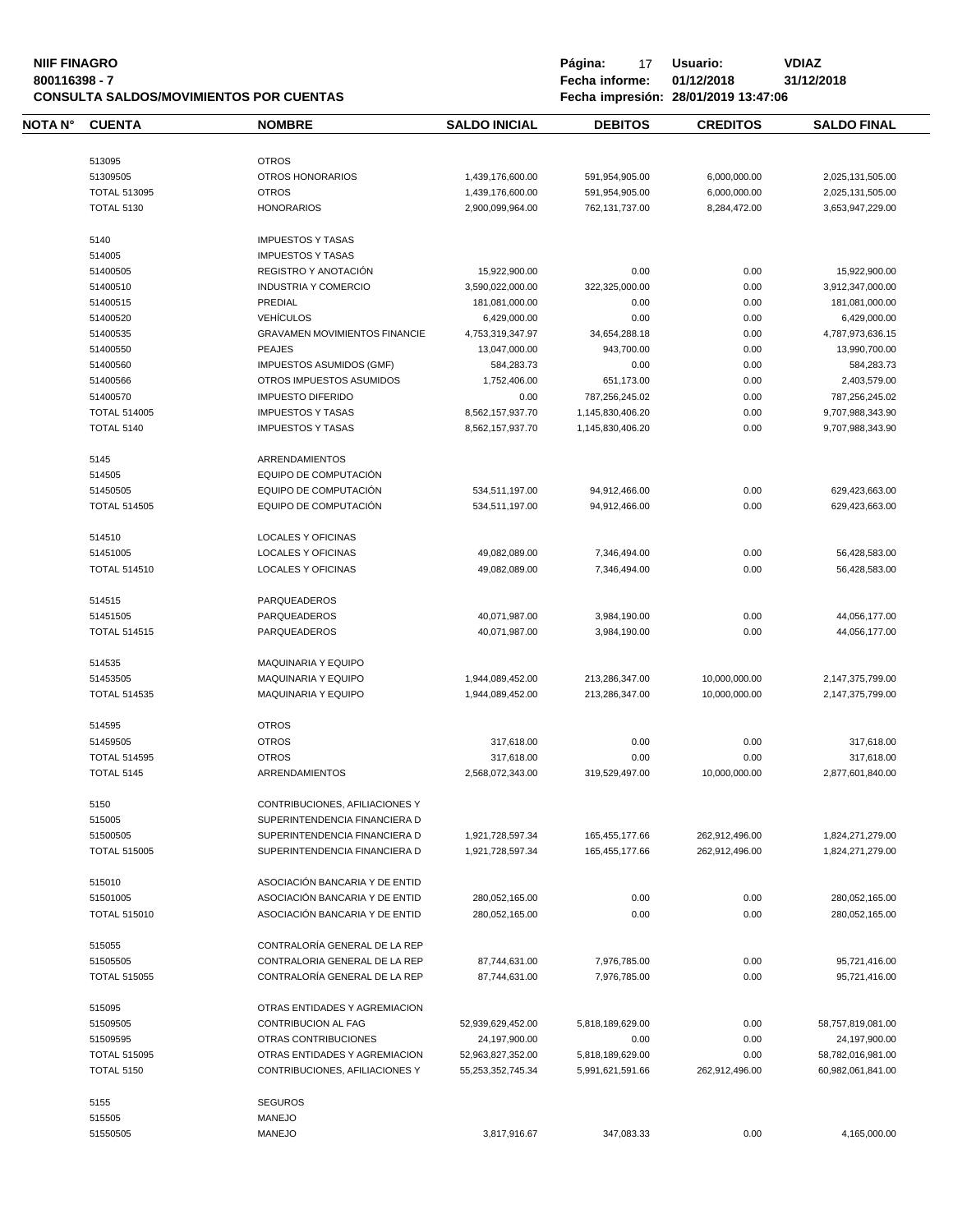# **NIIF FINAGRO P á g i n a :** 17 **U s u a r i o : VDIAZ CONSULTA SALDOS/MOVIMIENTOS POR CUENTAS**

| NOTA N° | <b>CUENTA</b>       | <b>NOMBRE</b>                        | <b>SALDO INICIAL</b> | <b>DEBITOS</b>   | <b>CREDITOS</b> | <b>SALDO FINAL</b> |
|---------|---------------------|--------------------------------------|----------------------|------------------|-----------------|--------------------|
|         |                     |                                      |                      |                  |                 |                    |
|         | 513095              | <b>OTROS</b>                         |                      |                  |                 |                    |
|         | 51309505            | OTROS HONORARIOS                     | 1,439,176,600.00     | 591,954,905.00   | 6,000,000.00    | 2,025,131,505.00   |
|         | <b>TOTAL 513095</b> | <b>OTROS</b>                         | 1,439,176,600.00     | 591,954,905.00   | 6,000,000.00    | 2,025,131,505.00   |
|         | <b>TOTAL 5130</b>   | <b>HONORARIOS</b>                    | 2,900,099,964.00     | 762,131,737.00   | 8,284,472.00    | 3,653,947,229.00   |
|         | 5140                | <b>IMPUESTOS Y TASAS</b>             |                      |                  |                 |                    |
|         | 514005              | <b>IMPUESTOS Y TASAS</b>             |                      |                  |                 |                    |
|         | 51400505            | REGISTRO Y ANOTACIÓN                 | 15,922,900.00        | 0.00             | 0.00            | 15,922,900.00      |
|         | 51400510            | <b>INDUSTRIA Y COMERCIO</b>          | 3,590,022,000.00     | 322,325,000.00   | 0.00            | 3,912,347,000.00   |
|         | 51400515            | PREDIAL                              | 181,081,000.00       | 0.00             | 0.00            | 181,081,000.00     |
|         |                     | <b>VEHÍCULOS</b>                     | 6,429,000.00         |                  |                 |                    |
|         | 51400520            |                                      |                      | 0.00             | 0.00            | 6,429,000.00       |
|         | 51400535            | <b>GRAVAMEN MOVIMIENTOS FINANCIE</b> | 4,753,319,347.97     | 34,654,288.18    | 0.00            | 4,787,973,636.15   |
|         | 51400550            | <b>PEAJES</b>                        | 13,047,000.00        | 943,700.00       | 0.00            | 13,990,700.00      |
|         | 51400560            | IMPUESTOS ASUMIDOS (GMF)             | 584,283.73           | 0.00             | 0.00            | 584,283.73         |
|         | 51400566            | OTROS IMPUESTOS ASUMIDOS             | 1,752,406.00         | 651,173.00       | 0.00            | 2,403,579.00       |
|         | 51400570            | <b>IMPUESTO DIFERIDO</b>             | 0.00                 | 787,256,245.02   | 0.00            | 787,256,245.02     |
|         | <b>TOTAL 514005</b> | <b>IMPUESTOS Y TASAS</b>             | 8,562,157,937.70     | 1,145,830,406.20 | 0.00            | 9,707,988,343.90   |
|         | <b>TOTAL 5140</b>   | <b>IMPUESTOS Y TASAS</b>             | 8,562,157,937.70     | 1,145,830,406.20 | 0.00            | 9,707,988,343.90   |
|         | 5145                | <b>ARRENDAMIENTOS</b>                |                      |                  |                 |                    |
|         | 514505              | EQUIPO DE COMPUTACIÓN                |                      |                  |                 |                    |
|         |                     |                                      |                      |                  |                 |                    |
|         | 51450505            | EQUIPO DE COMPUTACIÓN                | 534,511,197.00       | 94,912,466.00    | 0.00            | 629,423,663.00     |
|         | <b>TOTAL 514505</b> | EQUIPO DE COMPUTACIÓN                | 534,511,197.00       | 94,912,466.00    | 0.00            | 629,423,663.00     |
|         | 514510              | <b>LOCALES Y OFICINAS</b>            |                      |                  |                 |                    |
|         | 51451005            | <b>LOCALES Y OFICINAS</b>            | 49,082,089.00        | 7,346,494.00     | 0.00            | 56,428,583.00      |
|         | <b>TOTAL 514510</b> | <b>LOCALES Y OFICINAS</b>            | 49,082,089.00        | 7,346,494.00     | 0.00            | 56,428,583.00      |
|         | 514515              | PARQUEADEROS                         |                      |                  |                 |                    |
|         |                     |                                      |                      |                  |                 |                    |
|         | 51451505            | PARQUEADEROS                         | 40,071,987.00        | 3,984,190.00     | 0.00            | 44,056,177.00      |
|         | <b>TOTAL 514515</b> | PARQUEADEROS                         | 40,071,987.00        | 3,984,190.00     | 0.00            | 44,056,177.00      |
|         | 514535              | <b>MAQUINARIA Y EQUIPO</b>           |                      |                  |                 |                    |
|         | 51453505            | <b>MAQUINARIA Y EQUIPO</b>           | 1,944,089,452.00     | 213,286,347.00   | 10,000,000.00   | 2,147,375,799.00   |
|         | <b>TOTAL 514535</b> | MAQUINARIA Y EQUIPO                  | 1,944,089,452.00     | 213,286,347.00   | 10,000,000.00   | 2,147,375,799.00   |
|         | 514595              | <b>OTROS</b>                         |                      |                  |                 |                    |
|         | 51459505            | <b>OTROS</b>                         | 317,618.00           | 0.00             | 0.00            | 317,618.00         |
|         | <b>TOTAL 514595</b> | <b>OTROS</b>                         | 317,618.00           | 0.00             | 0.00            | 317,618.00         |
|         | <b>TOTAL 5145</b>   | <b>ARRENDAMIENTOS</b>                | 2,568,072,343.00     | 319,529,497.00   | 10,000,000.00   | 2,877,601,840.00   |
|         |                     |                                      |                      |                  |                 |                    |
|         | 5150                | CONTRIBUCIONES, AFILIACIONES Y       |                      |                  |                 |                    |
|         | 515005              | SUPERINTENDENCIA FINANCIERA D        |                      |                  |                 |                    |
|         | 51500505            | SUPERINTENDENCIA FINANCIERA D        | 1,921,728,597.34     | 165,455,177.66   | 262,912,496.00  | 1,824,271,279.00   |
|         | <b>TOTAL 515005</b> | SUPERINTENDENCIA FINANCIERA D        | 1,921,728,597.34     | 165,455,177.66   | 262,912,496.00  | 1,824,271,279.00   |
|         | 515010              | ASOCIACIÓN BANCARIA Y DE ENTID       |                      |                  |                 |                    |
|         | 51501005            | ASOCIACIÓN BANCARIA Y DE ENTID       | 280,052,165.00       | 0.00             | 0.00            | 280,052,165.00     |
|         | <b>TOTAL 515010</b> | ASOCIACIÓN BANCARIA Y DE ENTID       | 280,052,165.00       | 0.00             | 0.00            | 280,052,165.00     |
|         |                     |                                      |                      |                  |                 |                    |
|         | 515055              | CONTRALORÍA GENERAL DE LA REP        |                      |                  |                 |                    |
|         | 51505505            | CONTRALORIA GENERAL DE LA REP        | 87,744,631.00        | 7,976,785.00     | 0.00            | 95,721,416.00      |
|         | <b>TOTAL 515055</b> | CONTRALORÍA GENERAL DE LA REP        | 87,744,631.00        | 7,976,785.00     | 0.00            | 95,721,416.00      |
|         | 515095              | OTRAS ENTIDADES Y AGREMIACION        |                      |                  |                 |                    |
|         | 51509505            | CONTRIBUCION AL FAG                  | 52,939,629,452.00    | 5,818,189,629.00 | 0.00            | 58,757,819,081.00  |
|         | 51509595            | OTRAS CONTRIBUCIONES                 | 24,197,900.00        | 0.00             | 0.00            | 24,197,900.00      |
|         | <b>TOTAL 515095</b> | OTRAS ENTIDADES Y AGREMIACION        | 52,963,827,352.00    | 5,818,189,629.00 | 0.00            | 58,782,016,981.00  |
|         | <b>TOTAL 5150</b>   | CONTRIBUCIONES, AFILIACIONES Y       | 55,253,352,745.34    | 5,991,621,591.66 | 262,912,496.00  | 60,982,061,841.00  |
|         |                     |                                      |                      |                  |                 |                    |
|         | 5155                | <b>SEGUROS</b>                       |                      |                  |                 |                    |
|         | 515505              | <b>MANEJO</b>                        |                      |                  |                 |                    |
|         | 51550505            | <b>MANEJO</b>                        | 3,817,916.67         | 347,083.33       | 0.00            | 4,165,000.00       |
|         |                     |                                      |                      |                  |                 |                    |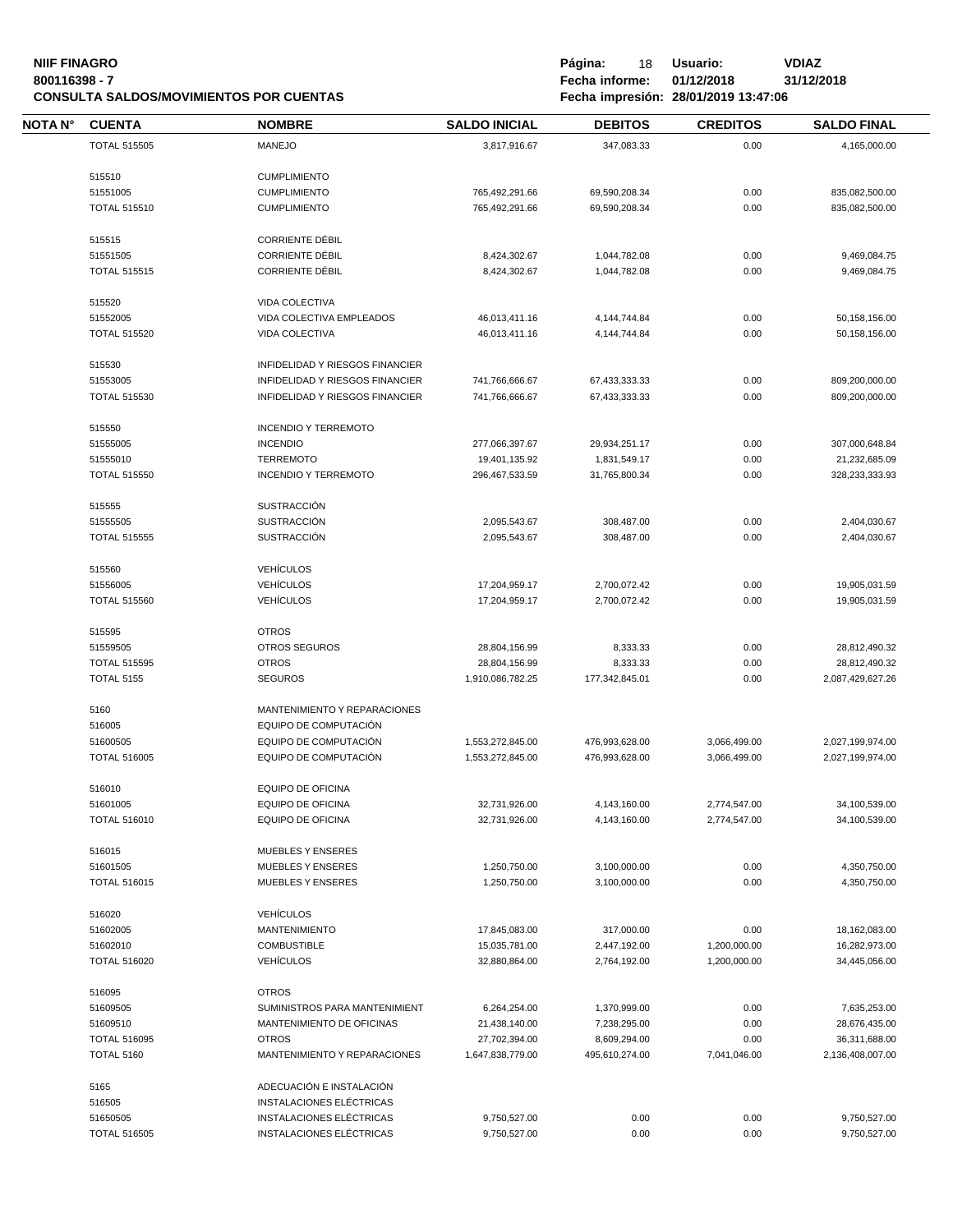## **NIIF FINAGRO P á g i n a :** 18 **U s u a r i o : VDIAZ CONSULTA SALDOS/MOVIMIENTOS POR CUENTAS**

| NOTA N° | <b>CUENTA</b>                   | <b>NOMBRE</b>                                        | <b>SALDO INICIAL</b>              | <b>DEBITOS</b>                 | <b>CREDITOS</b>      | <b>SALDO FINAL</b>                |
|---------|---------------------------------|------------------------------------------------------|-----------------------------------|--------------------------------|----------------------|-----------------------------------|
|         | <b>TOTAL 515505</b>             | <b>MANEJO</b>                                        | 3,817,916.67                      | 347,083.33                     | 0.00                 | 4,165,000.00                      |
|         |                                 |                                                      |                                   |                                |                      |                                   |
|         | 515510                          | <b>CUMPLIMIENTO</b>                                  |                                   |                                |                      |                                   |
|         | 51551005                        | <b>CUMPLIMIENTO</b>                                  | 765,492,291.66                    | 69,590,208.34                  | 0.00                 | 835,082,500.00                    |
|         | <b>TOTAL 515510</b>             | <b>CUMPLIMIENTO</b>                                  | 765,492,291.66                    | 69,590,208.34                  | 0.00                 | 835,082,500.00                    |
|         | 515515                          | <b>CORRIENTE DÉBIL</b>                               |                                   |                                |                      |                                   |
|         | 51551505                        | <b>CORRIENTE DÉBIL</b>                               | 8,424,302.67                      | 1,044,782.08                   | 0.00                 | 9.469.084.75                      |
|         | <b>TOTAL 515515</b>             | <b>CORRIENTE DÉBIL</b>                               | 8,424,302.67                      | 1,044,782.08                   | 0.00                 | 9,469,084.75                      |
|         | 515520                          | VIDA COLECTIVA                                       |                                   |                                |                      |                                   |
|         | 51552005                        | VIDA COLECTIVA EMPLEADOS                             | 46,013,411.16                     | 4,144,744.84                   | 0.00                 | 50,158,156.00                     |
|         | <b>TOTAL 515520</b>             | VIDA COLECTIVA                                       | 46,013,411.16                     | 4,144,744.84                   | 0.00                 | 50,158,156.00                     |
|         | 515530                          | INFIDELIDAD Y RIESGOS FINANCIER                      |                                   |                                |                      |                                   |
|         | 51553005                        | INFIDELIDAD Y RIESGOS FINANCIER                      | 741,766,666.67                    | 67,433,333.33                  | 0.00                 | 809,200,000.00                    |
|         | <b>TOTAL 515530</b>             | INFIDELIDAD Y RIESGOS FINANCIER                      | 741,766,666.67                    | 67,433,333.33                  | 0.00                 | 809,200,000.00                    |
|         |                                 |                                                      |                                   |                                |                      |                                   |
|         | 515550                          | <b>INCENDIO Y TERREMOTO</b>                          |                                   |                                |                      |                                   |
|         | 51555005                        | <b>INCENDIO</b>                                      | 277,066,397.67                    | 29,934,251.17                  | 0.00                 | 307,000,648.84                    |
|         | 51555010                        | <b>TERREMOTO</b>                                     | 19,401,135.92                     | 1,831,549.17                   | 0.00                 | 21,232,685.09                     |
|         | <b>TOTAL 515550</b>             | <b>INCENDIO Y TERREMOTO</b>                          | 296,467,533.59                    | 31,765,800.34                  | 0.00                 | 328,233,333.93                    |
|         | 515555                          | <b>SUSTRACCIÓN</b>                                   |                                   |                                |                      |                                   |
|         | 51555505                        | <b>SUSTRACCIÓN</b>                                   | 2,095,543.67                      | 308,487.00                     | 0.00                 | 2,404,030.67                      |
|         | <b>TOTAL 515555</b>             | <b>SUSTRACCIÓN</b>                                   | 2,095,543.67                      | 308,487.00                     | 0.00                 | 2,404,030.67                      |
|         | 515560                          | <b>VEHÍCULOS</b>                                     |                                   |                                |                      |                                   |
|         | 51556005                        | <b>VEHÍCULOS</b>                                     | 17,204,959.17                     | 2,700,072.42                   | 0.00                 | 19,905,031.59                     |
|         | <b>TOTAL 515560</b>             | <b>VEHÍCULOS</b>                                     | 17,204,959.17                     | 2,700,072.42                   | 0.00                 | 19,905,031.59                     |
|         |                                 |                                                      |                                   |                                |                      |                                   |
|         | 515595                          | <b>OTROS</b>                                         |                                   |                                |                      |                                   |
|         | 51559505<br><b>TOTAL 515595</b> | <b>OTROS SEGUROS</b>                                 | 28,804,156.99                     | 8,333.33                       | 0.00                 | 28,812,490.32                     |
|         | <b>TOTAL 5155</b>               | <b>OTROS</b><br><b>SEGUROS</b>                       | 28,804,156.99<br>1,910,086,782.25 | 8,333.33<br>177,342,845.01     | 0.00<br>0.00         | 28,812,490.32<br>2,087,429,627.26 |
|         |                                 |                                                      |                                   |                                |                      |                                   |
|         | 5160                            | MANTENIMIENTO Y REPARACIONES                         |                                   |                                |                      |                                   |
|         | 516005                          | EQUIPO DE COMPUTACIÓN                                |                                   |                                |                      |                                   |
|         | 51600505                        | EQUIPO DE COMPUTACIÓN                                | 1,553,272,845.00                  | 476,993,628.00                 | 3,066,499.00         | 2,027,199,974.00                  |
|         | <b>TOTAL 516005</b>             | EQUIPO DE COMPUTACIÓN                                | 1,553,272,845.00                  | 476,993,628.00                 | 3,066,499.00         | 2,027,199,974.00                  |
|         | 516010                          | <b>EQUIPO DE OFICINA</b>                             |                                   |                                |                      |                                   |
|         | 51601005                        | <b>EQUIPO DE OFICINA</b>                             | 32,731,926.00                     | 4,143,160.00                   | 2,774,547.00         | 34,100,539.00                     |
|         | <b>TOTAL 516010</b>             | <b>EQUIPO DE OFICINA</b>                             | 32,731,926.00                     | 4,143,160.00                   | 2,774,547.00         | 34,100,539.00                     |
|         | 516015                          | MUEBLES Y ENSERES                                    |                                   |                                |                      |                                   |
|         | 51601505                        | <b>MUEBLES Y ENSERES</b>                             | 1,250,750.00                      | 3,100,000.00                   | 0.00                 | 4,350,750.00                      |
|         | <b>TOTAL 516015</b>             | <b>MUEBLES Y ENSERES</b>                             | 1,250,750.00                      | 3,100,000.00                   | 0.00                 | 4,350,750.00                      |
|         | 516020                          | <b>VEHÍCULOS</b>                                     |                                   |                                |                      |                                   |
|         | 51602005                        | <b>MANTENIMIENTO</b>                                 | 17,845,083.00                     | 317,000.00                     | 0.00                 | 18,162,083.00                     |
|         | 51602010                        | <b>COMBUSTIBLE</b>                                   | 15,035,781.00                     | 2,447,192.00                   | 1,200,000.00         | 16,282,973.00                     |
|         | <b>TOTAL 516020</b>             | <b>VEHÍCULOS</b>                                     | 32,880,864.00                     | 2,764,192.00                   | 1,200,000.00         | 34,445,056.00                     |
|         | 516095                          | <b>OTROS</b>                                         |                                   |                                |                      |                                   |
|         | 51609505                        | SUMINISTROS PARA MANTENIMIENT                        | 6,264,254.00                      |                                | 0.00                 | 7,635,253.00                      |
|         | 51609510                        | MANTENIMIENTO DE OFICINAS                            |                                   | 1,370,999.00                   |                      |                                   |
|         | <b>TOTAL 516095</b>             | <b>OTROS</b>                                         | 21,438,140.00                     | 7,238,295.00                   | 0.00                 | 28,676,435.00                     |
|         | TOTAL 5160                      | MANTENIMIENTO Y REPARACIONES                         | 27,702,394.00<br>1,647,838,779.00 | 8,609,294.00<br>495,610,274.00 | 0.00<br>7,041,046.00 | 36,311,688.00<br>2,136,408,007.00 |
|         |                                 |                                                      |                                   |                                |                      |                                   |
|         | 5165<br>516505                  | ADECUACIÓN E INSTALACIÓN<br>INSTALACIONES ELÉCTRICAS |                                   |                                |                      |                                   |
|         | 51650505                        | INSTALACIONES ELÉCTRICAS                             |                                   |                                | 0.00                 | 9,750,527.00                      |
|         |                                 | INSTALACIONES ELÉCTRICAS                             | 9,750,527.00                      | 0.00                           |                      |                                   |
|         | <b>TOTAL 516505</b>             |                                                      | 9,750,527.00                      | 0.00                           | 0.00                 | 9,750,527.00                      |
|         |                                 |                                                      |                                   |                                |                      |                                   |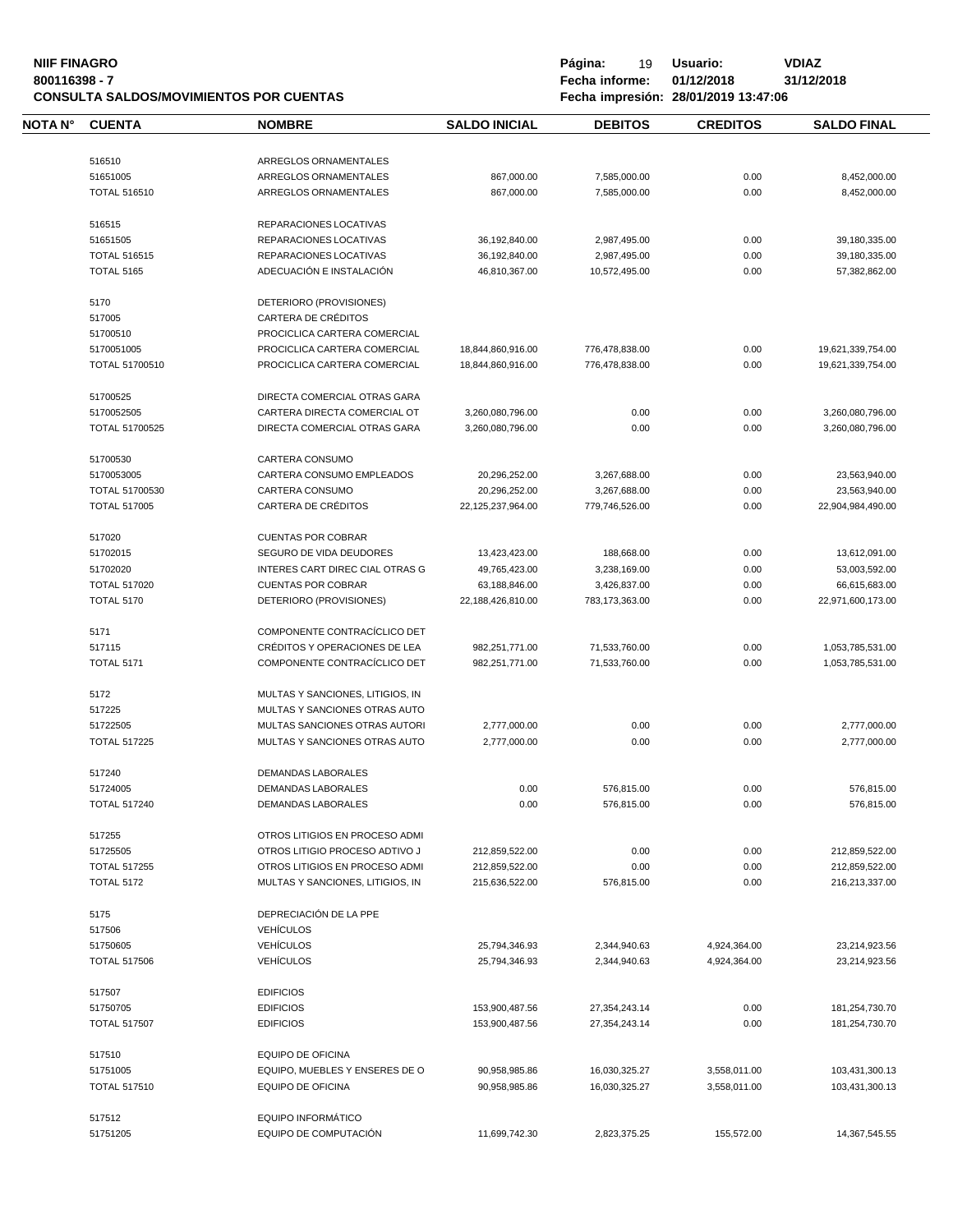# **NIIF FINAGRO P á g i n a :** 19 **U s u a r i o : VDIAZ CONSULTA SALDOS/MOVIMIENTOS POR CUENTAS**

| NOTA N° | <b>CUENTA</b>         | <b>NOMBRE</b>                                                     | <b>SALDO INICIAL</b> | <b>DEBITOS</b> | <b>CREDITOS</b> | <b>SALDO FINAL</b> |
|---------|-----------------------|-------------------------------------------------------------------|----------------------|----------------|-----------------|--------------------|
|         |                       |                                                                   |                      |                |                 |                    |
|         | 516510                | ARREGLOS ORNAMENTALES                                             |                      |                |                 |                    |
|         | 51651005              | ARREGLOS ORNAMENTALES                                             | 867,000.00           | 7,585,000.00   | 0.00            | 8,452,000.00       |
|         | <b>TOTAL 516510</b>   | ARREGLOS ORNAMENTALES                                             | 867,000.00           | 7,585,000.00   | 0.00            | 8,452,000.00       |
|         | 516515                | REPARACIONES LOCATIVAS                                            |                      |                |                 |                    |
|         | 51651505              | REPARACIONES LOCATIVAS                                            | 36,192,840.00        | 2,987,495.00   | 0.00            | 39,180,335.00      |
|         | <b>TOTAL 516515</b>   | REPARACIONES LOCATIVAS                                            | 36,192,840.00        | 2,987,495.00   | 0.00            | 39,180,335.00      |
|         | <b>TOTAL 5165</b>     | ADECUACIÓN E INSTALACIÓN                                          | 46.810.367.00        | 10,572,495.00  | 0.00            | 57,382,862.00      |
|         | 5170                  | DETERIORO (PROVISIONES)                                           |                      |                |                 |                    |
|         | 517005                | <b>CARTERA DE CRÉDITOS</b>                                        |                      |                |                 |                    |
|         | 51700510              | PROCICLICA CARTERA COMERCIAL                                      |                      |                |                 |                    |
|         | 5170051005            | PROCICLICA CARTERA COMERCIAL                                      | 18,844,860,916.00    | 776,478,838.00 | 0.00            | 19,621,339,754.00  |
|         | TOTAL 51700510        | PROCICLICA CARTERA COMERCIAL                                      | 18,844,860,916.00    | 776,478,838.00 | 0.00            | 19,621,339,754.00  |
|         |                       |                                                                   |                      |                |                 |                    |
|         | 51700525              | DIRECTA COMERCIAL OTRAS GARA                                      |                      |                |                 |                    |
|         | 5170052505            | CARTERA DIRECTA COMERCIAL OT                                      | 3,260,080,796.00     | 0.00           | 0.00            | 3,260,080,796.00   |
|         | <b>TOTAL 51700525</b> | DIRECTA COMERCIAL OTRAS GARA                                      | 3,260,080,796.00     | 0.00           | 0.00            | 3,260,080,796.00   |
|         | 51700530              | CARTERA CONSUMO                                                   |                      |                |                 |                    |
|         | 5170053005            | CARTERA CONSUMO EMPLEADOS                                         | 20,296,252.00        | 3,267,688.00   | 0.00            | 23,563,940.00      |
|         | TOTAL 51700530        | CARTERA CONSUMO                                                   | 20,296,252.00        | 3,267,688.00   | 0.00            | 23,563,940.00      |
|         | <b>TOTAL 517005</b>   | <b>CARTERA DE CRÉDITOS</b>                                        | 22,125,237,964.00    | 779,746,526.00 | 0.00            | 22,904,984,490.00  |
|         |                       |                                                                   |                      |                |                 |                    |
|         | 517020                | <b>CUENTAS POR COBRAR</b>                                         |                      |                |                 |                    |
|         | 51702015              | SEGURO DE VIDA DEUDORES                                           | 13,423,423.00        | 188,668.00     | 0.00            | 13,612,091.00      |
|         | 51702020              | INTERES CART DIREC CIAL OTRAS G                                   | 49,765,423.00        | 3,238,169.00   | 0.00            | 53,003,592.00      |
|         | <b>TOTAL 517020</b>   | <b>CUENTAS POR COBRAR</b>                                         | 63,188,846.00        | 3,426,837.00   | 0.00            | 66,615,683.00      |
|         | <b>TOTAL 5170</b>     | DETERIORO (PROVISIONES)                                           | 22,188,426,810.00    | 783,173,363.00 | 0.00            | 22,971,600,173.00  |
|         | 5171                  | COMPONENTE CONTRACÍCLICO DET                                      |                      |                |                 |                    |
|         | 517115                | CRÉDITOS Y OPERACIONES DE LEA                                     | 982,251,771.00       | 71,533,760.00  | 0.00            | 1,053,785,531.00   |
|         | <b>TOTAL 5171</b>     | COMPONENTE CONTRACÍCLICO DET                                      | 982,251,771.00       | 71,533,760.00  | 0.00            | 1,053,785,531.00   |
|         |                       |                                                                   |                      |                |                 |                    |
|         | 5172<br>517225        | MULTAS Y SANCIONES, LITIGIOS, IN<br>MULTAS Y SANCIONES OTRAS AUTO |                      |                |                 |                    |
|         | 51722505              | MULTAS SANCIONES OTRAS AUTORI                                     | 2,777,000.00         | 0.00           | 0.00            | 2,777,000.00       |
|         | <b>TOTAL 517225</b>   | MULTAS Y SANCIONES OTRAS AUTO                                     | 2,777,000.00         | 0.00           | 0.00            | 2,777,000.00       |
|         |                       |                                                                   |                      |                |                 |                    |
|         | 517240                | DEMANDAS LABORALES                                                |                      |                |                 |                    |
|         | 51724005              | DEMANDAS LABORALES                                                | 0.00                 | 576,815.00     | 0.00            | 576,815.00         |
|         | <b>TOTAL 517240</b>   | DEMANDAS LABORALES                                                | 0.00                 | 576,815.00     | 0.00            | 576,815.00         |
|         | 517255                | OTROS LITIGIOS EN PROCESO ADMI                                    |                      |                |                 |                    |
|         | 51725505              | OTROS LITIGIO PROCESO ADTIVO J                                    | 212,859,522.00       | 0.00           | 0.00            | 212,859,522.00     |
|         | <b>TOTAL 517255</b>   | OTROS LITIGIOS EN PROCESO ADMI                                    | 212,859,522.00       | 0.00           | 0.00            | 212,859,522.00     |
|         | <b>TOTAL 5172</b>     | MULTAS Y SANCIONES, LITIGIOS, IN                                  | 215,636,522.00       | 576,815.00     | 0.00            | 216,213,337.00     |
|         |                       |                                                                   |                      |                |                 |                    |
|         | 5175                  | DEPRECIACIÓN DE LA PPE                                            |                      |                |                 |                    |
|         | 517506                | <b>VEHÍCULOS</b>                                                  |                      |                |                 |                    |
|         | 51750605              | <b>VEHÍCULOS</b>                                                  | 25,794,346.93        | 2,344,940.63   | 4,924,364.00    | 23,214,923.56      |
|         | <b>TOTAL 517506</b>   | <b>VEHÍCULOS</b>                                                  | 25,794,346.93        | 2,344,940.63   | 4,924,364.00    | 23,214,923.56      |
|         | 517507                | <b>EDIFICIOS</b>                                                  |                      |                |                 |                    |
|         | 51750705              | <b>EDIFICIOS</b>                                                  | 153,900,487.56       | 27,354,243.14  | 0.00            | 181,254,730.70     |
|         | <b>TOTAL 517507</b>   | <b>EDIFICIOS</b>                                                  | 153,900,487.56       | 27,354,243.14  | 0.00            | 181,254,730.70     |
|         |                       |                                                                   |                      |                |                 |                    |
|         | 517510<br>51751005    | EQUIPO DE OFICINA                                                 |                      |                |                 |                    |
|         |                       | EQUIPO, MUEBLES Y ENSERES DE O                                    | 90,958,985.86        | 16,030,325.27  | 3,558,011.00    | 103,431,300.13     |
|         |                       |                                                                   |                      |                |                 |                    |
|         | <b>TOTAL 517510</b>   | EQUIPO DE OFICINA                                                 | 90,958,985.86        | 16,030,325.27  | 3,558,011.00    | 103,431,300.13     |
|         | 517512                | <b>EQUIPO INFORMÁTICO</b>                                         |                      |                |                 |                    |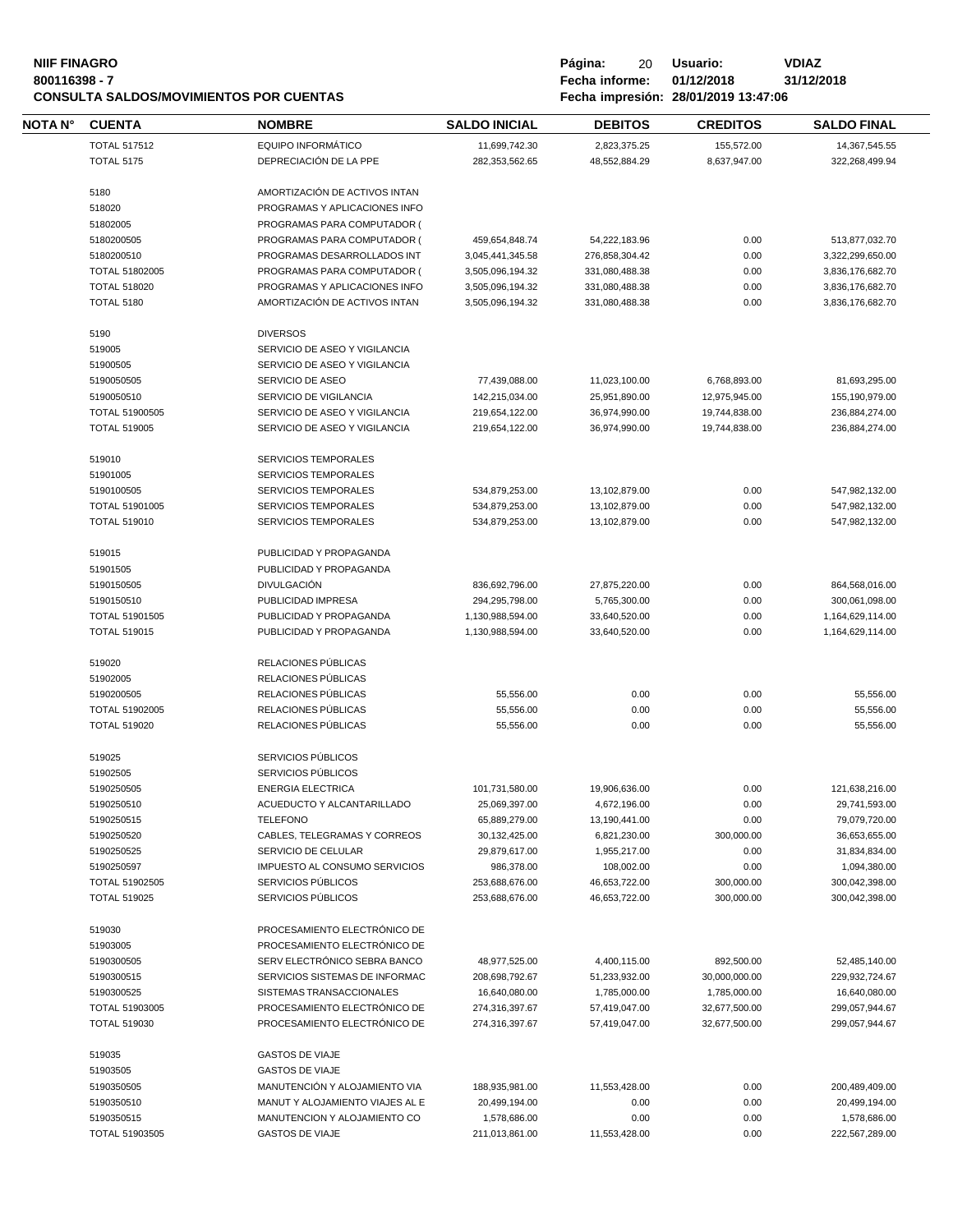| <b>NIIF FINAGRO</b><br>800116398 - 7<br><b>CONSULTA SALDOS/MOVIMIENTOS POR CUENTAS</b> |                       |                                            | Página:<br>20<br>Fecha informe: | Usuario:<br>01/12/2018<br>Fecha impresión: 28/01/2019 13:47:06 | <b>VDIAZ</b><br>31/12/2018 |                    |
|----------------------------------------------------------------------------------------|-----------------------|--------------------------------------------|---------------------------------|----------------------------------------------------------------|----------------------------|--------------------|
| <b>NOTA N°</b>                                                                         | <b>CUENTA</b>         | <b>NOMBRE</b>                              | <b>SALDO INICIAL</b>            | <b>DEBITOS</b>                                                 | <b>CREDITOS</b>            | <b>SALDO FINAL</b> |
|                                                                                        | <b>TOTAL 517512</b>   | <b>EQUIPO INFORMÁTICO</b>                  | 11,699,742.30                   | 2,823,375.25                                                   | 155,572.00                 | 14,367,545.55      |
|                                                                                        | <b>TOTAL 5175</b>     | DEPRECIACIÓN DE LA PPE                     | 282,353,562.65                  | 48,552,884.29                                                  | 8,637,947.00               | 322,268,499.94     |
|                                                                                        | 5180                  | AMORTIZACIÓN DE ACTIVOS INTAN              |                                 |                                                                |                            |                    |
|                                                                                        | 518020                | PROGRAMAS Y APLICACIONES INFO              |                                 |                                                                |                            |                    |
|                                                                                        | 51802005              | PROGRAMAS PARA COMPUTADOR (                |                                 |                                                                |                            |                    |
|                                                                                        | 5180200505            | PROGRAMAS PARA COMPUTADOR (                | 459,654,848.74                  | 54,222,183.96                                                  | 0.00                       | 513,877,032.70     |
|                                                                                        | 5180200510            | PROGRAMAS DESARROLLADOS INT                | 3,045,441,345.58                | 276,858,304.42                                                 | 0.00                       | 3,322,299,650.00   |
|                                                                                        | TOTAL 51802005        | PROGRAMAS PARA COMPUTADOR (                | 3,505,096,194.32                | 331,080,488.38                                                 | 0.00                       | 3,836,176,682.70   |
|                                                                                        | <b>TOTAL 518020</b>   | PROGRAMAS Y APLICACIONES INFO              | 3,505,096,194.32                | 331,080,488.38                                                 | 0.00                       | 3,836,176,682.70   |
|                                                                                        | <b>TOTAL 5180</b>     | AMORTIZACIÓN DE ACTIVOS INTAN              | 3,505,096,194.32                | 331,080,488.38                                                 | 0.00                       | 3,836,176,682.70   |
|                                                                                        |                       |                                            |                                 |                                                                |                            |                    |
|                                                                                        | 5190                  | <b>DIVERSOS</b>                            |                                 |                                                                |                            |                    |
|                                                                                        | 519005                | SERVICIO DE ASEO Y VIGILANCIA              |                                 |                                                                |                            |                    |
|                                                                                        | 51900505              | SERVICIO DE ASEO Y VIGILANCIA              |                                 |                                                                |                            |                    |
|                                                                                        | 5190050505            | SERVICIO DE ASEO                           | 77,439,088.00                   | 11,023,100.00                                                  | 6,768,893.00               | 81,693,295.00      |
|                                                                                        | 5190050510            | SERVICIO DE VIGILANCIA                     | 142,215,034.00                  | 25,951,890.00                                                  | 12,975,945.00              | 155,190,979.00     |
|                                                                                        | <b>TOTAL 51900505</b> | SERVICIO DE ASEO Y VIGILANCIA              | 219,654,122.00                  | 36,974,990.00                                                  | 19,744,838.00              | 236,884,274.00     |
|                                                                                        | <b>TOTAL 519005</b>   | SERVICIO DE ASEO Y VIGILANCIA              | 219,654,122.00                  | 36,974,990.00                                                  | 19,744,838.00              | 236,884,274.00     |
|                                                                                        | 519010                | <b>SERVICIOS TEMPORALES</b>                |                                 |                                                                |                            |                    |
|                                                                                        | 51901005              | <b>SERVICIOS TEMPORALES</b>                |                                 |                                                                |                            |                    |
|                                                                                        | 5190100505            | <b>SERVICIOS TEMPORALES</b>                | 534,879,253.00                  | 13,102,879.00                                                  | 0.00                       | 547,982,132.00     |
|                                                                                        | <b>TOTAL 51901005</b> | <b>SERVICIOS TEMPORALES</b>                | 534,879,253.00                  | 13,102,879.00                                                  | 0.00                       | 547,982,132.00     |
|                                                                                        | <b>TOTAL 519010</b>   | <b>SERVICIOS TEMPORALES</b>                | 534,879,253.00                  | 13,102,879.00                                                  | 0.00                       | 547,982,132.00     |
|                                                                                        | 519015                | PUBLICIDAD Y PROPAGANDA                    |                                 |                                                                |                            |                    |
|                                                                                        | 51901505              | PUBLICIDAD Y PROPAGANDA                    |                                 |                                                                |                            |                    |
|                                                                                        | 5190150505            | <b>DIVULGACIÓN</b>                         | 836,692,796.00                  | 27,875,220.00                                                  | 0.00                       | 864,568,016.00     |
|                                                                                        | 5190150510            | PUBLICIDAD IMPRESA                         | 294,295,798.00                  | 5,765,300.00                                                   | 0.00                       | 300,061,098.00     |
|                                                                                        | <b>TOTAL 51901505</b> | PUBLICIDAD Y PROPAGANDA                    | 1,130,988,594.00                | 33,640,520.00                                                  | 0.00                       | 1,164,629,114.00   |
|                                                                                        | <b>TOTAL 519015</b>   | PUBLICIDAD Y PROPAGANDA                    | 1,130,988,594.00                | 33,640,520.00                                                  | 0.00                       | 1,164,629,114.00   |
|                                                                                        |                       |                                            |                                 |                                                                |                            |                    |
|                                                                                        | 519020                | RELACIONES PÚBLICAS                        |                                 |                                                                |                            |                    |
|                                                                                        | 51902005              | RELACIONES PÚBLICAS<br>RELACIONES PÚBLICAS |                                 |                                                                |                            |                    |
|                                                                                        | 5190200505            |                                            | 55,556.00                       | 0.00                                                           | 0.00                       | 55,556.00          |
|                                                                                        | <b>TOTAL 51902005</b> | RELACIONES PÚBLICAS                        | 55,556.00                       | 0.00                                                           | 0.00                       | 55,556.00          |
|                                                                                        | <b>TOTAL 519020</b>   | RELACIONES PÚBLICAS                        | 55,556.00                       | 0.00                                                           | 0.00                       | 55,556.00          |
|                                                                                        | 519025                | SERVICIOS PÚBLICOS                         |                                 |                                                                |                            |                    |
|                                                                                        | 51902505              | SERVICIOS PÚBLICOS                         |                                 |                                                                |                            |                    |
|                                                                                        | 5190250505            | <b>ENERGIA ELECTRICA</b>                   | 101,731,580.00                  | 19,906,636.00                                                  | 0.00                       | 121,638,216.00     |
|                                                                                        | 5190250510            | ACUEDUCTO Y ALCANTARILLADO                 | 25,069,397.00                   | 4,672,196.00                                                   | 0.00                       | 29,741,593.00      |
|                                                                                        | 5190250515            | <b>TELEFONO</b>                            | 65,889,279.00                   | 13,190,441.00                                                  | 0.00                       | 79,079,720.00      |
|                                                                                        | 5190250520            | CABLES. TELEGRAMAS Y CORREOS               | 30,132,425.00                   | 6,821,230.00                                                   | 300,000.00                 | 36,653,655.00      |
|                                                                                        | 5190250525            | SERVICIO DE CELULAR                        | 29,879,617.00                   | 1,955,217.00                                                   | 0.00                       | 31,834,834.00      |
|                                                                                        | 5190250597            | IMPUESTO AL CONSUMO SERVICIOS              | 986,378.00                      | 108,002.00                                                     | 0.00                       | 1,094,380.00       |
|                                                                                        | TOTAL 51902505        | SERVICIOS PÚBLICOS                         | 253,688,676.00                  | 46,653,722.00                                                  | 300,000.00                 | 300,042,398.00     |
|                                                                                        | <b>TOTAL 519025</b>   | SERVICIOS PÚBLICOS                         | 253,688,676.00                  | 46,653,722.00                                                  | 300,000.00                 | 300,042,398.00     |
|                                                                                        | 519030                | PROCESAMIENTO ELECTRÓNICO DE               |                                 |                                                                |                            |                    |
|                                                                                        | 51903005              | PROCESAMIENTO ELECTRÓNICO DE               |                                 |                                                                |                            |                    |
|                                                                                        | 5190300505            | SERV ELECTRÓNICO SEBRA BANCO               | 48,977,525.00                   | 4,400,115.00                                                   | 892,500.00                 | 52,485,140.00      |
|                                                                                        | 5190300515            | SERVICIOS SISTEMAS DE INFORMAC             | 208,698,792.67                  | 51,233,932.00                                                  | 30,000,000.00              | 229,932,724.67     |
|                                                                                        | 5190300525            | SISTEMAS TRANSACCIONALES                   | 16,640,080.00                   | 1,785,000.00                                                   | 1,785,000.00               | 16,640,080.00      |
|                                                                                        | TOTAL 51903005        | PROCESAMIENTO ELECTRÓNICO DE               | 274,316,397.67                  | 57,419,047.00                                                  | 32,677,500.00              | 299,057,944.67     |
|                                                                                        | <b>TOTAL 519030</b>   | PROCESAMIENTO ELECTRÓNICO DE               | 274,316,397.67                  | 57,419,047.00                                                  | 32,677,500.00              | 299,057,944.67     |
|                                                                                        |                       |                                            |                                 |                                                                |                            |                    |
|                                                                                        | 519035                | <b>GASTOS DE VIAJE</b>                     |                                 |                                                                |                            |                    |
|                                                                                        | 51903505              | <b>GASTOS DE VIAJE</b>                     |                                 |                                                                |                            |                    |
|                                                                                        | 5190350505            | MANUTENCIÓN Y ALOJAMIENTO VIA              | 188,935,981.00                  | 11,553,428.00                                                  | 0.00                       | 200,489,409.00     |
|                                                                                        | 5190350510            | MANUT Y ALOJAMIENTO VIAJES AL E            | 20,499,194.00                   | 0.00                                                           | 0.00                       | 20,499,194.00      |
|                                                                                        | 5190350515            | MANUTENCION Y ALOJAMIENTO CO               | 1,578,686.00                    | 0.00                                                           | 0.00                       | 1,578,686.00       |
|                                                                                        | TOTAL 51903505        | <b>GASTOS DE VIAJE</b>                     | 211,013,861.00                  | 11,553,428.00                                                  | 0.00                       | 222,567,289.00     |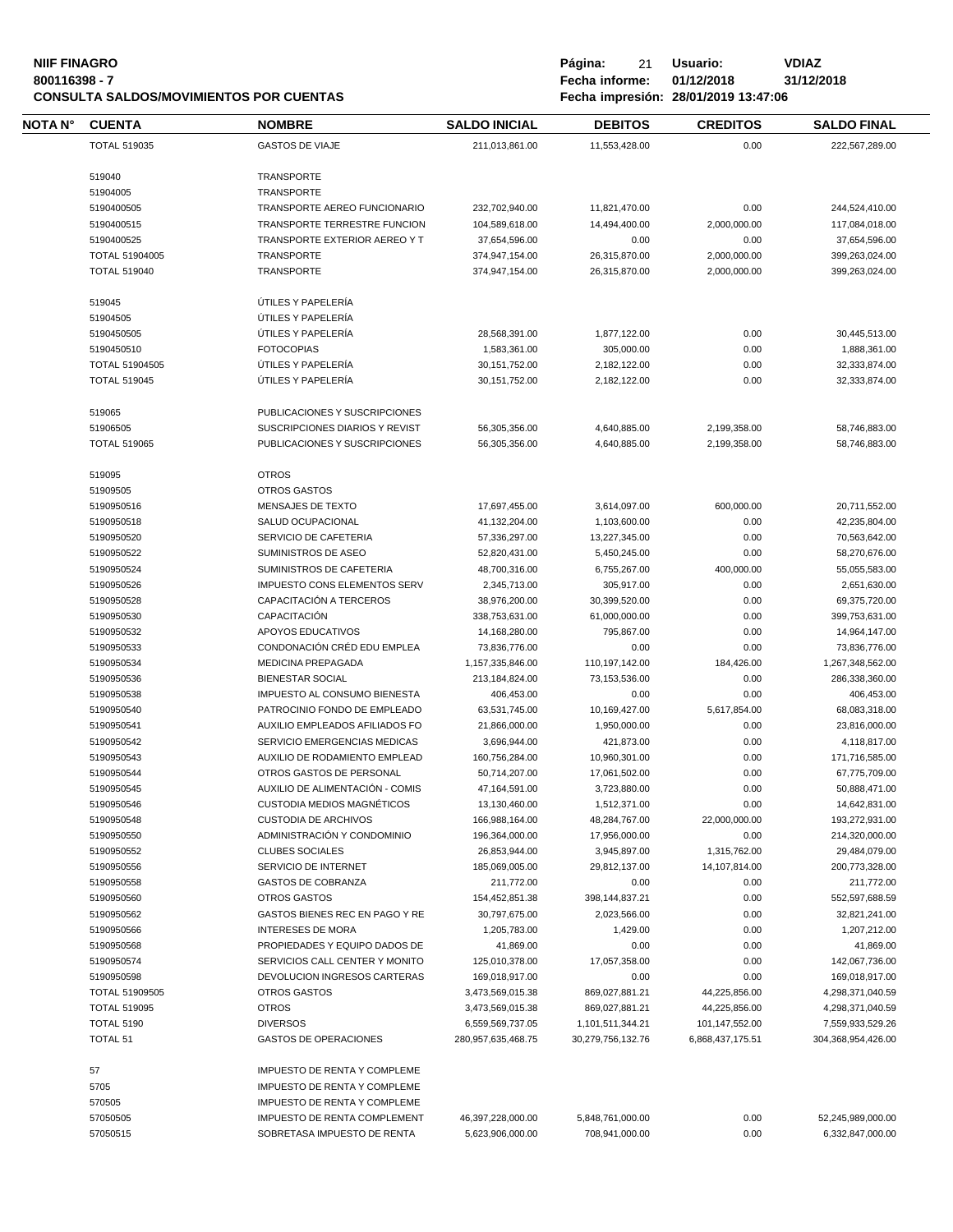# **NIIF FINAGRO P á g i n a :** 21 **U s u a r i o : VDIAZ CONSULTA SALDOS/MOVIMIENTOS POR CUENTAS**

| <b>NOTA N°</b> | <b>CUENTA</b>                        | <b>NOMBRE</b>                                   | <b>SALDO INICIAL</b>                   | <b>DEBITOS</b>                        | <b>CREDITOS</b>                    | <b>SALDO FINAL</b>                     |
|----------------|--------------------------------------|-------------------------------------------------|----------------------------------------|---------------------------------------|------------------------------------|----------------------------------------|
|                | <b>TOTAL 519035</b>                  | <b>GASTOS DE VIAJE</b>                          | 211,013,861.00                         | 11,553,428.00                         | 0.00                               | 222,567,289.00                         |
|                | 519040                               | <b>TRANSPORTE</b>                               |                                        |                                       |                                    |                                        |
|                | 51904005                             | TRANSPORTE                                      |                                        |                                       |                                    |                                        |
|                | 5190400505                           | TRANSPORTE AEREO FUNCIONARIO                    | 232,702,940.00                         | 11,821,470.00                         | 0.00                               | 244,524,410.00                         |
|                | 5190400515                           | TRANSPORTE TERRESTRE FUNCION                    | 104,589,618.00                         | 14,494,400.00                         | 2,000,000.00                       | 117,084,018.00                         |
|                | 5190400525                           | TRANSPORTE EXTERIOR AEREO Y T                   | 37,654,596.00                          | 0.00                                  | 0.00                               | 37,654,596.00                          |
|                | TOTAL 51904005                       | TRANSPORTE                                      | 374,947,154.00                         | 26,315,870.00                         | 2,000,000.00                       | 399,263,024.00                         |
|                | <b>TOTAL 519040</b>                  | TRANSPORTE                                      | 374,947,154.00                         | 26,315,870.00                         | 2,000,000.00                       | 399,263,024.00                         |
|                |                                      |                                                 |                                        |                                       |                                    |                                        |
|                | 519045<br>51904505                   | ÚTILES Y PAPELERÍA<br>ÚTILES Y PAPELERÍA        |                                        |                                       |                                    |                                        |
|                | 5190450505                           | ÚTILES Y PAPELERÍA                              | 28,568,391.00                          | 1,877,122.00                          | 0.00                               | 30,445,513.00                          |
|                | 5190450510                           | <b>FOTOCOPIAS</b>                               | 1,583,361.00                           | 305,000.00                            | 0.00                               | 1,888,361.00                           |
|                | <b>TOTAL 51904505</b>                | ÚTILES Y PAPELERÍA                              | 30, 151, 752.00                        | 2,182,122.00                          | 0.00                               | 32,333,874.00                          |
|                | <b>TOTAL 519045</b>                  | ÚTILES Y PAPELERÍA                              | 30,151,752.00                          | 2,182,122.00                          | 0.00                               | 32,333,874.00                          |
|                |                                      |                                                 |                                        |                                       |                                    |                                        |
|                | 519065                               | PUBLICACIONES Y SUSCRIPCIONES                   |                                        |                                       |                                    |                                        |
|                | 51906505                             | SUSCRIPCIONES DIARIOS Y REVIST                  | 56,305,356.00                          | 4.640.885.00                          | 2.199.358.00                       | 58,746,883.00                          |
|                | <b>TOTAL 519065</b>                  | PUBLICACIONES Y SUSCRIPCIONES                   | 56,305,356.00                          | 4,640,885.00                          | 2,199,358.00                       | 58,746,883.00                          |
|                | 519095                               | <b>OTROS</b>                                    |                                        |                                       |                                    |                                        |
|                | 51909505                             | <b>OTROS GASTOS</b>                             |                                        |                                       |                                    |                                        |
|                | 5190950516                           | <b>MENSAJES DE TEXTO</b>                        | 17,697,455.00                          | 3,614,097.00                          | 600,000.00                         | 20,711,552.00                          |
|                | 5190950518                           | SALUD OCUPACIONAL                               | 41,132,204.00                          | 1.103.600.00                          | 0.00                               | 42.235.804.00                          |
|                | 5190950520                           | SERVICIO DE CAFETERIA                           | 57,336,297.00                          | 13,227,345.00                         | 0.00                               | 70,563,642.00                          |
|                | 5190950522                           | SUMINISTROS DE ASEO                             | 52,820,431.00                          | 5,450,245.00                          | 0.00                               | 58,270,676.00                          |
|                | 5190950524                           | SUMINISTROS DE CAFETERIA                        | 48,700,316.00                          | 6,755,267.00                          | 400,000.00                         | 55,055,583.00                          |
|                | 5190950526                           | <b>IMPUESTO CONS ELEMENTOS SERV</b>             | 2,345,713.00                           | 305,917.00                            | 0.00                               | 2,651,630.00                           |
|                | 5190950528                           | CAPACITACIÓN A TERCEROS                         | 38,976,200.00                          | 30,399,520.00                         | 0.00                               | 69,375,720.00                          |
|                | 5190950530                           | CAPACITACIÓN                                    | 338,753,631.00                         | 61,000,000.00                         | 0.00                               | 399,753,631.00                         |
|                | 5190950532                           | APOYOS EDUCATIVOS                               | 14,168,280.00                          | 795,867.00                            | 0.00                               | 14,964,147.00                          |
|                | 5190950533                           | CONDONACIÓN CRÉD EDU EMPLEA                     | 73,836,776.00                          | 0.00                                  | 0.00                               | 73,836,776.00                          |
|                | 5190950534                           | <b>MEDICINA PREPAGADA</b>                       | 1,157,335,846.00                       | 110,197,142.00                        | 184,426.00                         | 1,267,348,562.00                       |
|                | 5190950536                           | <b>BIENESTAR SOCIAL</b>                         | 213,184,824.00                         | 73,153,536.00                         | 0.00                               | 286,338,360.00                         |
|                | 5190950538                           | IMPUESTO AL CONSUMO BIENESTA                    | 406,453.00                             | 0.00                                  | 0.00                               | 406,453.00                             |
|                | 5190950540                           | PATROCINIO FONDO DE EMPLEADO                    | 63,531,745.00                          | 10,169,427.00                         | 5,617,854.00                       | 68,083,318.00                          |
|                | 5190950541                           | AUXILIO EMPLEADOS AFILIADOS FO                  | 21,866,000.00                          | 1,950,000.00                          | 0.00                               | 23,816,000.00                          |
|                | 5190950542                           | SERVICIO EMERGENCIAS MEDICAS                    | 3,696,944.00                           | 421,873.00                            | 0.00                               | 4.118.817.00                           |
|                | 5190950543                           | AUXILIO DE RODAMIENTO EMPLEAD                   | 160,756,284.00                         | 10,960,301.00                         | 0.00                               | 171,716,585.00                         |
|                | 5190950544                           | OTROS GASTOS DE PERSONAL                        | 50,714,207.00                          | 17,061,502.00                         | 0.00                               | 67,775,709.00                          |
|                | 5190950545                           | AUXILIO DE ALIMENTACIÓN - COMIS                 | 47,164,591.00                          | 3,723,880.00                          | 0.00                               | 50,888,471.00                          |
|                | 5190950546                           | <b>CUSTODIA MEDIOS MAGNÉTICOS</b>               | 13,130,460.00                          | 1,512,371.00                          | 0.00                               | 14,642,831.00                          |
|                | 5190950548                           | <b>CUSTODIA DE ARCHIVOS</b>                     | 166,988,164.00                         | 48,284,767.00                         | 22,000,000.00                      | 193,272,931.00                         |
|                | 5190950550                           | ADMINISTRACIÓN Y CONDOMINIO                     | 196,364,000.00                         | 17,956,000.00                         | 0.00                               | 214,320,000.00                         |
|                | 5190950552                           | <b>CLUBES SOCIALES</b>                          | 26,853,944.00                          | 3,945,897.00                          | 1,315,762.00                       | 29,484,079.00                          |
|                | 5190950556                           | SERVICIO DE INTERNET                            | 185,069,005.00                         | 29,812,137.00                         | 14,107,814.00                      | 200,773,328.00                         |
|                | 5190950558                           | GASTOS DE COBRANZA                              | 211,772.00                             | 0.00                                  | 0.00                               | 211,772.00                             |
|                | 5190950560                           | <b>OTROS GASTOS</b>                             | 154,452,851.38                         | 398,144,837.21                        | 0.00                               | 552,597,688.59                         |
|                | 5190950562                           | GASTOS BIENES REC EN PAGO Y RE                  | 30,797,675.00                          | 2,023,566.00                          | 0.00                               | 32,821,241.00                          |
|                | 5190950566                           | <b>INTERESES DE MORA</b>                        | 1,205,783.00                           | 1,429.00                              | 0.00                               | 1,207,212.00                           |
|                | 5190950568                           | PROPIEDADES Y EQUIPO DADOS DE                   | 41,869.00                              | 0.00                                  | 0.00                               | 41,869.00                              |
|                | 5190950574                           | SERVICIOS CALL CENTER Y MONITO                  |                                        | 17,057,358.00                         | 0.00                               | 142,067,736.00                         |
|                | 5190950598                           | <b>DEVOLUCION INGRESOS CARTERAS</b>             | 125,010,378.00<br>169,018,917.00       | 0.00                                  | 0.00                               | 169,018,917.00                         |
|                |                                      |                                                 |                                        |                                       | 44,225,856.00                      |                                        |
|                | TOTAL 51909505                       | OTROS GASTOS                                    | 3,473,569,015.38                       | 869,027,881.21                        |                                    | 4,298,371,040.59                       |
|                | <b>TOTAL 519095</b>                  | <b>OTROS</b>                                    | 3,473,569,015.38                       | 869,027,881.21                        | 44,225,856.00                      | 4,298,371,040.59                       |
|                | <b>TOTAL 5190</b><br><b>TOTAL 51</b> | <b>DIVERSOS</b><br><b>GASTOS DE OPERACIONES</b> | 6,559,569,737.05<br>280,957,635,468.75 | 1,101,511,344.21<br>30,279,756,132.76 | 101,147,552.00<br>6,868,437,175.51 | 7,559,933,529.26<br>304,368,954,426.00 |
|                |                                      |                                                 |                                        |                                       |                                    |                                        |
|                | 57                                   | IMPUESTO DE RENTA Y COMPLEME                    |                                        |                                       |                                    |                                        |
|                | 5705                                 | <b>IMPUESTO DE RENTA Y COMPLEME</b>             |                                        |                                       |                                    |                                        |
|                | 570505                               | <b>IMPUESTO DE RENTA Y COMPLEME</b>             |                                        |                                       |                                    |                                        |
|                | 57050505                             | IMPUESTO DE RENTA COMPLEMENT                    | 46,397,228,000.00                      | 5,848,761,000.00                      | 0.00                               | 52,245,989,000.00                      |
|                | 57050515                             | SOBRETASA IMPUESTO DE RENTA                     | 5,623,906,000.00                       | 708,941,000.00                        | 0.00                               | 6,332,847,000.00                       |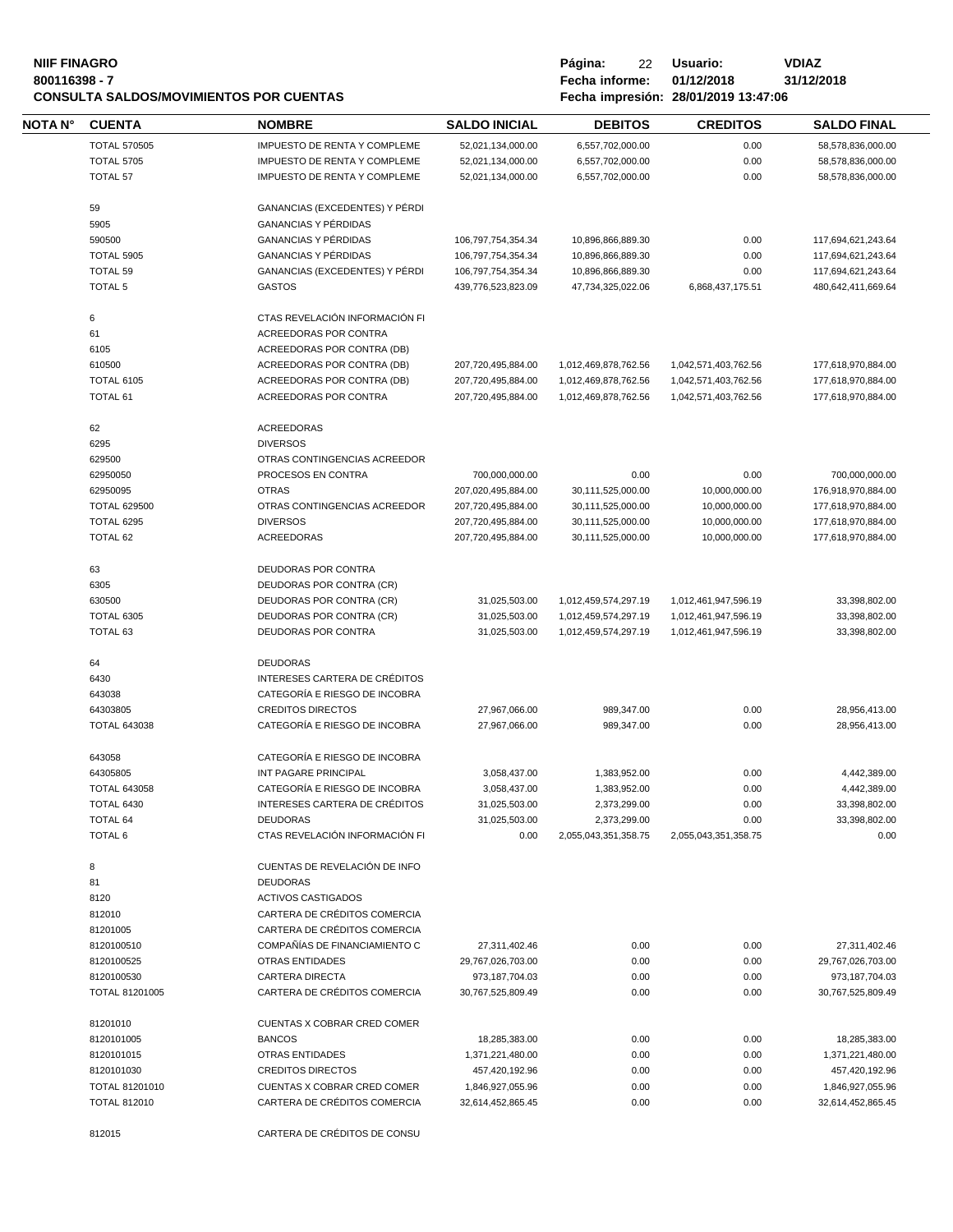#### **NIIF FINAGRO P á g i n a :** 22 **U s u a r i o : VDIAZ 800116398 - 7 Fecha informe: 01/12/2018 31/12/2018 CONSULTA SALDOS/MOVIMIENTOS POR CUENTAS**

| Página:        | 22. | Usuario:                             | <b>VDIA</b> |  |
|----------------|-----|--------------------------------------|-------------|--|
| Fecha informe: |     | 01/12/2018                           | 31/12       |  |
|                |     | Fecha impresión: 28/01/2019 13:47:06 |             |  |

| NOTA N° | <b>CUENTA</b>       | <b>NOMBRE</b>                       | <b>SALDO INICIAL</b> | <b>DEBITOS</b>       | <b>CREDITOS</b>      | <b>SALDO FINAL</b> |
|---------|---------------------|-------------------------------------|----------------------|----------------------|----------------------|--------------------|
|         | <b>TOTAL 570505</b> | <b>IMPUESTO DE RENTA Y COMPLEME</b> | 52,021,134,000.00    | 6,557,702,000.00     | 0.00                 | 58,578,836,000.00  |
|         | <b>TOTAL 5705</b>   | <b>IMPUESTO DE RENTA Y COMPLEME</b> | 52,021,134,000.00    | 6,557,702,000.00     | 0.00                 | 58,578,836,000.00  |
|         | <b>TOTAL 57</b>     | <b>IMPUESTO DE RENTA Y COMPLEME</b> | 52,021,134,000.00    | 6,557,702,000.00     | 0.00                 | 58,578,836,000.00  |
|         | 59                  | GANANCIAS (EXCEDENTES) Y PÉRDI      |                      |                      |                      |                    |
|         | 5905                | <b>GANANCIAS Y PÉRDIDAS</b>         |                      |                      |                      |                    |
|         |                     |                                     |                      |                      |                      |                    |
|         | 590500              | <b>GANANCIAS Y PÉRDIDAS</b>         | 106,797,754,354.34   | 10,896,866,889.30    | 0.00                 | 117,694,621,243.64 |
|         | <b>TOTAL 5905</b>   | <b>GANANCIAS Y PÉRDIDAS</b>         | 106,797,754,354.34   | 10,896,866,889.30    | 0.00                 | 117,694,621,243.64 |
|         | <b>TOTAL 59</b>     | GANANCIAS (EXCEDENTES) Y PÉRDI      | 106,797,754,354.34   | 10,896,866,889.30    | 0.00                 | 117,694,621,243.64 |
|         | <b>TOTAL 5</b>      | <b>GASTOS</b>                       | 439,776,523,823.09   | 47,734,325,022.06    | 6,868,437,175.51     | 480,642,411,669.64 |
|         | 6                   | CTAS REVELACIÓN INFORMACIÓN FI      |                      |                      |                      |                    |
|         | 61                  | <b>ACREEDORAS POR CONTRA</b>        |                      |                      |                      |                    |
|         | 6105                | ACREEDORAS POR CONTRA (DB)          |                      |                      |                      |                    |
|         | 610500              | ACREEDORAS POR CONTRA (DB)          | 207,720,495,884.00   | 1,012,469,878,762.56 | 1,042,571,403,762.56 | 177,618,970,884.00 |
|         | <b>TOTAL 6105</b>   | ACREEDORAS POR CONTRA (DB)          |                      |                      |                      |                    |
|         |                     |                                     | 207,720,495,884.00   | 1,012,469,878,762.56 | 1,042,571,403,762.56 | 177,618,970,884.00 |
|         | <b>TOTAL 61</b>     | <b>ACREEDORAS POR CONTRA</b>        | 207,720,495,884.00   | 1,012,469,878,762.56 | 1,042,571,403,762.56 | 177,618,970,884.00 |
|         | 62                  | <b>ACREEDORAS</b>                   |                      |                      |                      |                    |
|         | 6295                | <b>DIVERSOS</b>                     |                      |                      |                      |                    |
|         | 629500              | OTRAS CONTINGENCIAS ACREEDOR        |                      |                      |                      |                    |
|         | 62950050            | PROCESOS EN CONTRA                  | 700,000,000.00       | 0.00                 | 0.00                 | 700,000,000.00     |
|         | 62950095            | <b>OTRAS</b>                        | 207,020,495,884.00   | 30,111,525,000.00    | 10,000,000.00        | 176,918,970,884.00 |
|         | <b>TOTAL 629500</b> | OTRAS CONTINGENCIAS ACREEDOR        | 207,720,495,884.00   | 30,111,525,000.00    | 10,000,000.00        | 177,618,970,884.00 |
|         |                     | <b>DIVERSOS</b>                     |                      |                      |                      |                    |
|         | TOTAL 6295          |                                     | 207,720,495,884.00   | 30,111,525,000.00    | 10,000,000.00        | 177,618,970,884.00 |
|         | TOTAL 62            | <b>ACREEDORAS</b>                   | 207,720,495,884.00   | 30,111,525,000.00    | 10,000,000.00        | 177,618,970,884.00 |
|         | 63                  | DEUDORAS POR CONTRA                 |                      |                      |                      |                    |
|         | 6305                | DEUDORAS POR CONTRA (CR)            |                      |                      |                      |                    |
|         | 630500              | DEUDORAS POR CONTRA (CR)            | 31,025,503.00        | 1,012,459,574,297.19 | 1,012,461,947,596.19 | 33,398,802.00      |
|         | <b>TOTAL 6305</b>   | DEUDORAS POR CONTRA (CR)            | 31,025,503.00        | 1,012,459,574,297.19 | 1,012,461,947,596.19 | 33,398,802.00      |
|         | TOTAL 63            | DEUDORAS POR CONTRA                 | 31,025,503.00        | 1,012,459,574,297.19 | 1,012,461,947,596.19 | 33,398,802.00      |
|         |                     |                                     |                      |                      |                      |                    |
|         | 64                  | <b>DEUDORAS</b>                     |                      |                      |                      |                    |
|         | 6430                | INTERESES CARTERA DE CRÉDITOS       |                      |                      |                      |                    |
|         | 643038              | CATEGORÍA E RIESGO DE INCOBRA       |                      |                      |                      |                    |
|         | 64303805            | <b>CREDITOS DIRECTOS</b>            | 27,967,066.00        | 989,347.00           | 0.00                 | 28,956,413.00      |
|         | <b>TOTAL 643038</b> | CATEGORÍA E RIESGO DE INCOBRA       | 27,967,066.00        | 989,347.00           | 0.00                 | 28,956,413.00      |
|         | 643058              | CATEGORÍA E RIESGO DE INCOBRA       |                      |                      |                      |                    |
|         | 64305805            |                                     | 3,058,437.00         |                      |                      |                    |
|         |                     | INT PAGARE PRINCIPAL                |                      | 1,383,952.00         | 0.00                 | 4,442,389.00       |
|         | <b>TOTAL 643058</b> | CATEGORÍA E RIESGO DE INCOBRA       | 3,058,437.00         | 1,383,952.00         | 0.00                 | 4,442,389.00       |
|         | <b>TOTAL 6430</b>   | INTERESES CARTERA DE CRÉDITOS       | 31,025,503.00        | 2,373,299.00         | 0.00                 | 33,398,802.00      |
|         | <b>TOTAL 64</b>     | <b>DEUDORAS</b>                     | 31,025,503.00        | 2,373,299.00         | 0.00                 | 33,398,802.00      |
|         | <b>TOTAL 6</b>      | CTAS REVELACIÓN INFORMACIÓN FI      | 0.00                 | 2,055,043,351,358.75 | 2,055,043,351,358.75 | 0.00               |
|         | 8                   | CUENTAS DE REVELACIÓN DE INFO       |                      |                      |                      |                    |
|         | 81                  | <b>DEUDORAS</b>                     |                      |                      |                      |                    |
|         | 8120                | <b>ACTIVOS CASTIGADOS</b>           |                      |                      |                      |                    |
|         | 812010              | CARTERA DE CRÉDITOS COMERCIA        |                      |                      |                      |                    |
|         |                     |                                     |                      |                      |                      |                    |
|         | 81201005            | CARTERA DE CRÉDITOS COMERCIA        |                      |                      |                      |                    |
|         | 8120100510          | COMPAÑÍAS DE FINANCIAMIENTO C       | 27,311,402.46        | 0.00                 | 0.00                 | 27,311,402.46      |
|         | 8120100525          | OTRAS ENTIDADES                     | 29,767,026,703.00    | 0.00                 | 0.00                 | 29,767,026,703.00  |
|         | 8120100530          | CARTERA DIRECTA                     | 973,187,704.03       | 0.00                 | 0.00                 | 973,187,704.03     |
|         | TOTAL 81201005      | CARTERA DE CRÉDITOS COMERCIA        | 30,767,525,809.49    | 0.00                 | 0.00                 | 30,767,525,809.49  |
|         | 81201010            | <b>CUENTAS X COBRAR CRED COMER</b>  |                      |                      |                      |                    |
|         | 8120101005          | <b>BANCOS</b>                       |                      | 0.00                 | 0.00                 | 18,285,383.00      |
|         |                     |                                     | 18,285,383.00        |                      |                      |                    |
|         | 8120101015          | OTRAS ENTIDADES                     | 1,371,221,480.00     | 0.00                 | 0.00                 | 1,371,221,480.00   |
|         | 8120101030          | <b>CREDITOS DIRECTOS</b>            | 457,420,192.96       | 0.00                 | 0.00                 | 457,420,192.96     |
|         | TOTAL 81201010      | CUENTAS X COBRAR CRED COMER         | 1,846,927,055.96     | 0.00                 | 0.00                 | 1,846,927,055.96   |
|         | <b>TOTAL 812010</b> | CARTERA DE CRÉDITOS COMERCIA        | 32,614,452,865.45    | 0.00                 | 0.00                 | 32,614,452,865.45  |
|         | 812015              | CARTERA DE CRÉDITOS DE CONSU        |                      |                      |                      |                    |
|         |                     |                                     |                      |                      |                      |                    |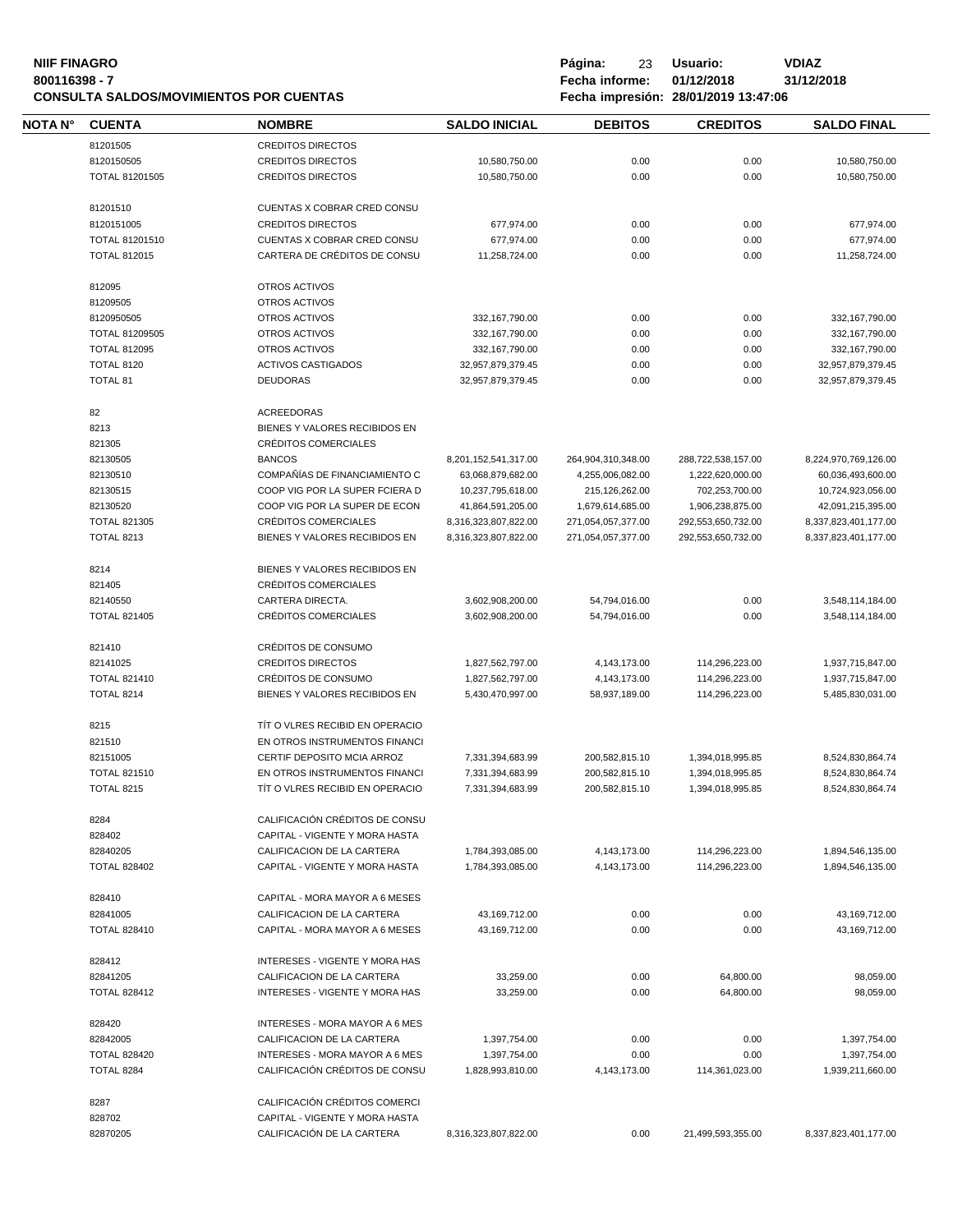# **NIIF FINAGRO P á g i n a :** 23 **U s u a r i o : VDIAZ CONSULTA SALDOS/MOVIMIENTOS POR CUENTAS**

| NOTA N° | <b>CUENTA</b>         | <b>NOMBRE</b>                         | <b>SALDO INICIAL</b> | <b>DEBITOS</b>     | <b>CREDITOS</b>    | <b>SALDO FINAL</b>   |
|---------|-----------------------|---------------------------------------|----------------------|--------------------|--------------------|----------------------|
|         | 81201505              | <b>CREDITOS DIRECTOS</b>              |                      |                    |                    |                      |
|         | 8120150505            | <b>CREDITOS DIRECTOS</b>              | 10,580,750.00        | 0.00               | 0.00               | 10,580,750.00        |
|         | <b>TOTAL 81201505</b> | <b>CREDITOS DIRECTOS</b>              | 10,580,750.00        | 0.00               | 0.00               | 10,580,750.00        |
|         |                       |                                       |                      |                    |                    |                      |
|         | 81201510              | CUENTAS X COBRAR CRED CONSU           |                      |                    |                    |                      |
|         | 8120151005            | <b>CREDITOS DIRECTOS</b>              | 677,974.00           | 0.00               | 0.00               | 677,974.00           |
|         | TOTAL 81201510        | CUENTAS X COBRAR CRED CONSU           | 677,974.00           | 0.00               | 0.00               | 677,974.00           |
|         | <b>TOTAL 812015</b>   | CARTERA DE CRÉDITOS DE CONSU          | 11,258,724.00        | 0.00               | 0.00               | 11,258,724.00        |
|         | 812095                | OTROS ACTIVOS                         |                      |                    |                    |                      |
|         |                       |                                       |                      |                    |                    |                      |
|         | 81209505              | OTROS ACTIVOS<br>OTROS ACTIVOS        |                      |                    |                    |                      |
|         | 8120950505            |                                       | 332, 167, 790.00     | 0.00               | 0.00               | 332,167,790.00       |
|         | <b>TOTAL 81209505</b> | OTROS ACTIVOS                         | 332, 167, 790.00     | 0.00               | 0.00               | 332,167,790.00       |
|         | <b>TOTAL 812095</b>   | OTROS ACTIVOS                         | 332, 167, 790.00     | 0.00               | 0.00               | 332, 167, 790.00     |
|         | <b>TOTAL 8120</b>     | <b>ACTIVOS CASTIGADOS</b>             | 32,957,879,379.45    | 0.00               | 0.00               | 32,957,879,379.45    |
|         | <b>TOTAL 81</b>       | <b>DEUDORAS</b>                       | 32,957,879,379.45    | 0.00               | 0.00               | 32,957,879,379.45    |
|         | 82                    | <b>ACREEDORAS</b>                     |                      |                    |                    |                      |
|         | 8213                  | BIENES Y VALORES RECIBIDOS EN         |                      |                    |                    |                      |
|         | 821305                | <b>CRÉDITOS COMERCIALES</b>           |                      |                    |                    |                      |
|         | 82130505              | <b>BANCOS</b>                         | 8,201,152,541,317.00 | 264,904,310,348.00 | 288,722,538,157.00 | 8,224,970,769,126.00 |
|         | 82130510              | COMPAÑÍAS DE FINANCIAMIENTO C         | 63,068,879,682.00    | 4,255,006,082.00   | 1,222,620,000.00   | 60,036,493,600.00    |
|         | 82130515              | COOP VIG POR LA SUPER FCIERA D        | 10,237,795,618.00    | 215,126,262.00     | 702,253,700.00     | 10,724,923,056.00    |
|         | 82130520              | COOP VIG POR LA SUPER DE ECON         | 41,864,591,205.00    | 1,679,614,685.00   | 1,906,238,875.00   | 42,091,215,395.00    |
|         | <b>TOTAL 821305</b>   | <b>CRÉDITOS COMERCIALES</b>           | 8,316,323,807,822.00 | 271,054,057,377.00 | 292,553,650,732.00 | 8,337,823,401,177.00 |
|         | <b>TOTAL 8213</b>     | BIENES Y VALORES RECIBIDOS EN         | 8,316,323,807,822.00 | 271,054,057,377.00 | 292,553,650,732.00 | 8,337,823,401,177.00 |
|         |                       |                                       |                      |                    |                    |                      |
|         | 8214                  | BIENES Y VALORES RECIBIDOS EN         |                      |                    |                    |                      |
|         | 821405                | <b>CRÉDITOS COMERCIALES</b>           |                      |                    |                    |                      |
|         | 82140550              | CARTERA DIRECTA.                      | 3,602,908,200.00     | 54,794,016.00      | 0.00               | 3,548,114,184.00     |
|         | <b>TOTAL 821405</b>   | <b>CRÉDITOS COMERCIALES</b>           | 3,602,908,200.00     | 54,794,016.00      | 0.00               | 3,548,114,184.00     |
|         |                       |                                       |                      |                    |                    |                      |
|         | 821410                | CRÉDITOS DE CONSUMO                   |                      |                    |                    |                      |
|         | 82141025              | <b>CREDITOS DIRECTOS</b>              | 1,827,562,797.00     | 4,143,173.00       | 114,296,223.00     | 1,937,715,847.00     |
|         | <b>TOTAL 821410</b>   | CRÉDITOS DE CONSUMO                   | 1,827,562,797.00     | 4,143,173.00       | 114,296,223.00     | 1,937,715,847.00     |
|         | <b>TOTAL 8214</b>     | BIENES Y VALORES RECIBIDOS EN         | 5,430,470,997.00     | 58,937,189.00      | 114,296,223.00     | 5,485,830,031.00     |
|         | 8215                  | TIT O VLRES RECIBID EN OPERACIO       |                      |                    |                    |                      |
|         | 821510                | EN OTROS INSTRUMENTOS FINANCI         |                      |                    |                    |                      |
|         | 82151005              | CERTIF DEPOSITO MCIA ARROZ            | 7,331,394,683.99     | 200,582,815.10     | 1,394,018,995.85   | 8,524,830,864.74     |
|         | <b>TOTAL 821510</b>   | EN OTROS INSTRUMENTOS FINANCI         | 7,331,394,683.99     | 200,582,815.10     | 1,394,018,995.85   | 8,524,830,864.74     |
|         | <b>TOTAL 8215</b>     | TIT O VLRES RECIBID EN OPERACIO       | 7,331,394,683.99     | 200,582,815.10     | 1,394,018,995.85   | 8,524,830,864.74     |
|         |                       |                                       |                      |                    |                    |                      |
|         | 8284                  | CALIFICACIÓN CRÉDITOS DE CONSU        |                      |                    |                    |                      |
|         | 828402                | CAPITAL - VIGENTE Y MORA HASTA        |                      |                    |                    |                      |
|         | 82840205              | CALIFICACION DE LA CARTERA            | 1,784,393,085.00     | 4,143,173.00       | 114,296,223.00     | 1,894,546,135.00     |
|         | <b>TOTAL 828402</b>   | CAPITAL - VIGENTE Y MORA HASTA        | 1,784,393,085.00     | 4,143,173.00       | 114,296,223.00     | 1,894,546,135.00     |
|         |                       |                                       |                      |                    |                    |                      |
|         | 828410                | CAPITAL - MORA MAYOR A 6 MESES        |                      |                    |                    |                      |
|         | 82841005              | CALIFICACION DE LA CARTERA            | 43,169,712.00        | 0.00               | 0.00               | 43,169,712.00        |
|         | <b>TOTAL 828410</b>   | CAPITAL - MORA MAYOR A 6 MESES        | 43,169,712.00        | 0.00               | 0.00               | 43,169,712.00        |
|         | 828412                | <b>INTERESES - VIGENTE Y MORA HAS</b> |                      |                    |                    |                      |
|         | 82841205              | CALIFICACION DE LA CARTERA            | 33,259.00            | 0.00               | 64,800.00          | 98,059.00            |
|         | <b>TOTAL 828412</b>   | <b>INTERESES - VIGENTE Y MORA HAS</b> | 33,259.00            | 0.00               | 64,800.00          | 98,059.00            |
|         |                       |                                       |                      |                    |                    |                      |
|         | 828420                | INTERESES - MORA MAYOR A 6 MES        |                      |                    |                    |                      |
|         | 82842005              | CALIFICACION DE LA CARTERA            | 1,397,754.00         | 0.00               | 0.00               | 1,397,754.00         |
|         | <b>TOTAL 828420</b>   | INTERESES - MORA MAYOR A 6 MES        | 1,397,754.00         | 0.00               | 0.00               | 1,397,754.00         |
|         | TOTAL 8284            | CALIFICACIÓN CRÉDITOS DE CONSU        | 1,828,993,810.00     | 4,143,173.00       | 114,361,023.00     | 1,939,211,660.00     |
|         |                       |                                       |                      |                    |                    |                      |
|         | 8287                  | CALIFICACIÓN CRÉDITOS COMERCI         |                      |                    |                    |                      |
|         | 828702                | CAPITAL - VIGENTE Y MORA HASTA        |                      |                    |                    |                      |
|         | 82870205              | CALIFICACIÓN DE LA CARTERA            | 8,316,323,807,822.00 | 0.00               | 21,499,593,355.00  | 8,337,823,401,177.00 |